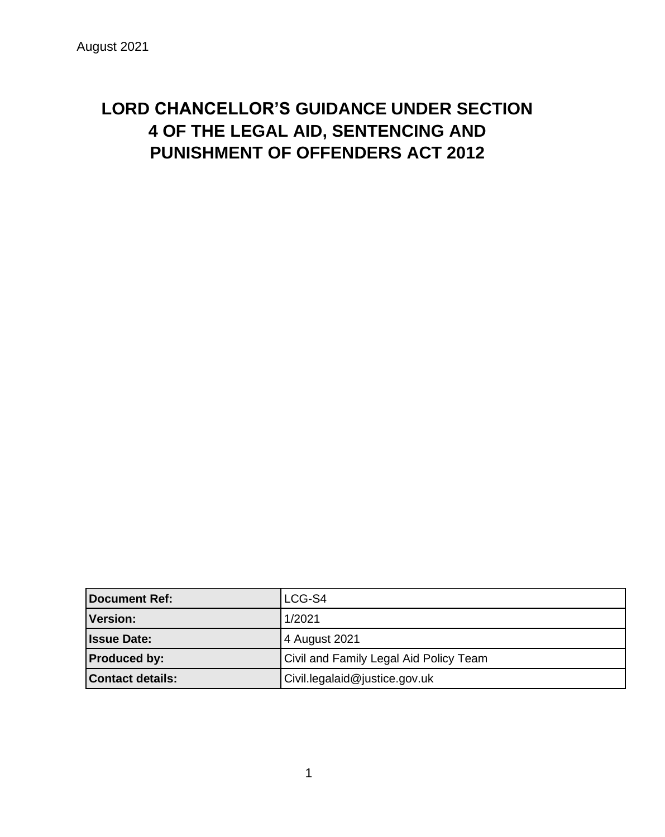# **LORD CHANCELLOR'S GUIDANCE UNDER SECTION 4 OF THE LEGAL AID, SENTENCING AND PUNISHMENT OF OFFENDERS ACT 2012**

| <b>Document Ref:</b>    | LCG-S4                                 |
|-------------------------|----------------------------------------|
| Version:                | 1/2021                                 |
| <b>Issue Date:</b>      | 4 August 2021                          |
| <b>Produced by:</b>     | Civil and Family Legal Aid Policy Team |
| <b>Contact details:</b> | Civil.legalaid@justice.gov.uk          |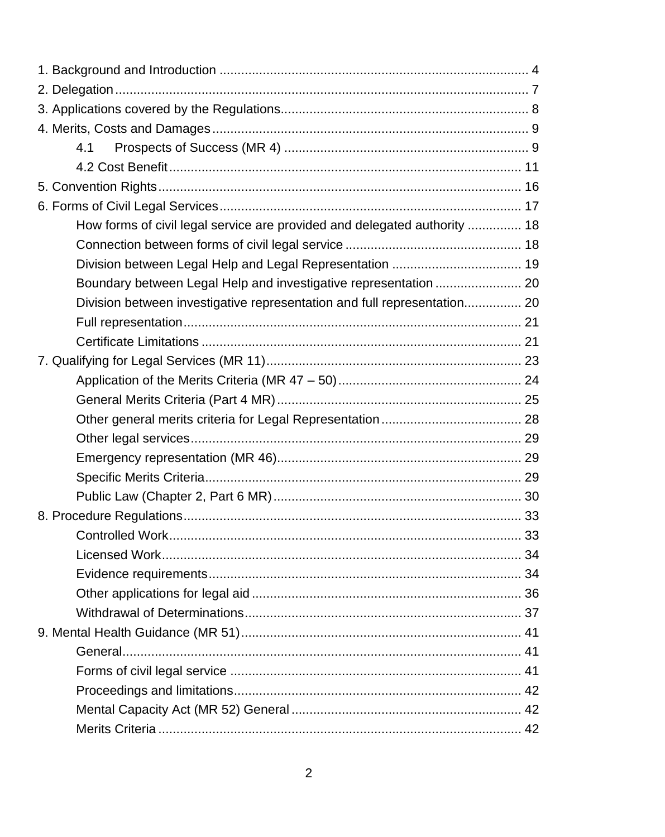| 4.1                                                                       |    |
|---------------------------------------------------------------------------|----|
|                                                                           |    |
|                                                                           |    |
|                                                                           |    |
| How forms of civil legal service are provided and delegated authority  18 |    |
|                                                                           |    |
| Division between Legal Help and Legal Representation  19                  |    |
| Boundary between Legal Help and investigative representation  20          |    |
| Division between investigative representation and full representation 20  |    |
|                                                                           |    |
|                                                                           |    |
|                                                                           |    |
|                                                                           |    |
|                                                                           |    |
|                                                                           |    |
|                                                                           |    |
|                                                                           |    |
|                                                                           |    |
|                                                                           |    |
|                                                                           |    |
| Controlled Work                                                           | 33 |
|                                                                           |    |
|                                                                           |    |
|                                                                           |    |
|                                                                           |    |
|                                                                           |    |
|                                                                           |    |
|                                                                           |    |
|                                                                           |    |
|                                                                           |    |
|                                                                           |    |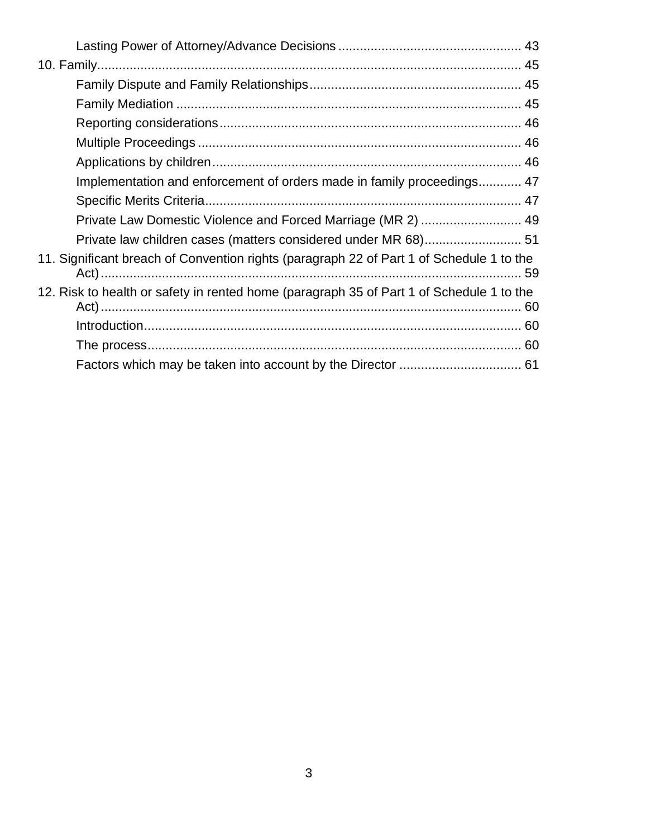| Implementation and enforcement of orders made in family proceedings 47                   |
|------------------------------------------------------------------------------------------|
|                                                                                          |
| Private Law Domestic Violence and Forced Marriage (MR 2)  49                             |
| Private law children cases (matters considered under MR 68) 51                           |
| 11. Significant breach of Convention rights (paragraph 22 of Part 1 of Schedule 1 to the |
| 12. Risk to health or safety in rented home (paragraph 35 of Part 1 of Schedule 1 to the |
|                                                                                          |
|                                                                                          |
|                                                                                          |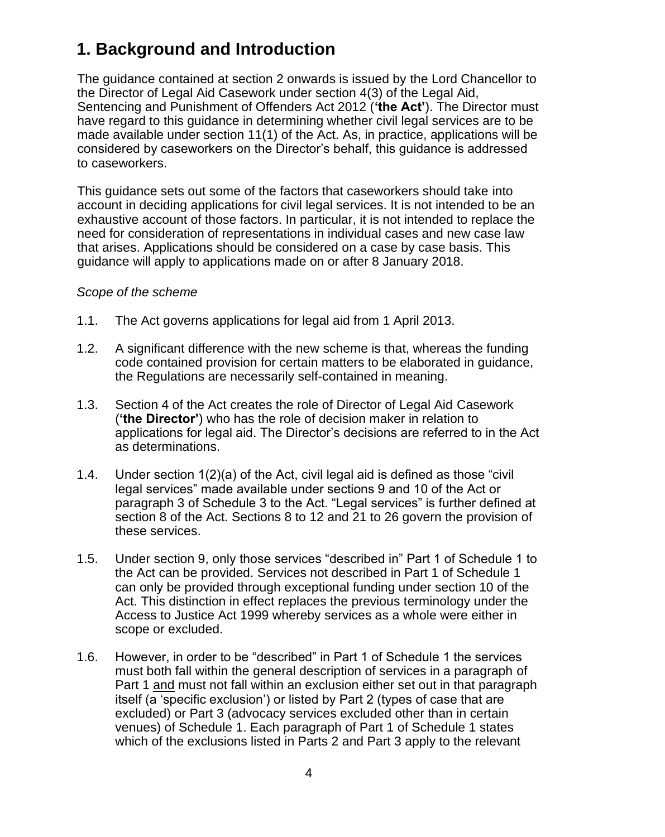# <span id="page-3-0"></span>**1. Background and Introduction**

The guidance contained at section 2 onwards is issued by the Lord Chancellor to the Director of Legal Aid Casework under section 4(3) of the Legal Aid, Sentencing and Punishment of Offenders Act 2012 (**'the Act'**). The Director must have regard to this guidance in determining whether civil legal services are to be made available under section 11(1) of the Act. As, in practice, applications will be considered by caseworkers on the Director's behalf, this guidance is addressed to caseworkers.

This guidance sets out some of the factors that caseworkers should take into account in deciding applications for civil legal services. It is not intended to be an exhaustive account of those factors. In particular, it is not intended to replace the need for consideration of representations in individual cases and new case law that arises. Applications should be considered on a case by case basis. This guidance will apply to applications made on or after 8 January 2018.

## *Scope of the scheme*

- 1.1. The Act governs applications for legal aid from 1 April 2013.
- 1.2. A significant difference with the new scheme is that, whereas the funding code contained provision for certain matters to be elaborated in guidance, the Regulations are necessarily self-contained in meaning.
- 1.3. Section 4 of the Act creates the role of Director of Legal Aid Casework (**'the Director'**) who has the role of decision maker in relation to applications for legal aid. The Director's decisions are referred to in the Act as determinations.
- 1.4. Under section 1(2)(a) of the Act, civil legal aid is defined as those "civil legal services" made available under sections 9 and 10 of the Act or paragraph 3 of Schedule 3 to the Act. "Legal services" is further defined at section 8 of the Act. Sections 8 to 12 and 21 to 26 govern the provision of these services.
- 1.5. Under section 9, only those services "described in" Part 1 of Schedule 1 to the Act can be provided. Services not described in Part 1 of Schedule 1 can only be provided through exceptional funding under section 10 of the Act. This distinction in effect replaces the previous terminology under the Access to Justice Act 1999 whereby services as a whole were either in scope or excluded.
- 1.6. However, in order to be "described" in Part 1 of Schedule 1 the services must both fall within the general description of services in a paragraph of Part 1 and must not fall within an exclusion either set out in that paragraph itself (a 'specific exclusion') or listed by Part 2 (types of case that are excluded) or Part 3 (advocacy services excluded other than in certain venues) of Schedule 1. Each paragraph of Part 1 of Schedule 1 states which of the exclusions listed in Parts 2 and Part 3 apply to the relevant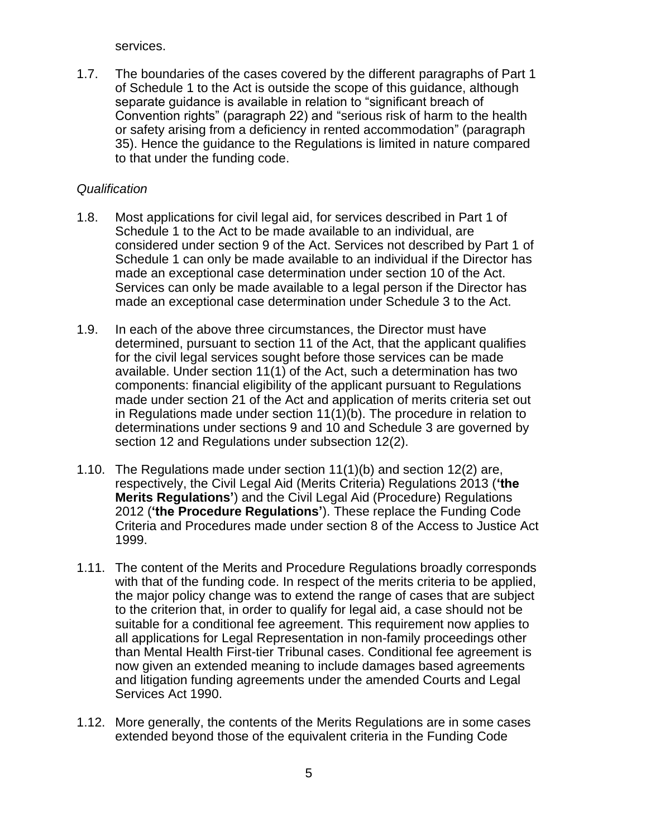services.

1.7. The boundaries of the cases covered by the different paragraphs of Part 1 of Schedule 1 to the Act is outside the scope of this guidance, although separate guidance is available in relation to "significant breach of Convention rights" (paragraph 22) and "serious risk of harm to the health or safety arising from a deficiency in rented accommodation" (paragraph 35). Hence the guidance to the Regulations is limited in nature compared to that under the funding code.

### *Qualification*

- 1.8. Most applications for civil legal aid, for services described in Part 1 of Schedule 1 to the Act to be made available to an individual, are considered under section 9 of the Act. Services not described by Part 1 of Schedule 1 can only be made available to an individual if the Director has made an exceptional case determination under section 10 of the Act. Services can only be made available to a legal person if the Director has made an exceptional case determination under Schedule 3 to the Act.
- 1.9. In each of the above three circumstances, the Director must have determined, pursuant to section 11 of the Act, that the applicant qualifies for the civil legal services sought before those services can be made available. Under section 11(1) of the Act, such a determination has two components: financial eligibility of the applicant pursuant to Regulations made under section 21 of the Act and application of merits criteria set out in Regulations made under section 11(1)(b). The procedure in relation to determinations under sections 9 and 10 and Schedule 3 are governed by section 12 and Regulations under subsection 12(2).
- 1.10. The Regulations made under section 11(1)(b) and section 12(2) are, respectively, the Civil Legal Aid (Merits Criteria) Regulations 2013 (**'the Merits Regulations'**) and the Civil Legal Aid (Procedure) Regulations 2012 (**'the Procedure Regulations'**). These replace the Funding Code Criteria and Procedures made under section 8 of the Access to Justice Act 1999.
- 1.11. The content of the Merits and Procedure Regulations broadly corresponds with that of the funding code. In respect of the merits criteria to be applied, the major policy change was to extend the range of cases that are subject to the criterion that, in order to qualify for legal aid, a case should not be suitable for a conditional fee agreement. This requirement now applies to all applications for Legal Representation in non-family proceedings other than Mental Health First-tier Tribunal cases. Conditional fee agreement is now given an extended meaning to include damages based agreements and litigation funding agreements under the amended Courts and Legal Services Act 1990.
- 1.12. More generally, the contents of the Merits Regulations are in some cases extended beyond those of the equivalent criteria in the Funding Code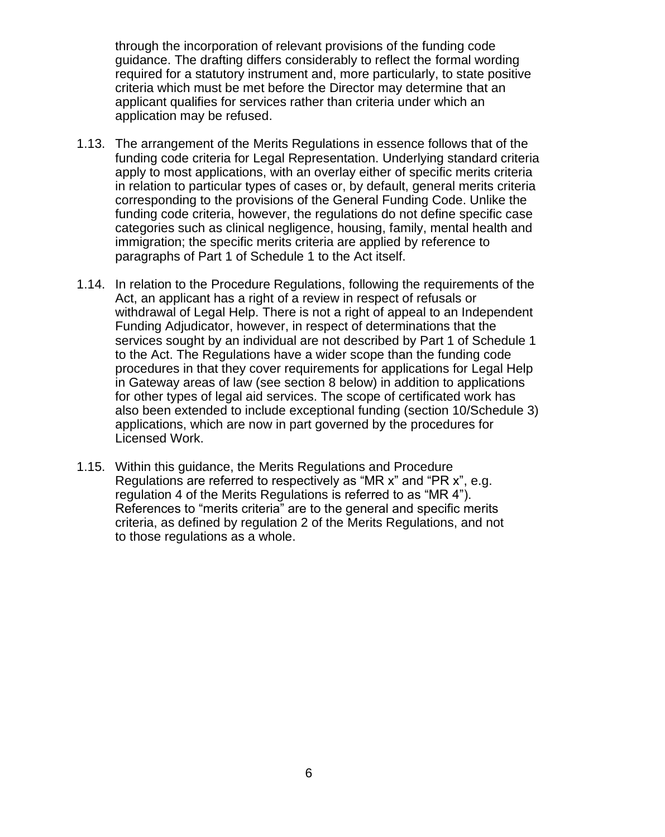through the incorporation of relevant provisions of the funding code guidance. The drafting differs considerably to reflect the formal wording required for a statutory instrument and, more particularly, to state positive criteria which must be met before the Director may determine that an applicant qualifies for services rather than criteria under which an application may be refused.

- 1.13. The arrangement of the Merits Regulations in essence follows that of the funding code criteria for Legal Representation. Underlying standard criteria apply to most applications, with an overlay either of specific merits criteria in relation to particular types of cases or, by default, general merits criteria corresponding to the provisions of the General Funding Code. Unlike the funding code criteria, however, the regulations do not define specific case categories such as clinical negligence, housing, family, mental health and immigration; the specific merits criteria are applied by reference to paragraphs of Part 1 of Schedule 1 to the Act itself.
- 1.14. In relation to the Procedure Regulations, following the requirements of the Act, an applicant has a right of a review in respect of refusals or withdrawal of Legal Help. There is not a right of appeal to an Independent Funding Adjudicator, however, in respect of determinations that the services sought by an individual are not described by Part 1 of Schedule 1 to the Act. The Regulations have a wider scope than the funding code procedures in that they cover requirements for applications for Legal Help in Gateway areas of law (see section 8 below) in addition to applications for other types of legal aid services. The scope of certificated work has also been extended to include exceptional funding (section 10/Schedule 3) applications, which are now in part governed by the procedures for Licensed Work.
- 1.15. Within this guidance, the Merits Regulations and Procedure Regulations are referred to respectively as "MR x" and "PR x", e.g. regulation 4 of the Merits Regulations is referred to as "MR 4"). References to "merits criteria" are to the general and specific merits criteria, as defined by regulation 2 of the Merits Regulations, and not to those regulations as a whole.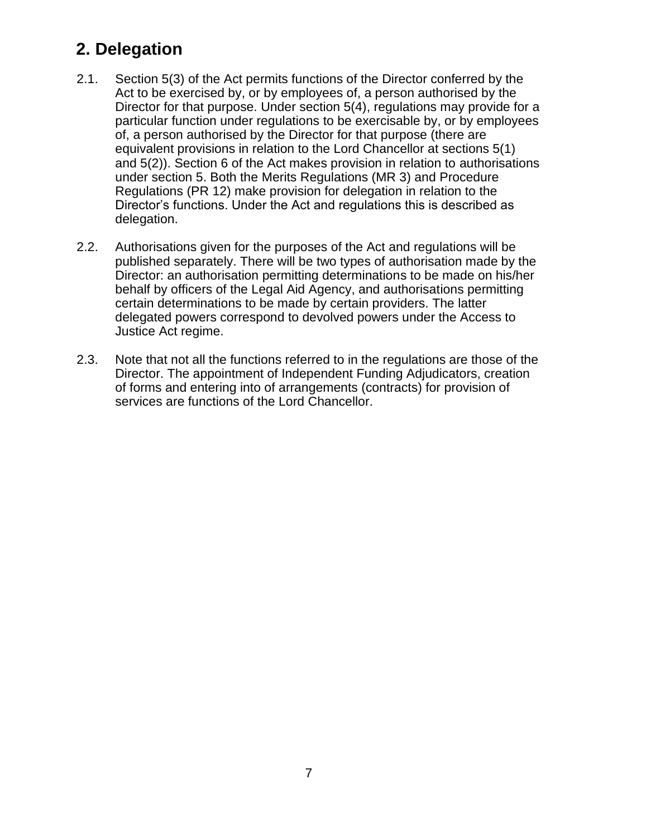# <span id="page-6-0"></span>**2. Delegation**

- 2.1. Section 5(3) of the Act permits functions of the Director conferred by the Act to be exercised by, or by employees of, a person authorised by the Director for that purpose. Under section 5(4), regulations may provide for a particular function under regulations to be exercisable by, or by employees of, a person authorised by the Director for that purpose (there are equivalent provisions in relation to the Lord Chancellor at sections 5(1) and 5(2)). Section 6 of the Act makes provision in relation to authorisations under section 5. Both the Merits Regulations (MR 3) and Procedure Regulations (PR 12) make provision for delegation in relation to the Director's functions. Under the Act and regulations this is described as delegation.
- 2.2. Authorisations given for the purposes of the Act and regulations will be published separately. There will be two types of authorisation made by the Director: an authorisation permitting determinations to be made on his/her behalf by officers of the Legal Aid Agency, and authorisations permitting certain determinations to be made by certain providers. The latter delegated powers correspond to devolved powers under the Access to Justice Act regime.
- 2.3. Note that not all the functions referred to in the regulations are those of the Director. The appointment of Independent Funding Adjudicators, creation of forms and entering into of arrangements (contracts) for provision of services are functions of the Lord Chancellor.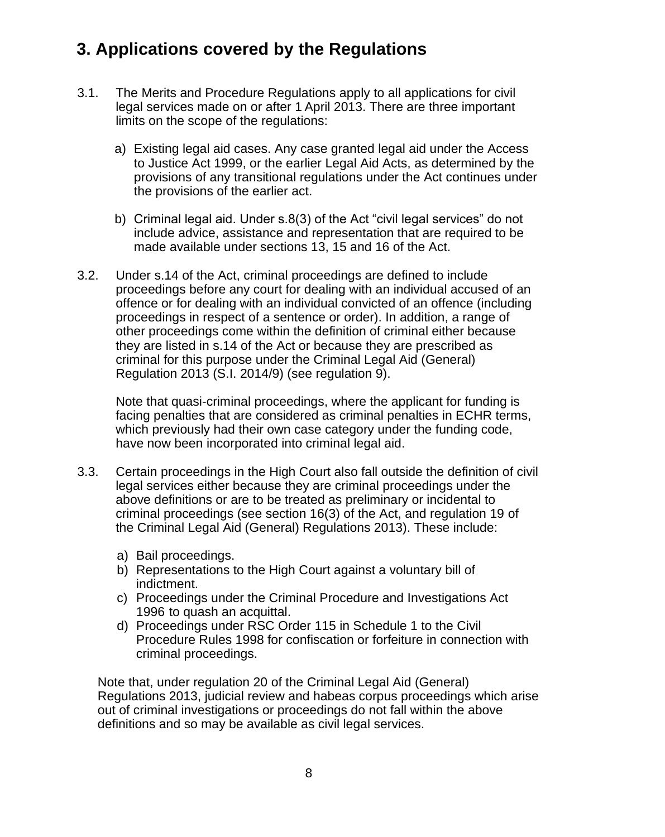# <span id="page-7-0"></span>**3. Applications covered by the Regulations**

- 3.1. The Merits and Procedure Regulations apply to all applications for civil legal services made on or after 1 April 2013. There are three important limits on the scope of the regulations:
	- a) Existing legal aid cases. Any case granted legal aid under the Access to Justice Act 1999, or the earlier Legal Aid Acts, as determined by the provisions of any transitional regulations under the Act continues under the provisions of the earlier act.
	- b) Criminal legal aid. Under s.8(3) of the Act "civil legal services" do not include advice, assistance and representation that are required to be made available under sections 13, 15 and 16 of the Act.
- 3.2. Under s.14 of the Act, criminal proceedings are defined to include proceedings before any court for dealing with an individual accused of an offence or for dealing with an individual convicted of an offence (including proceedings in respect of a sentence or order). In addition, a range of other proceedings come within the definition of criminal either because they are listed in s.14 of the Act or because they are prescribed as criminal for this purpose under the Criminal Legal Aid (General) Regulation 2013 (S.I. 2014/9) (see regulation 9).

Note that quasi-criminal proceedings, where the applicant for funding is facing penalties that are considered as criminal penalties in ECHR terms, which previously had their own case category under the funding code, have now been incorporated into criminal legal aid.

- 3.3. Certain proceedings in the High Court also fall outside the definition of civil legal services either because they are criminal proceedings under the above definitions or are to be treated as preliminary or incidental to criminal proceedings (see section 16(3) of the Act, and regulation 19 of the Criminal Legal Aid (General) Regulations 2013). These include:
	- a) Bail proceedings.
	- b) Representations to the High Court against a voluntary bill of indictment.
	- c) Proceedings under the Criminal Procedure and Investigations Act 1996 to quash an acquittal.
	- d) Proceedings under RSC Order 115 in Schedule 1 to the Civil Procedure Rules 1998 for confiscation or forfeiture in connection with criminal proceedings.

Note that, under regulation 20 of the Criminal Legal Aid (General) Regulations 2013, judicial review and habeas corpus proceedings which arise out of criminal investigations or proceedings do not fall within the above definitions and so may be available as civil legal services.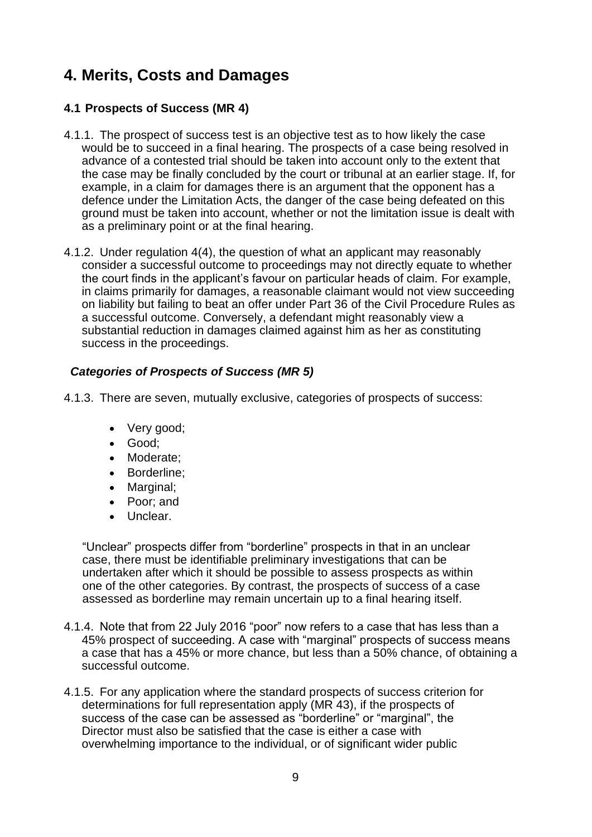# <span id="page-8-1"></span><span id="page-8-0"></span>**4. Merits, Costs and Damages**

# **4.1 Prospects of Success (MR 4)**

- 4.1.1. The prospect of success test is an objective test as to how likely the case would be to succeed in a final hearing. The prospects of a case being resolved in advance of a contested trial should be taken into account only to the extent that the case may be finally concluded by the court or tribunal at an earlier stage. If, for example, in a claim for damages there is an argument that the opponent has a defence under the Limitation Acts, the danger of the case being defeated on this ground must be taken into account, whether or not the limitation issue is dealt with as a preliminary point or at the final hearing.
- 4.1.2. Under regulation 4(4), the question of what an applicant may reasonably consider a successful outcome to proceedings may not directly equate to whether the court finds in the applicant's favour on particular heads of claim. For example, in claims primarily for damages, a reasonable claimant would not view succeeding on liability but failing to beat an offer under Part 36 of the Civil Procedure Rules as a successful outcome. Conversely, a defendant might reasonably view a substantial reduction in damages claimed against him as her as constituting success in the proceedings.

# *Categories of Prospects of Success (MR 5)*

- 4.1.3. There are seven, mutually exclusive, categories of prospects of success:
	- Very good;
	- Good;
	- Moderate;
	- Borderline;
	- Marginal;
	- Poor; and
	- Unclear.

"Unclear" prospects differ from "borderline" prospects in that in an unclear case, there must be identifiable preliminary investigations that can be undertaken after which it should be possible to assess prospects as within one of the other categories. By contrast, the prospects of success of a case assessed as borderline may remain uncertain up to a final hearing itself.

- 4.1.4. Note that from 22 July 2016 "poor" now refers to a case that has less than a 45% prospect of succeeding. A case with "marginal" prospects of success means a case that has a 45% or more chance, but less than a 50% chance, of obtaining a successful outcome.
- 4.1.5. For any application where the standard prospects of success criterion for determinations for full representation apply (MR 43), if the prospects of success of the case can be assessed as "borderline" or "marginal", the Director must also be satisfied that the case is either a case with overwhelming importance to the individual, or of significant wider public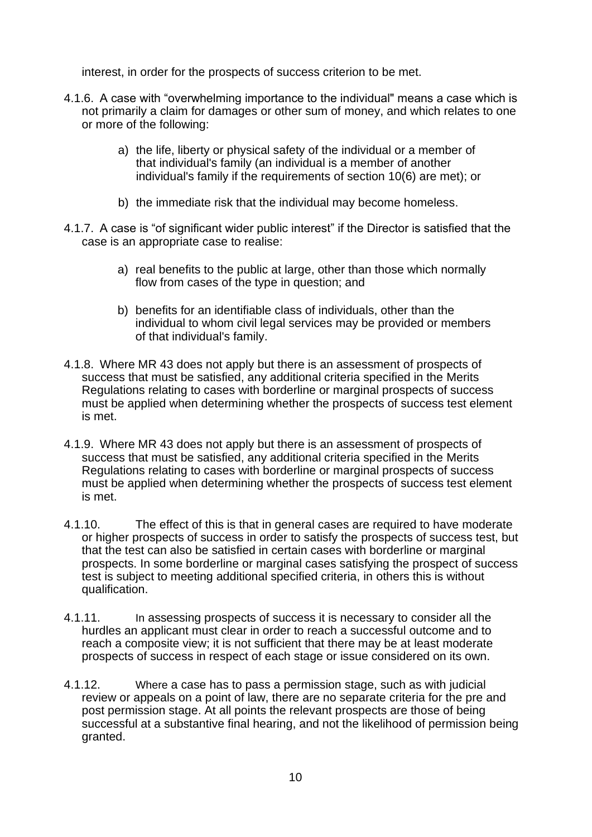interest, in order for the prospects of success criterion to be met.

- 4.1.6. A case with "overwhelming importance to the individual" means a case which is not primarily a claim for damages or other sum of money, and which relates to one or more of the following:
	- a) the life, liberty or physical safety of the individual or a member of that individual's family (an individual is a member of another individual's family if the requirements of section 10(6) are met); or
	- b) the immediate risk that the individual may become homeless.
- 4.1.7. A case is "of significant wider public interest" if the Director is satisfied that the case is an appropriate case to realise:
	- a) real benefits to the public at large, other than those which normally flow from cases of the type in question; and
	- b) benefits for an identifiable class of individuals, other than the individual to whom civil legal services may be provided or members of that individual's family.
- 4.1.8. Where MR 43 does not apply but there is an assessment of prospects of success that must be satisfied, any additional criteria specified in the Merits Regulations relating to cases with borderline or marginal prospects of success must be applied when determining whether the prospects of success test element is met.
- 4.1.9. Where MR 43 does not apply but there is an assessment of prospects of success that must be satisfied, any additional criteria specified in the Merits Regulations relating to cases with borderline or marginal prospects of success must be applied when determining whether the prospects of success test element is met.
- 4.1.10. The effect of this is that in general cases are required to have moderate or higher prospects of success in order to satisfy the prospects of success test, but that the test can also be satisfied in certain cases with borderline or marginal prospects. In some borderline or marginal cases satisfying the prospect of success test is subject to meeting additional specified criteria, in others this is without qualification.
- 4.1.11. In assessing prospects of success it is necessary to consider all the hurdles an applicant must clear in order to reach a successful outcome and to reach a composite view; it is not sufficient that there may be at least moderate prospects of success in respect of each stage or issue considered on its own.
- 4.1.12. Where a case has to pass a permission stage, such as with judicial review or appeals on a point of law, there are no separate criteria for the pre and post permission stage. At all points the relevant prospects are those of being successful at a substantive final hearing, and not the likelihood of permission being granted.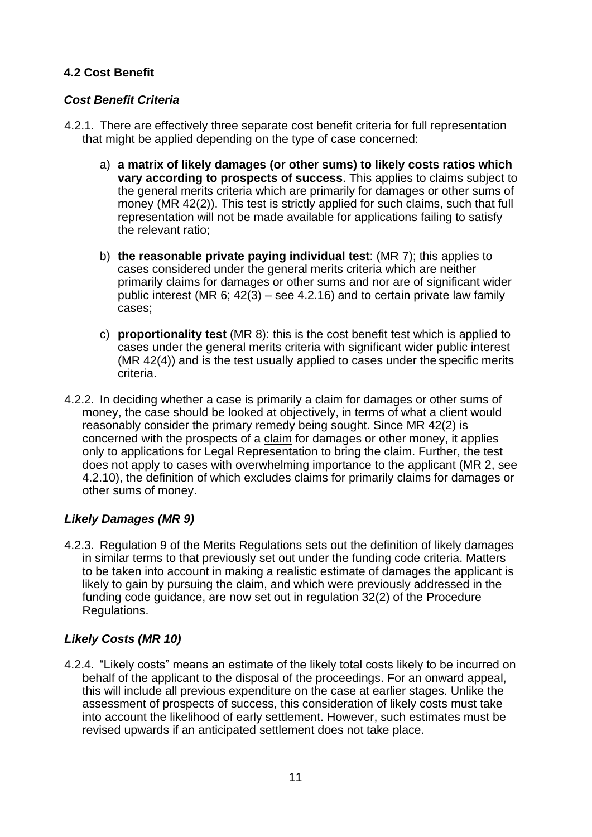# <span id="page-10-0"></span>**4.2 Cost Benefit**

## *Cost Benefit Criteria*

- 4.2.1. There are effectively three separate cost benefit criteria for full representation that might be applied depending on the type of case concerned:
	- a) **a matrix of likely damages (or other sums) to likely costs ratios which vary according to prospects of success**. This applies to claims subject to the general merits criteria which are primarily for damages or other sums of money (MR 42(2)). This test is strictly applied for such claims, such that full representation will not be made available for applications failing to satisfy the relevant ratio;
	- b) **the reasonable private paying individual test**: (MR 7); this applies to cases considered under the general merits criteria which are neither primarily claims for damages or other sums and nor are of significant wider public interest (MR 6; 42(3) – see 4.2.16) and to certain private law family cases;
	- c) **proportionality test** (MR 8): this is the cost benefit test which is applied to cases under the general merits criteria with significant wider public interest (MR 42(4)) and is the test usually applied to cases under the specific merits criteria.
- 4.2.2. In deciding whether a case is primarily a claim for damages or other sums of money, the case should be looked at objectively, in terms of what a client would reasonably consider the primary remedy being sought. Since MR 42(2) is concerned with the prospects of a claim for damages or other money, it applies only to applications for Legal Representation to bring the claim. Further, the test does not apply to cases with overwhelming importance to the applicant (MR 2, see 4.2.10), the definition of which excludes claims for primarily claims for damages or other sums of money.

# *Likely Damages (MR 9)*

4.2.3. Regulation 9 of the Merits Regulations sets out the definition of likely damages in similar terms to that previously set out under the funding code criteria. Matters to be taken into account in making a realistic estimate of damages the applicant is likely to gain by pursuing the claim, and which were previously addressed in the funding code guidance, are now set out in regulation 32(2) of the Procedure Regulations.

# *Likely Costs (MR 10)*

4.2.4. "Likely costs" means an estimate of the likely total costs likely to be incurred on behalf of the applicant to the disposal of the proceedings. For an onward appeal, this will include all previous expenditure on the case at earlier stages. Unlike the assessment of prospects of success, this consideration of likely costs must take into account the likelihood of early settlement. However, such estimates must be revised upwards if an anticipated settlement does not take place.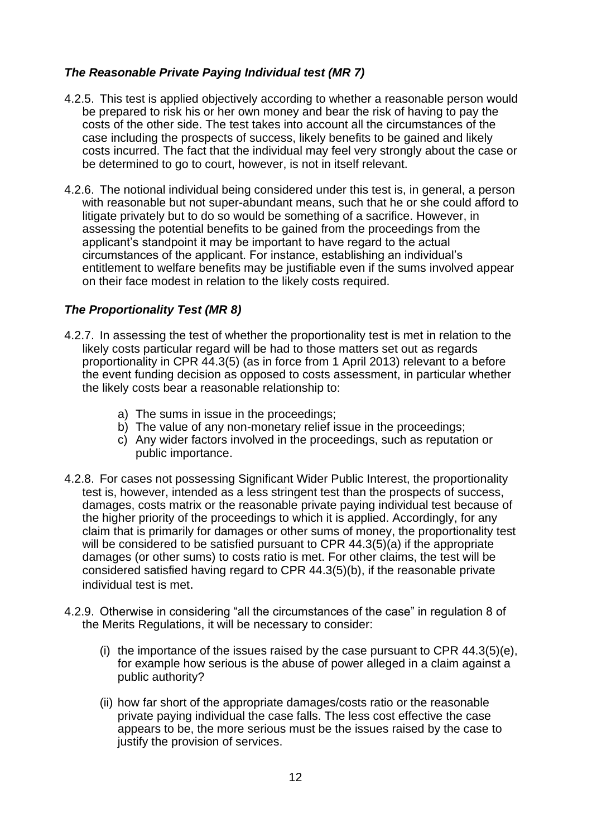# *The Reasonable Private Paying Individual test (MR 7)*

- 4.2.5. This test is applied objectively according to whether a reasonable person would be prepared to risk his or her own money and bear the risk of having to pay the costs of the other side. The test takes into account all the circumstances of the case including the prospects of success, likely benefits to be gained and likely costs incurred. The fact that the individual may feel very strongly about the case or be determined to go to court, however, is not in itself relevant.
- 4.2.6. The notional individual being considered under this test is, in general, a person with reasonable but not super-abundant means, such that he or she could afford to litigate privately but to do so would be something of a sacrifice. However, in assessing the potential benefits to be gained from the proceedings from the applicant's standpoint it may be important to have regard to the actual circumstances of the applicant. For instance, establishing an individual's entitlement to welfare benefits may be justifiable even if the sums involved appear on their face modest in relation to the likely costs required.

# *The Proportionality Test (MR 8)*

- 4.2.7. In assessing the test of whether the proportionality test is met in relation to the likely costs particular regard will be had to those matters set out as regards proportionality in CPR 44.3(5) (as in force from 1 April 2013) relevant to a before the event funding decision as opposed to costs assessment, in particular whether the likely costs bear a reasonable relationship to:
	- a) The sums in issue in the proceedings;
	- b) The value of any non-monetary relief issue in the proceedings;
	- c) Any wider factors involved in the proceedings, such as reputation or public importance.
- 4.2.8. For cases not possessing Significant Wider Public Interest, the proportionality test is, however, intended as a less stringent test than the prospects of success, damages, costs matrix or the reasonable private paying individual test because of the higher priority of the proceedings to which it is applied. Accordingly, for any claim that is primarily for damages or other sums of money, the proportionality test will be considered to be satisfied pursuant to CPR 44.3(5)(a) if the appropriate damages (or other sums) to costs ratio is met. For other claims, the test will be considered satisfied having regard to CPR 44.3(5)(b), if the reasonable private individual test is met.
- 4.2.9. Otherwise in considering "all the circumstances of the case" in regulation 8 of the Merits Regulations, it will be necessary to consider:
	- (i) the importance of the issues raised by the case pursuant to CPR  $44.3(5)(e)$ , for example how serious is the abuse of power alleged in a claim against a public authority?
	- (ii) how far short of the appropriate damages/costs ratio or the reasonable private paying individual the case falls. The less cost effective the case appears to be, the more serious must be the issues raised by the case to justify the provision of services.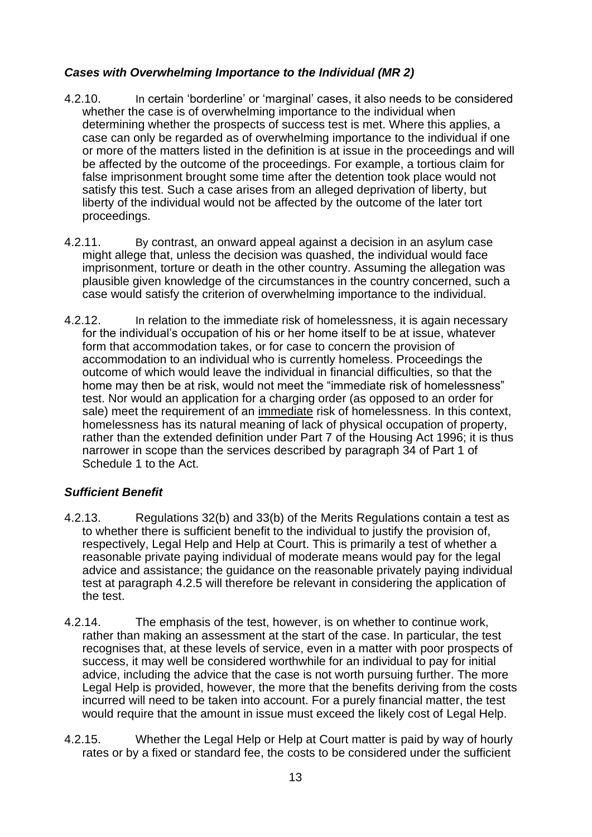# *Cases with Overwhelming Importance to the Individual (MR 2)*

- 4.2.10. In certain 'borderline' or 'marginal' cases, it also needs to be considered whether the case is of overwhelming importance to the individual when determining whether the prospects of success test is met. Where this applies, a case can only be regarded as of overwhelming importance to the individual if one or more of the matters listed in the definition is at issue in the proceedings and will be affected by the outcome of the proceedings. For example, a tortious claim for false imprisonment brought some time after the detention took place would not satisfy this test. Such a case arises from an alleged deprivation of liberty, but liberty of the individual would not be affected by the outcome of the later tort proceedings.
- 4.2.11. By contrast, an onward appeal against a decision in an asylum case might allege that, unless the decision was quashed, the individual would face imprisonment, torture or death in the other country. Assuming the allegation was plausible given knowledge of the circumstances in the country concerned, such a case would satisfy the criterion of overwhelming importance to the individual.
- 4.2.12. In relation to the immediate risk of homelessness, it is again necessary for the individual's occupation of his or her home itself to be at issue, whatever form that accommodation takes, or for case to concern the provision of accommodation to an individual who is currently homeless. Proceedings the outcome of which would leave the individual in financial difficulties, so that the home may then be at risk, would not meet the "immediate risk of homelessness" test. Nor would an application for a charging order (as opposed to an order for sale) meet the requirement of an immediate risk of homelessness. In this context, homelessness has its natural meaning of lack of physical occupation of property, rather than the extended definition under Part 7 of the Housing Act 1996; it is thus narrower in scope than the services described by paragraph 34 of Part 1 of Schedule 1 to the Act.

# *Sufficient Benefit*

- 4.2.13. Regulations 32(b) and 33(b) of the Merits Regulations contain a test as to whether there is sufficient benefit to the individual to justify the provision of, respectively, Legal Help and Help at Court. This is primarily a test of whether a reasonable private paying individual of moderate means would pay for the legal advice and assistance; the guidance on the reasonable privately paying individual test at paragraph 4.2.5 will therefore be relevant in considering the application of the test.
- 4.2.14. The emphasis of the test, however, is on whether to continue work, rather than making an assessment at the start of the case. In particular, the test recognises that, at these levels of service, even in a matter with poor prospects of success, it may well be considered worthwhile for an individual to pay for initial advice, including the advice that the case is not worth pursuing further. The more Legal Help is provided, however, the more that the benefits deriving from the costs incurred will need to be taken into account. For a purely financial matter, the test would require that the amount in issue must exceed the likely cost of Legal Help.
- 4.2.15. Whether the Legal Help or Help at Court matter is paid by way of hourly rates or by a fixed or standard fee, the costs to be considered under the sufficient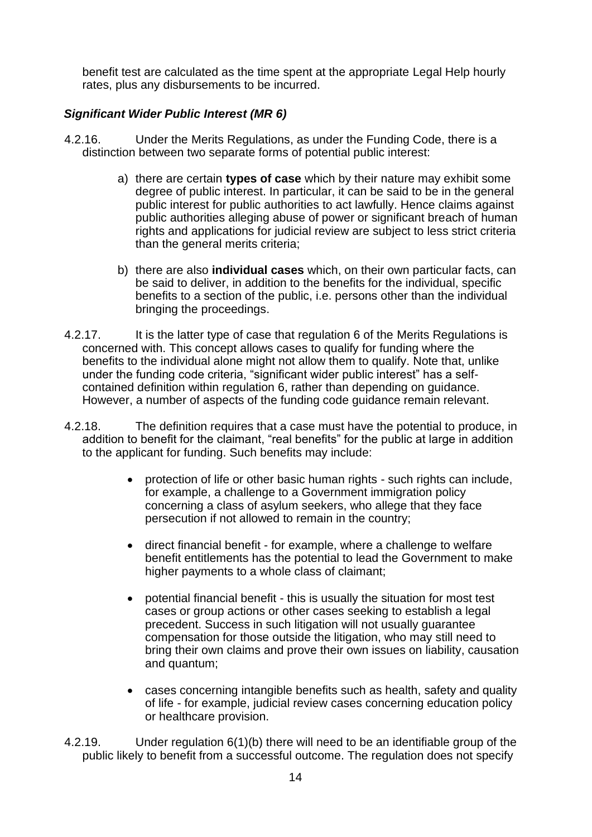benefit test are calculated as the time spent at the appropriate Legal Help hourly rates, plus any disbursements to be incurred.

## *Significant Wider Public Interest (MR 6)*

- 4.2.16. Under the Merits Regulations, as under the Funding Code, there is a distinction between two separate forms of potential public interest:
	- a) there are certain **types of case** which by their nature may exhibit some degree of public interest. In particular, it can be said to be in the general public interest for public authorities to act lawfully. Hence claims against public authorities alleging abuse of power or significant breach of human rights and applications for judicial review are subject to less strict criteria than the general merits criteria;
	- b) there are also **individual cases** which, on their own particular facts, can be said to deliver, in addition to the benefits for the individual, specific benefits to a section of the public, i.e. persons other than the individual bringing the proceedings.
- 4.2.17. It is the latter type of case that regulation 6 of the Merits Regulations is concerned with. This concept allows cases to qualify for funding where the benefits to the individual alone might not allow them to qualify. Note that, unlike under the funding code criteria, "significant wider public interest" has a selfcontained definition within regulation 6, rather than depending on guidance. However, a number of aspects of the funding code guidance remain relevant.
- 4.2.18. The definition requires that a case must have the potential to produce, in addition to benefit for the claimant, "real benefits" for the public at large in addition to the applicant for funding. Such benefits may include:
	- protection of life or other basic human rights such rights can include, for example, a challenge to a Government immigration policy concerning a class of asylum seekers, who allege that they face persecution if not allowed to remain in the country;
	- direct financial benefit for example, where a challenge to welfare benefit entitlements has the potential to lead the Government to make higher payments to a whole class of claimant;
	- potential financial benefit this is usually the situation for most test cases or group actions or other cases seeking to establish a legal precedent. Success in such litigation will not usually guarantee compensation for those outside the litigation, who may still need to bring their own claims and prove their own issues on liability, causation and quantum;
	- cases concerning intangible benefits such as health, safety and quality of life - for example, judicial review cases concerning education policy or healthcare provision.
- 4.2.19. Under regulation 6(1)(b) there will need to be an identifiable group of the public likely to benefit from a successful outcome. The regulation does not specify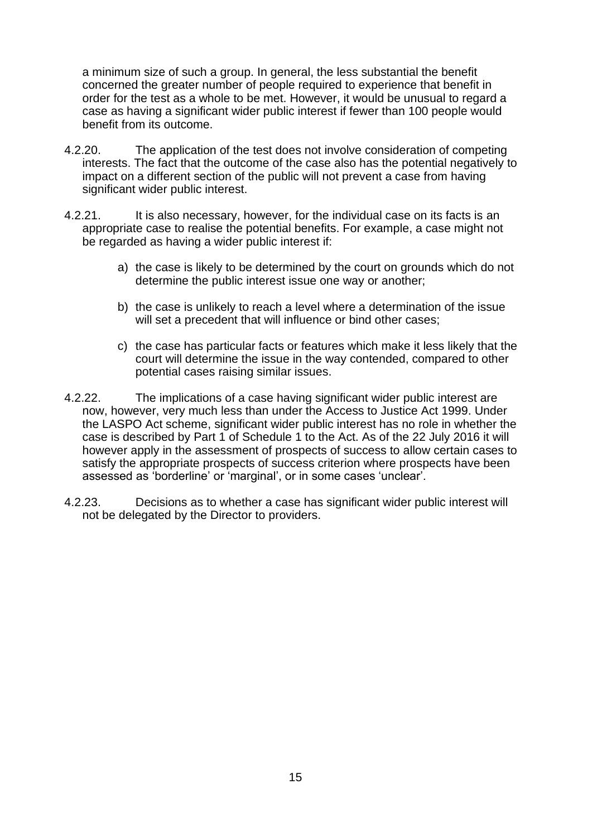a minimum size of such a group. In general, the less substantial the benefit concerned the greater number of people required to experience that benefit in order for the test as a whole to be met. However, it would be unusual to regard a case as having a significant wider public interest if fewer than 100 people would benefit from its outcome.

- 4.2.20. The application of the test does not involve consideration of competing interests. The fact that the outcome of the case also has the potential negatively to impact on a different section of the public will not prevent a case from having significant wider public interest.
- 4.2.21. It is also necessary, however, for the individual case on its facts is an appropriate case to realise the potential benefits. For example, a case might not be regarded as having a wider public interest if:
	- a) the case is likely to be determined by the court on grounds which do not determine the public interest issue one way or another;
	- b) the case is unlikely to reach a level where a determination of the issue will set a precedent that will influence or bind other cases;
	- c) the case has particular facts or features which make it less likely that the court will determine the issue in the way contended, compared to other potential cases raising similar issues.
- 4.2.22. The implications of a case having significant wider public interest are now, however, very much less than under the Access to Justice Act 1999. Under the LASPO Act scheme, significant wider public interest has no role in whether the case is described by Part 1 of Schedule 1 to the Act. As of the 22 July 2016 it will however apply in the assessment of prospects of success to allow certain cases to satisfy the appropriate prospects of success criterion where prospects have been assessed as 'borderline' or 'marginal', or in some cases 'unclear'.
- 4.2.23. Decisions as to whether a case has significant wider public interest will not be delegated by the Director to providers.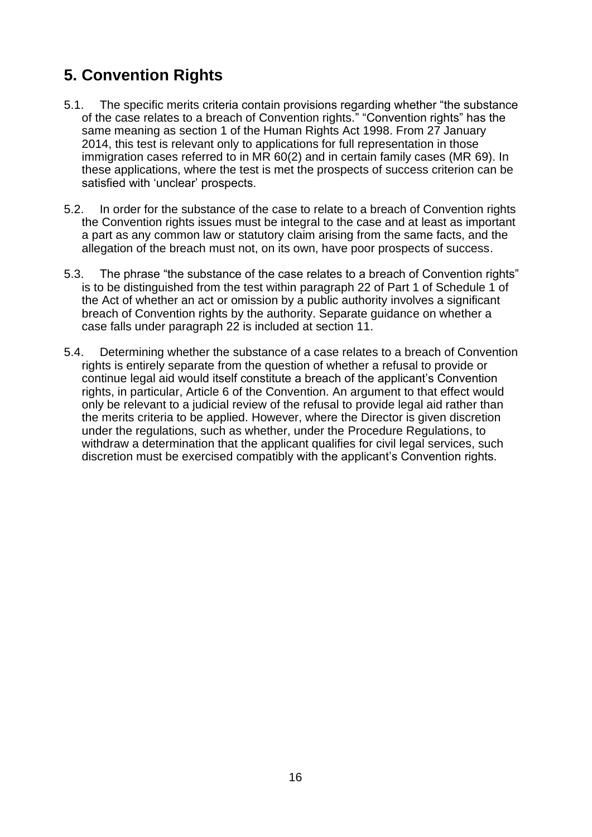# <span id="page-15-0"></span>**5. Convention Rights**

- 5.1. The specific merits criteria contain provisions regarding whether "the substance of the case relates to a breach of Convention rights." "Convention rights" has the same meaning as section 1 of the Human Rights Act 1998. From 27 January 2014, this test is relevant only to applications for full representation in those immigration cases referred to in MR 60(2) and in certain family cases (MR 69). In these applications, where the test is met the prospects of success criterion can be satisfied with 'unclear' prospects.
- 5.2. In order for the substance of the case to relate to a breach of Convention rights the Convention rights issues must be integral to the case and at least as important a part as any common law or statutory claim arising from the same facts, and the allegation of the breach must not, on its own, have poor prospects of success.
- 5.3. The phrase "the substance of the case relates to a breach of Convention rights" is to be distinguished from the test within paragraph 22 of Part 1 of Schedule 1 of the Act of whether an act or omission by a public authority involves a significant breach of Convention rights by the authority. Separate guidance on whether a case falls under paragraph 22 is included at section 11.
- 5.4. Determining whether the substance of a case relates to a breach of Convention rights is entirely separate from the question of whether a refusal to provide or continue legal aid would itself constitute a breach of the applicant's Convention rights, in particular, Article 6 of the Convention. An argument to that effect would only be relevant to a judicial review of the refusal to provide legal aid rather than the merits criteria to be applied. However, where the Director is given discretion under the regulations, such as whether, under the Procedure Regulations, to withdraw a determination that the applicant qualifies for civil legal services, such discretion must be exercised compatibly with the applicant's Convention rights.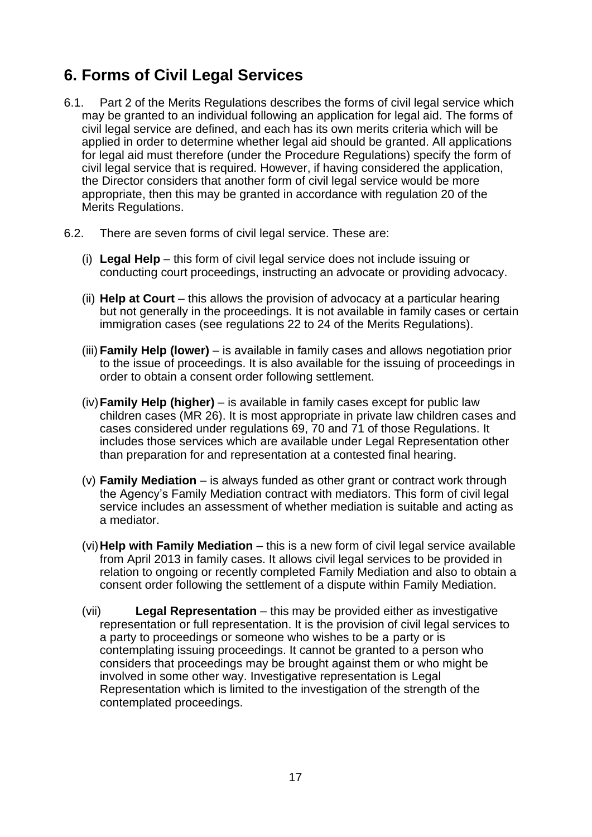# <span id="page-16-0"></span>**6. Forms of Civil Legal Services**

- 6.1. Part 2 of the Merits Regulations describes the forms of civil legal service which may be granted to an individual following an application for legal aid. The forms of civil legal service are defined, and each has its own merits criteria which will be applied in order to determine whether legal aid should be granted. All applications for legal aid must therefore (under the Procedure Regulations) specify the form of civil legal service that is required. However, if having considered the application, the Director considers that another form of civil legal service would be more appropriate, then this may be granted in accordance with regulation 20 of the Merits Regulations.
- 6.2. There are seven forms of civil legal service. These are:
	- (i) **Legal Help** this form of civil legal service does not include issuing or conducting court proceedings, instructing an advocate or providing advocacy.
	- (ii) **Help at Court** this allows the provision of advocacy at a particular hearing but not generally in the proceedings. It is not available in family cases or certain immigration cases (see regulations 22 to 24 of the Merits Regulations).
	- (iii) **Family Help (lower)** is available in family cases and allows negotiation prior to the issue of proceedings. It is also available for the issuing of proceedings in order to obtain a consent order following settlement.
	- (iv)**Family Help (higher)** is available in family cases except for public law children cases (MR 26). It is most appropriate in private law children cases and cases considered under regulations 69, 70 and 71 of those Regulations. It includes those services which are available under Legal Representation other than preparation for and representation at a contested final hearing.
	- (v) **Family Mediation** is always funded as other grant or contract work through the Agency's Family Mediation contract with mediators. This form of civil legal service includes an assessment of whether mediation is suitable and acting as a mediator.
	- (vi)**Help with Family Mediation** this is a new form of civil legal service available from April 2013 in family cases. It allows civil legal services to be provided in relation to ongoing or recently completed Family Mediation and also to obtain a consent order following the settlement of a dispute within Family Mediation.
	- (vii) **Legal Representation** this may be provided either as investigative representation or full representation. It is the provision of civil legal services to a party to proceedings or someone who wishes to be a party or is contemplating issuing proceedings. It cannot be granted to a person who considers that proceedings may be brought against them or who might be involved in some other way. Investigative representation is Legal Representation which is limited to the investigation of the strength of the contemplated proceedings.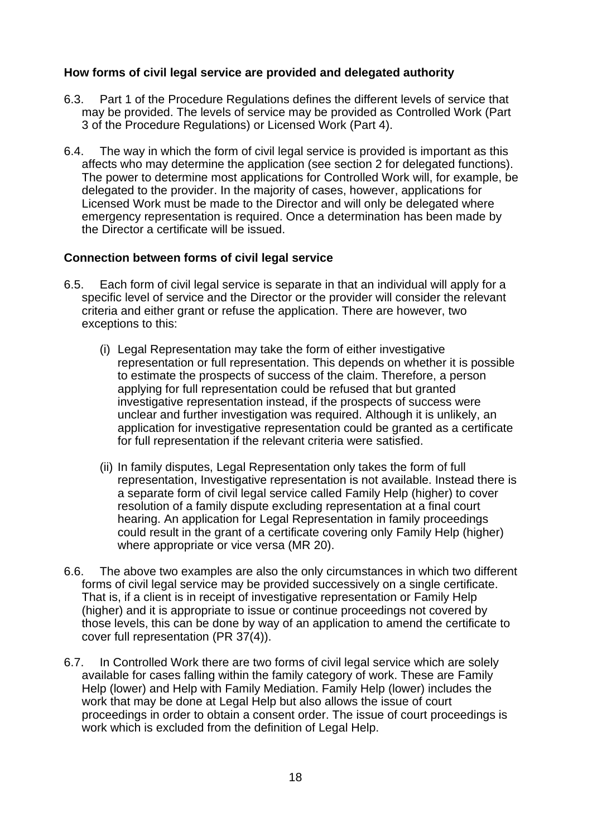## <span id="page-17-0"></span>**How forms of civil legal service are provided and delegated authority**

- 6.3. Part 1 of the Procedure Regulations defines the different levels of service that may be provided. The levels of service may be provided as Controlled Work (Part 3 of the Procedure Regulations) or Licensed Work (Part 4).
- <span id="page-17-1"></span>6.4. The way in which the form of civil legal service is provided is important as this affects who may determine the application (see section 2 for delegated functions). The power to determine most applications for Controlled Work will, for example, be delegated to the provider. In the majority of cases, however, applications for Licensed Work must be made to the Director and will only be delegated where emergency representation is required. Once a determination has been made by the Director a certificate will be issued.

## **Connection between forms of civil legal service**

- 6.5. Each form of civil legal service is separate in that an individual will apply for a specific level of service and the Director or the provider will consider the relevant criteria and either grant or refuse the application. There are however, two exceptions to this:
	- (i) Legal Representation may take the form of either investigative representation or full representation. This depends on whether it is possible to estimate the prospects of success of the claim. Therefore, a person applying for full representation could be refused that but granted investigative representation instead, if the prospects of success were unclear and further investigation was required. Although it is unlikely, an application for investigative representation could be granted as a certificate for full representation if the relevant criteria were satisfied.
	- (ii) In family disputes, Legal Representation only takes the form of full representation, Investigative representation is not available. Instead there is a separate form of civil legal service called Family Help (higher) to cover resolution of a family dispute excluding representation at a final court hearing. An application for Legal Representation in family proceedings could result in the grant of a certificate covering only Family Help (higher) where appropriate or vice versa (MR 20).
- 6.6. The above two examples are also the only circumstances in which two different forms of civil legal service may be provided successively on a single certificate. That is, if a client is in receipt of investigative representation or Family Help (higher) and it is appropriate to issue or continue proceedings not covered by those levels, this can be done by way of an application to amend the certificate to cover full representation (PR 37(4)).
- 6.7. In Controlled Work there are two forms of civil legal service which are solely available for cases falling within the family category of work. These are Family Help (lower) and Help with Family Mediation. Family Help (lower) includes the work that may be done at Legal Help but also allows the issue of court proceedings in order to obtain a consent order. The issue of court proceedings is work which is excluded from the definition of Legal Help.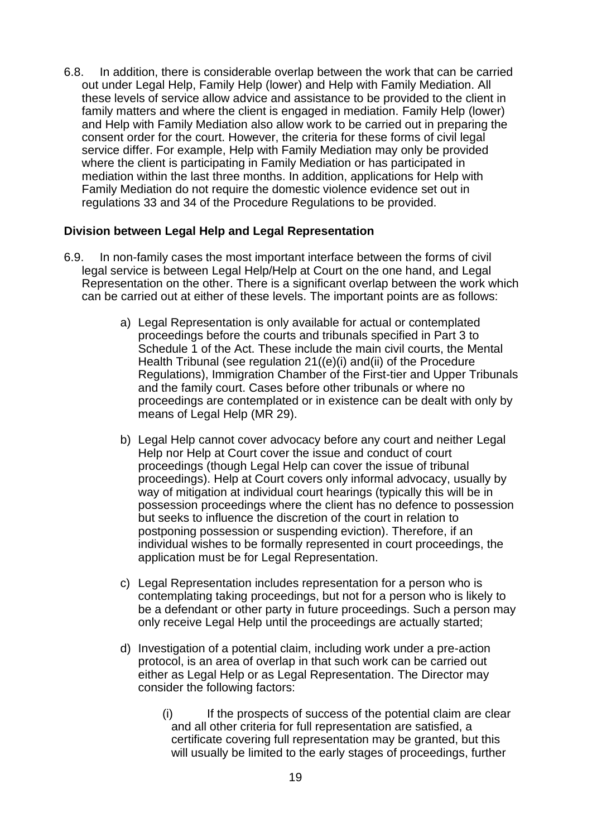6.8. In addition, there is considerable overlap between the work that can be carried out under Legal Help, Family Help (lower) and Help with Family Mediation. All these levels of service allow advice and assistance to be provided to the client in family matters and where the client is engaged in mediation. Family Help (lower) and Help with Family Mediation also allow work to be carried out in preparing the consent order for the court. However, the criteria for these forms of civil legal service differ. For example, Help with Family Mediation may only be provided where the client is participating in Family Mediation or has participated in mediation within the last three months. In addition, applications for Help with Family Mediation do not require the domestic violence evidence set out in regulations 33 and 34 of the Procedure Regulations to be provided.

## <span id="page-18-0"></span>**Division between Legal Help and Legal Representation**

- 6.9. In non-family cases the most important interface between the forms of civil legal service is between Legal Help/Help at Court on the one hand, and Legal Representation on the other. There is a significant overlap between the work which can be carried out at either of these levels. The important points are as follows:
	- a) Legal Representation is only available for actual or contemplated proceedings before the courts and tribunals specified in Part 3 to Schedule 1 of the Act. These include the main civil courts, the Mental Health Tribunal (see regulation 21((e)(i) and(ii) of the Procedure Regulations), Immigration Chamber of the First-tier and Upper Tribunals and the family court. Cases before other tribunals or where no proceedings are contemplated or in existence can be dealt with only by means of Legal Help (MR 29).
	- b) Legal Help cannot cover advocacy before any court and neither Legal Help nor Help at Court cover the issue and conduct of court proceedings (though Legal Help can cover the issue of tribunal proceedings). Help at Court covers only informal advocacy, usually by way of mitigation at individual court hearings (typically this will be in possession proceedings where the client has no defence to possession but seeks to influence the discretion of the court in relation to postponing possession or suspending eviction). Therefore, if an individual wishes to be formally represented in court proceedings, the application must be for Legal Representation.
	- c) Legal Representation includes representation for a person who is contemplating taking proceedings, but not for a person who is likely to be a defendant or other party in future proceedings. Such a person may only receive Legal Help until the proceedings are actually started;
	- d) Investigation of a potential claim, including work under a pre-action protocol, is an area of overlap in that such work can be carried out either as Legal Help or as Legal Representation. The Director may consider the following factors:
		- (i) If the prospects of success of the potential claim are clear and all other criteria for full representation are satisfied, a certificate covering full representation may be granted, but this will usually be limited to the early stages of proceedings, further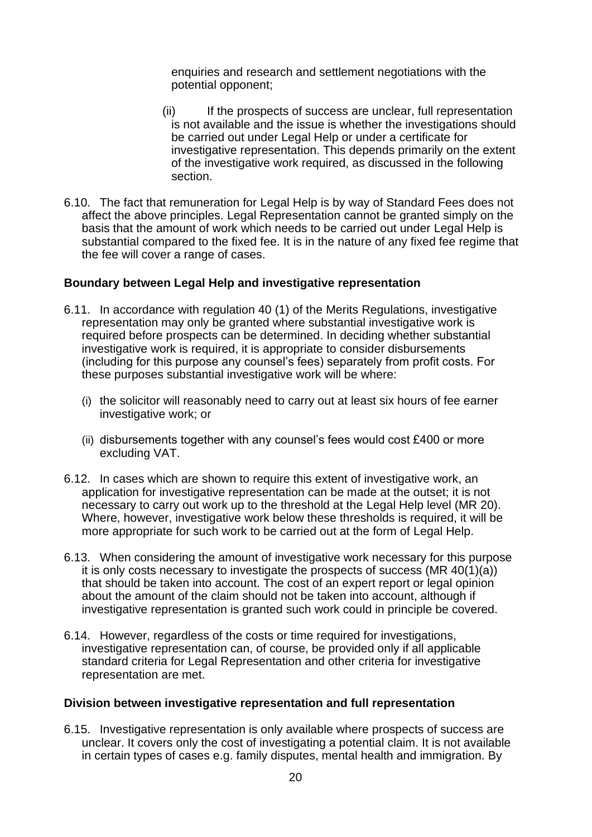enquiries and research and settlement negotiations with the potential opponent;

- (ii) If the prospects of success are unclear, full representation is not available and the issue is whether the investigations should be carried out under Legal Help or under a certificate for investigative representation. This depends primarily on the extent of the investigative work required, as discussed in the following section.
- <span id="page-19-0"></span>6.10. The fact that remuneration for Legal Help is by way of Standard Fees does not affect the above principles. Legal Representation cannot be granted simply on the basis that the amount of work which needs to be carried out under Legal Help is substantial compared to the fixed fee. It is in the nature of any fixed fee regime that the fee will cover a range of cases.

### **Boundary between Legal Help and investigative representation**

- 6.11. In accordance with regulation 40 (1) of the Merits Regulations, investigative representation may only be granted where substantial investigative work is required before prospects can be determined. In deciding whether substantial investigative work is required, it is appropriate to consider disbursements (including for this purpose any counsel's fees) separately from profit costs. For these purposes substantial investigative work will be where:
	- (i) the solicitor will reasonably need to carry out at least six hours of fee earner investigative work; or
	- (ii) disbursements together with any counsel's fees would cost £400 or more excluding VAT.
- 6.12. In cases which are shown to require this extent of investigative work, an application for investigative representation can be made at the outset; it is not necessary to carry out work up to the threshold at the Legal Help level (MR 20). Where, however, investigative work below these thresholds is required, it will be more appropriate for such work to be carried out at the form of Legal Help.
- 6.13. When considering the amount of investigative work necessary for this purpose it is only costs necessary to investigate the prospects of success (MR 40(1)(a)) that should be taken into account. The cost of an expert report or legal opinion about the amount of the claim should not be taken into account, although if investigative representation is granted such work could in principle be covered.
- <span id="page-19-1"></span>6.14. However, regardless of the costs or time required for investigations, investigative representation can, of course, be provided only if all applicable standard criteria for Legal Representation and other criteria for investigative representation are met.

#### **Division between investigative representation and full representation**

6.15. Investigative representation is only available where prospects of success are unclear. It covers only the cost of investigating a potential claim. It is not available in certain types of cases e.g. family disputes, mental health and immigration. By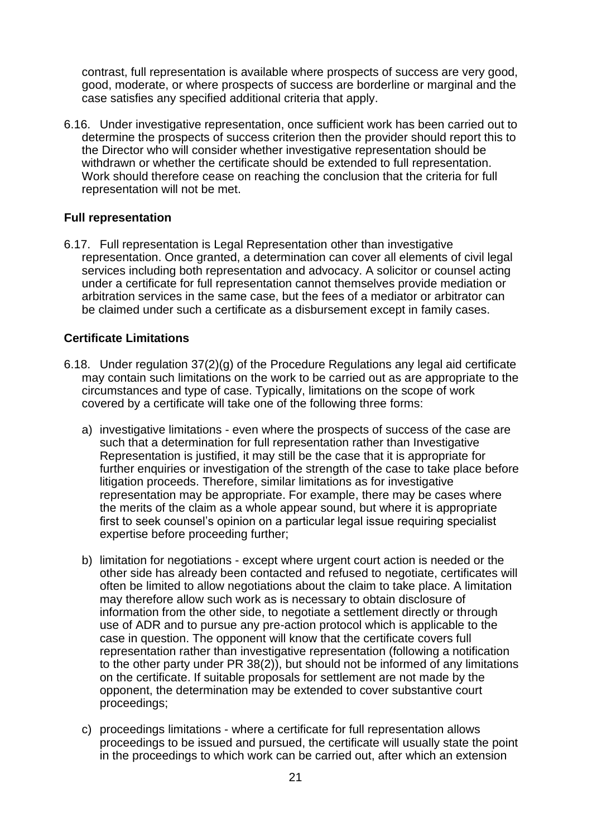contrast, full representation is available where prospects of success are very good, good, moderate, or where prospects of success are borderline or marginal and the case satisfies any specified additional criteria that apply.

<span id="page-20-0"></span>6.16. Under investigative representation, once sufficient work has been carried out to determine the prospects of success criterion then the provider should report this to the Director who will consider whether investigative representation should be withdrawn or whether the certificate should be extended to full representation. Work should therefore cease on reaching the conclusion that the criteria for full representation will not be met.

## **Full representation**

<span id="page-20-1"></span>6.17. Full representation is Legal Representation other than investigative representation. Once granted, a determination can cover all elements of civil legal services including both representation and advocacy. A solicitor or counsel acting under a certificate for full representation cannot themselves provide mediation or arbitration services in the same case, but the fees of a mediator or arbitrator can be claimed under such a certificate as a disbursement except in family cases.

## **Certificate Limitations**

- 6.18. Under regulation 37(2)(g) of the Procedure Regulations any legal aid certificate may contain such limitations on the work to be carried out as are appropriate to the circumstances and type of case. Typically, limitations on the scope of work covered by a certificate will take one of the following three forms:
	- a) investigative limitations even where the prospects of success of the case are such that a determination for full representation rather than Investigative Representation is justified, it may still be the case that it is appropriate for further enquiries or investigation of the strength of the case to take place before litigation proceeds. Therefore, similar limitations as for investigative representation may be appropriate. For example, there may be cases where the merits of the claim as a whole appear sound, but where it is appropriate first to seek counsel's opinion on a particular legal issue requiring specialist expertise before proceeding further;
	- b) limitation for negotiations except where urgent court action is needed or the other side has already been contacted and refused to negotiate, certificates will often be limited to allow negotiations about the claim to take place. A limitation may therefore allow such work as is necessary to obtain disclosure of information from the other side, to negotiate a settlement directly or through use of ADR and to pursue any pre-action protocol which is applicable to the case in question. The opponent will know that the certificate covers full representation rather than investigative representation (following a notification to the other party under PR 38(2)), but should not be informed of any limitations on the certificate. If suitable proposals for settlement are not made by the opponent, the determination may be extended to cover substantive court proceedings;
	- c) proceedings limitations where a certificate for full representation allows proceedings to be issued and pursued, the certificate will usually state the point in the proceedings to which work can be carried out, after which an extension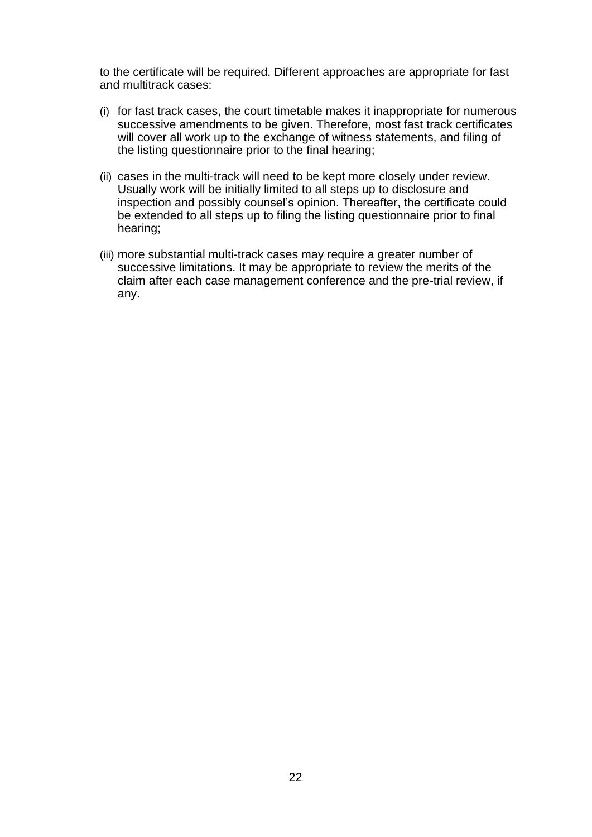to the certificate will be required. Different approaches are appropriate for fast and multitrack cases:

- (i) for fast track cases, the court timetable makes it inappropriate for numerous successive amendments to be given. Therefore, most fast track certificates will cover all work up to the exchange of witness statements, and filing of the listing questionnaire prior to the final hearing;
- (ii) cases in the multi-track will need to be kept more closely under review. Usually work will be initially limited to all steps up to disclosure and inspection and possibly counsel's opinion. Thereafter, the certificate could be extended to all steps up to filing the listing questionnaire prior to final hearing;
- (iii) more substantial multi-track cases may require a greater number of successive limitations. It may be appropriate to review the merits of the claim after each case management conference and the pre-trial review, if any.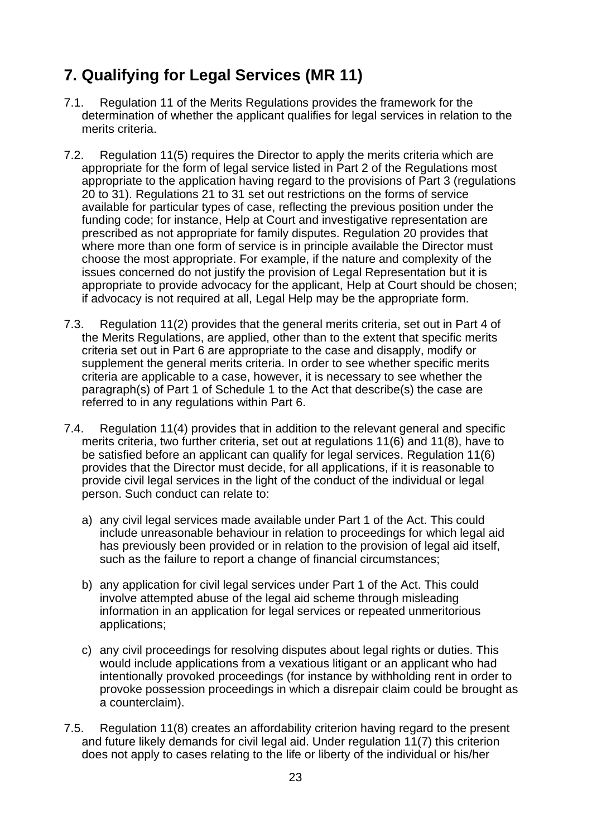# <span id="page-22-0"></span>**7. Qualifying for Legal Services (MR 11)**

- 7.1. Regulation 11 of the Merits Regulations provides the framework for the determination of whether the applicant qualifies for legal services in relation to the merits criteria.
- 7.2. Regulation 11(5) requires the Director to apply the merits criteria which are appropriate for the form of legal service listed in Part 2 of the Regulations most appropriate to the application having regard to the provisions of Part 3 (regulations 20 to 31). Regulations 21 to 31 set out restrictions on the forms of service available for particular types of case, reflecting the previous position under the funding code; for instance, Help at Court and investigative representation are prescribed as not appropriate for family disputes. Regulation 20 provides that where more than one form of service is in principle available the Director must choose the most appropriate. For example, if the nature and complexity of the issues concerned do not justify the provision of Legal Representation but it is appropriate to provide advocacy for the applicant, Help at Court should be chosen; if advocacy is not required at all, Legal Help may be the appropriate form.
- 7.3. Regulation 11(2) provides that the general merits criteria, set out in Part 4 of the Merits Regulations, are applied, other than to the extent that specific merits criteria set out in Part 6 are appropriate to the case and disapply, modify or supplement the general merits criteria. In order to see whether specific merits criteria are applicable to a case, however, it is necessary to see whether the paragraph(s) of Part 1 of Schedule 1 to the Act that describe(s) the case are referred to in any regulations within Part 6.
- 7.4. Regulation 11(4) provides that in addition to the relevant general and specific merits criteria, two further criteria, set out at regulations 11(6) and 11(8), have to be satisfied before an applicant can qualify for legal services. Regulation 11(6) provides that the Director must decide, for all applications, if it is reasonable to provide civil legal services in the light of the conduct of the individual or legal person. Such conduct can relate to:
	- a) any civil legal services made available under Part 1 of the Act. This could include unreasonable behaviour in relation to proceedings for which legal aid has previously been provided or in relation to the provision of legal aid itself, such as the failure to report a change of financial circumstances;
	- b) any application for civil legal services under Part 1 of the Act. This could involve attempted abuse of the legal aid scheme through misleading information in an application for legal services or repeated unmeritorious applications;
	- c) any civil proceedings for resolving disputes about legal rights or duties. This would include applications from a vexatious litigant or an applicant who had intentionally provoked proceedings (for instance by withholding rent in order to provoke possession proceedings in which a disrepair claim could be brought as a counterclaim).
- 7.5. Regulation 11(8) creates an affordability criterion having regard to the present and future likely demands for civil legal aid. Under regulation 11(7) this criterion does not apply to cases relating to the life or liberty of the individual or his/her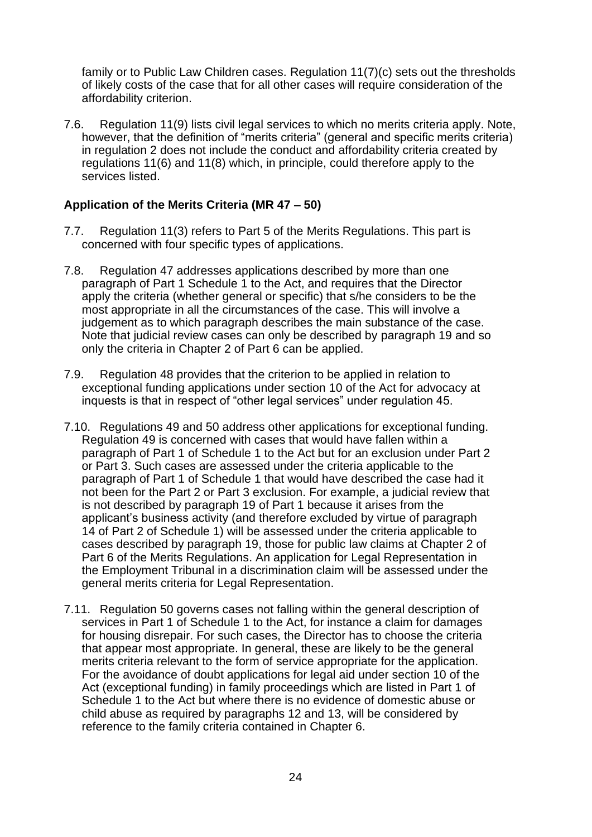family or to Public Law Children cases. Regulation 11(7)(c) sets out the thresholds of likely costs of the case that for all other cases will require consideration of the affordability criterion.

<span id="page-23-0"></span>7.6. Regulation 11(9) lists civil legal services to which no merits criteria apply. Note, however, that the definition of "merits criteria" (general and specific merits criteria) in regulation 2 does not include the conduct and affordability criteria created by regulations 11(6) and 11(8) which, in principle, could therefore apply to the services listed.

## **Application of the Merits Criteria (MR 47 – 50)**

- 7.7. Regulation 11(3) refers to Part 5 of the Merits Regulations. This part is concerned with four specific types of applications.
- 7.8. Regulation 47 addresses applications described by more than one paragraph of Part 1 Schedule 1 to the Act, and requires that the Director apply the criteria (whether general or specific) that s/he considers to be the most appropriate in all the circumstances of the case. This will involve a judgement as to which paragraph describes the main substance of the case. Note that judicial review cases can only be described by paragraph 19 and so only the criteria in Chapter 2 of Part 6 can be applied.
- 7.9. Regulation 48 provides that the criterion to be applied in relation to exceptional funding applications under section 10 of the Act for advocacy at inquests is that in respect of "other legal services" under regulation 45.
- 7.10. Regulations 49 and 50 address other applications for exceptional funding. Regulation 49 is concerned with cases that would have fallen within a paragraph of Part 1 of Schedule 1 to the Act but for an exclusion under Part 2 or Part 3. Such cases are assessed under the criteria applicable to the paragraph of Part 1 of Schedule 1 that would have described the case had it not been for the Part 2 or Part 3 exclusion. For example, a judicial review that is not described by paragraph 19 of Part 1 because it arises from the applicant's business activity (and therefore excluded by virtue of paragraph 14 of Part 2 of Schedule 1) will be assessed under the criteria applicable to cases described by paragraph 19, those for public law claims at Chapter 2 of Part 6 of the Merits Regulations. An application for Legal Representation in the Employment Tribunal in a discrimination claim will be assessed under the general merits criteria for Legal Representation.
- 7.11. Regulation 50 governs cases not falling within the general description of services in Part 1 of Schedule 1 to the Act, for instance a claim for damages for housing disrepair. For such cases, the Director has to choose the criteria that appear most appropriate. In general, these are likely to be the general merits criteria relevant to the form of service appropriate for the application. For the avoidance of doubt applications for legal aid under section 10 of the Act (exceptional funding) in family proceedings which are listed in Part 1 of Schedule 1 to the Act but where there is no evidence of domestic abuse or child abuse as required by paragraphs 12 and 13, will be considered by reference to the family criteria contained in Chapter 6.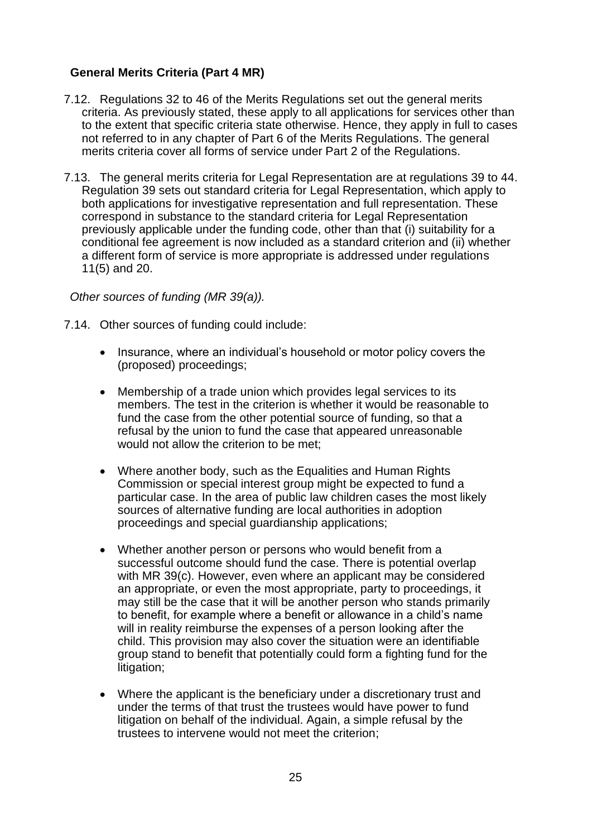# <span id="page-24-0"></span>**General Merits Criteria (Part 4 MR)**

- 7.12. Regulations 32 to 46 of the Merits Regulations set out the general merits criteria. As previously stated, these apply to all applications for services other than to the extent that specific criteria state otherwise. Hence, they apply in full to cases not referred to in any chapter of Part 6 of the Merits Regulations. The general merits criteria cover all forms of service under Part 2 of the Regulations.
- 7.13. The general merits criteria for Legal Representation are at regulations 39 to 44. Regulation 39 sets out standard criteria for Legal Representation, which apply to both applications for investigative representation and full representation. These correspond in substance to the standard criteria for Legal Representation previously applicable under the funding code, other than that (i) suitability for a conditional fee agreement is now included as a standard criterion and (ii) whether a different form of service is more appropriate is addressed under regulations 11(5) and 20.

*Other sources of funding (MR 39(a)).*

- 7.14. Other sources of funding could include:
	- Insurance, where an individual's household or motor policy covers the (proposed) proceedings;
	- Membership of a trade union which provides legal services to its members. The test in the criterion is whether it would be reasonable to fund the case from the other potential source of funding, so that a refusal by the union to fund the case that appeared unreasonable would not allow the criterion to be met;
	- Where another body, such as the Equalities and Human Rights Commission or special interest group might be expected to fund a particular case. In the area of public law children cases the most likely sources of alternative funding are local authorities in adoption proceedings and special guardianship applications;
	- Whether another person or persons who would benefit from a successful outcome should fund the case. There is potential overlap with MR 39(c). However, even where an applicant may be considered an appropriate, or even the most appropriate, party to proceedings, it may still be the case that it will be another person who stands primarily to benefit, for example where a benefit or allowance in a child's name will in reality reimburse the expenses of a person looking after the child. This provision may also cover the situation were an identifiable group stand to benefit that potentially could form a fighting fund for the litigation;
	- Where the applicant is the beneficiary under a discretionary trust and under the terms of that trust the trustees would have power to fund litigation on behalf of the individual. Again, a simple refusal by the trustees to intervene would not meet the criterion;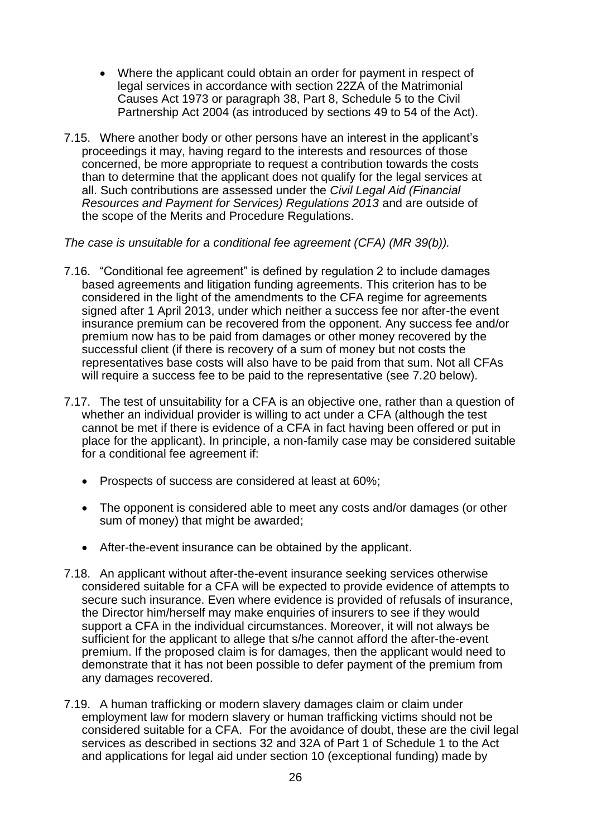- Where the applicant could obtain an order for payment in respect of legal services in accordance with section 22ZA of the Matrimonial Causes Act 1973 or paragraph 38, Part 8, Schedule 5 to the Civil Partnership Act 2004 (as introduced by sections 49 to 54 of the Act).
- 7.15. Where another body or other persons have an interest in the applicant's proceedings it may, having regard to the interests and resources of those concerned, be more appropriate to request a contribution towards the costs than to determine that the applicant does not qualify for the legal services at all. Such contributions are assessed under the *Civil Legal Aid (Financial Resources and Payment for Services) Regulations 2013* and are outside of the scope of the Merits and Procedure Regulations.

*The case is unsuitable for a conditional fee agreement (CFA) (MR 39(b)).*

- 7.16. "Conditional fee agreement" is defined by regulation 2 to include damages based agreements and litigation funding agreements. This criterion has to be considered in the light of the amendments to the CFA regime for agreements signed after 1 April 2013, under which neither a success fee nor after-the event insurance premium can be recovered from the opponent. Any success fee and/or premium now has to be paid from damages or other money recovered by the successful client (if there is recovery of a sum of money but not costs the representatives base costs will also have to be paid from that sum. Not all CFAs will require a success fee to be paid to the representative (see 7.20 below).
- 7.17. The test of unsuitability for a CFA is an objective one, rather than a question of whether an individual provider is willing to act under a CFA (although the test cannot be met if there is evidence of a CFA in fact having been offered or put in place for the applicant). In principle, a non-family case may be considered suitable for a conditional fee agreement if:
	- Prospects of success are considered at least at 60%;
	- The opponent is considered able to meet any costs and/or damages (or other sum of money) that might be awarded;
	- After-the-event insurance can be obtained by the applicant.
- 7.18. An applicant without after-the-event insurance seeking services otherwise considered suitable for a CFA will be expected to provide evidence of attempts to secure such insurance. Even where evidence is provided of refusals of insurance, the Director him/herself may make enquiries of insurers to see if they would support a CFA in the individual circumstances. Moreover, it will not always be sufficient for the applicant to allege that s/he cannot afford the after-the-event premium. If the proposed claim is for damages, then the applicant would need to demonstrate that it has not been possible to defer payment of the premium from any damages recovered.
- 7.19. A human trafficking or modern slavery damages claim or claim under employment law for modern slavery or human trafficking victims should not be considered suitable for a CFA. For the avoidance of doubt, these are the civil legal services as described in sections 32 and 32A of Part 1 of Schedule 1 to the Act and applications for legal aid under section 10 (exceptional funding) made by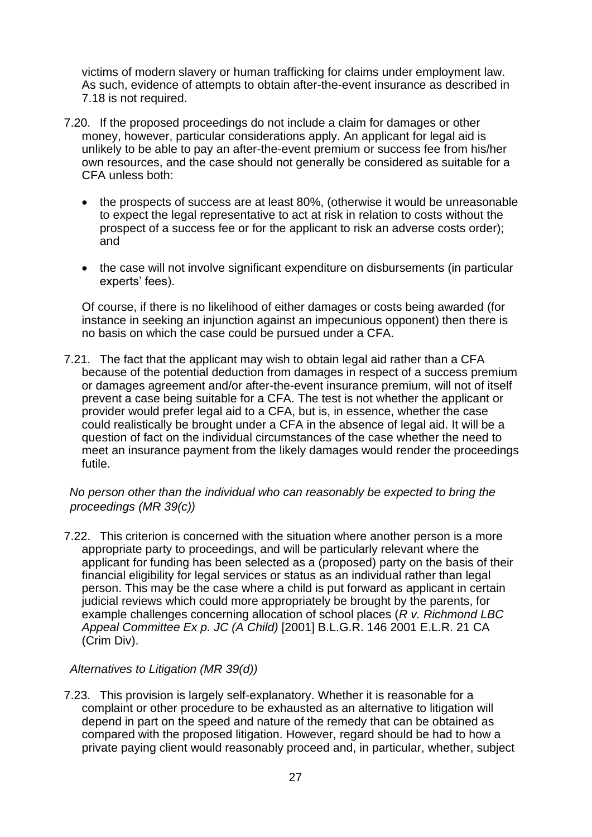victims of modern slavery or human trafficking for claims under employment law. As such, evidence of attempts to obtain after-the-event insurance as described in 7.18 is not required.

- 7.20. If the proposed proceedings do not include a claim for damages or other money, however, particular considerations apply. An applicant for legal aid is unlikely to be able to pay an after-the-event premium or success fee from his/her own resources, and the case should not generally be considered as suitable for a CFA unless both:
	- the prospects of success are at least 80%, (otherwise it would be unreasonable to expect the legal representative to act at risk in relation to costs without the prospect of a success fee or for the applicant to risk an adverse costs order); and
	- the case will not involve significant expenditure on disbursements (in particular experts' fees).

Of course, if there is no likelihood of either damages or costs being awarded (for instance in seeking an injunction against an impecunious opponent) then there is no basis on which the case could be pursued under a CFA.

7.21. The fact that the applicant may wish to obtain legal aid rather than a CFA because of the potential deduction from damages in respect of a success premium or damages agreement and/or after-the-event insurance premium, will not of itself prevent a case being suitable for a CFA. The test is not whether the applicant or provider would prefer legal aid to a CFA, but is, in essence, whether the case could realistically be brought under a CFA in the absence of legal aid. It will be a question of fact on the individual circumstances of the case whether the need to meet an insurance payment from the likely damages would render the proceedings futile.

## *No person other than the individual who can reasonably be expected to bring the proceedings (MR 39(c))*

7.22. This criterion is concerned with the situation where another person is a more appropriate party to proceedings, and will be particularly relevant where the applicant for funding has been selected as a (proposed) party on the basis of their financial eligibility for legal services or status as an individual rather than legal person. This may be the case where a child is put forward as applicant in certain judicial reviews which could more appropriately be brought by the parents, for example challenges concerning allocation of school places (*R v. Richmond LBC Appeal Committee Ex p. JC (A Child)* [2001] B.L.G.R. 146 2001 E.L.R. 21 CA (Crim Div).

## *Alternatives to Litigation (MR 39(d))*

7.23. This provision is largely self-explanatory. Whether it is reasonable for a complaint or other procedure to be exhausted as an alternative to litigation will depend in part on the speed and nature of the remedy that can be obtained as compared with the proposed litigation. However, regard should be had to how a private paying client would reasonably proceed and, in particular, whether, subject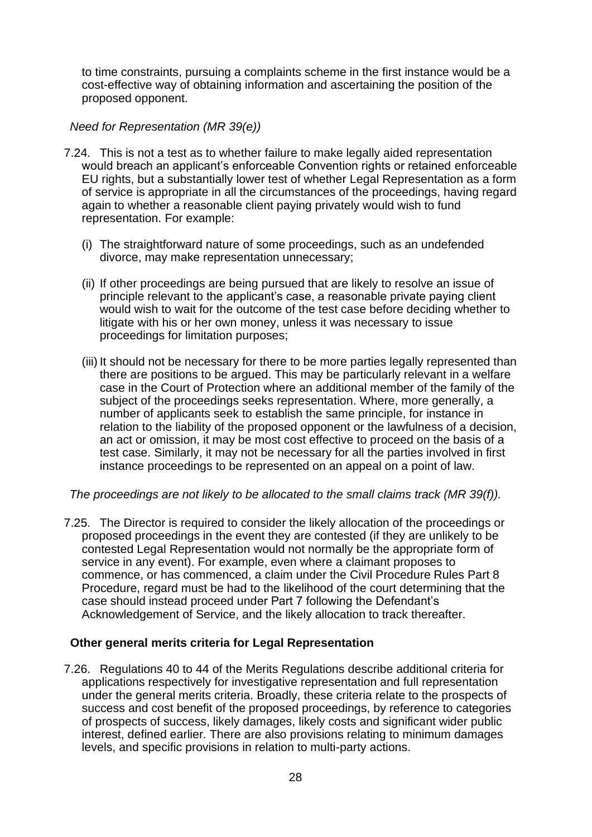to time constraints, pursuing a complaints scheme in the first instance would be a cost-effective way of obtaining information and ascertaining the position of the proposed opponent.

# *Need for Representation (MR 39(e))*

- 7.24. This is not a test as to whether failure to make legally aided representation would breach an applicant's enforceable Convention rights or retained enforceable EU rights, but a substantially lower test of whether Legal Representation as a form of service is appropriate in all the circumstances of the proceedings, having regard again to whether a reasonable client paying privately would wish to fund representation. For example:
	- (i) The straightforward nature of some proceedings, such as an undefended divorce, may make representation unnecessary;
	- (ii) If other proceedings are being pursued that are likely to resolve an issue of principle relevant to the applicant's case, a reasonable private paying client would wish to wait for the outcome of the test case before deciding whether to litigate with his or her own money, unless it was necessary to issue proceedings for limitation purposes;
	- (iii) It should not be necessary for there to be more parties legally represented than there are positions to be argued. This may be particularly relevant in a welfare case in the Court of Protection where an additional member of the family of the subject of the proceedings seeks representation. Where, more generally, a number of applicants seek to establish the same principle, for instance in relation to the liability of the proposed opponent or the lawfulness of a decision, an act or omission, it may be most cost effective to proceed on the basis of a test case. Similarly, it may not be necessary for all the parties involved in first instance proceedings to be represented on an appeal on a point of law.

*The proceedings are not likely to be allocated to the small claims track (MR 39(f)).* 

7.25. The Director is required to consider the likely allocation of the proceedings or proposed proceedings in the event they are contested (if they are unlikely to be contested Legal Representation would not normally be the appropriate form of service in any event). For example, even where a claimant proposes to commence, or has commenced, a claim under the Civil Procedure Rules Part 8 Procedure, regard must be had to the likelihood of the court determining that the case should instead proceed under Part 7 following the Defendant's Acknowledgement of Service, and the likely allocation to track thereafter.

# <span id="page-27-0"></span>**Other general merits criteria for Legal Representation**

7.26. Regulations 40 to 44 of the Merits Regulations describe additional criteria for applications respectively for investigative representation and full representation under the general merits criteria. Broadly, these criteria relate to the prospects of success and cost benefit of the proposed proceedings, by reference to categories of prospects of success, likely damages, likely costs and significant wider public interest, defined earlier. There are also provisions relating to minimum damages levels, and specific provisions in relation to multi-party actions.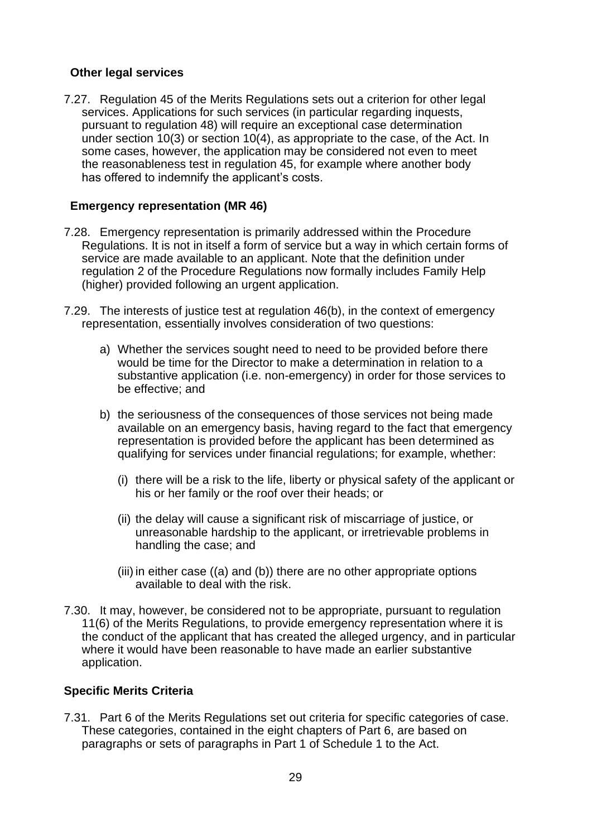## <span id="page-28-0"></span>**Other legal services**

<span id="page-28-1"></span>7.27. Regulation 45 of the Merits Regulations sets out a criterion for other legal services. Applications for such services (in particular regarding inquests, pursuant to regulation 48) will require an exceptional case determination under section 10(3) or section 10(4), as appropriate to the case, of the Act. In some cases, however, the application may be considered not even to meet the reasonableness test in regulation 45, for example where another body has offered to indemnify the applicant's costs.

## **Emergency representation (MR 46)**

- 7.28. Emergency representation is primarily addressed within the Procedure Regulations. It is not in itself a form of service but a way in which certain forms of service are made available to an applicant. Note that the definition under regulation 2 of the Procedure Regulations now formally includes Family Help (higher) provided following an urgent application.
- 7.29. The interests of justice test at regulation 46(b), in the context of emergency representation, essentially involves consideration of two questions:
	- a) Whether the services sought need to need to be provided before there would be time for the Director to make a determination in relation to a substantive application (i.e. non-emergency) in order for those services to be effective; and
	- b) the seriousness of the consequences of those services not being made available on an emergency basis, having regard to the fact that emergency representation is provided before the applicant has been determined as qualifying for services under financial regulations; for example, whether:
		- (i) there will be a risk to the life, liberty or physical safety of the applicant or his or her family or the roof over their heads; or
		- (ii) the delay will cause a significant risk of miscarriage of justice, or unreasonable hardship to the applicant, or irretrievable problems in handling the case; and
		- (iii) in either case ((a) and (b)) there are no other appropriate options available to deal with the risk.
- <span id="page-28-2"></span>7.30. It may, however, be considered not to be appropriate, pursuant to regulation 11(6) of the Merits Regulations, to provide emergency representation where it is the conduct of the applicant that has created the alleged urgency, and in particular where it would have been reasonable to have made an earlier substantive application.

## **Specific Merits Criteria**

7.31. Part 6 of the Merits Regulations set out criteria for specific categories of case. These categories, contained in the eight chapters of Part 6, are based on paragraphs or sets of paragraphs in Part 1 of Schedule 1 to the Act.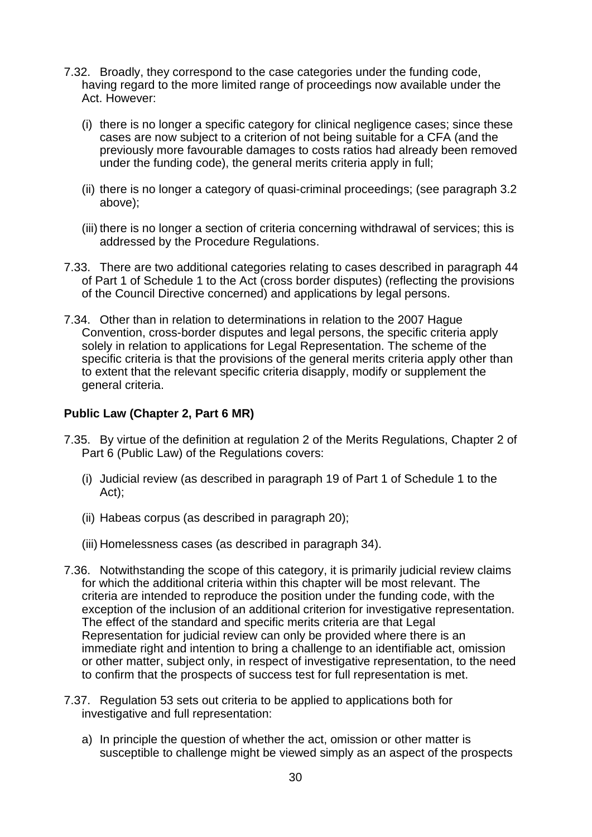- 7.32. Broadly, they correspond to the case categories under the funding code, having regard to the more limited range of proceedings now available under the Act. However:
	- (i) there is no longer a specific category for clinical negligence cases; since these cases are now subject to a criterion of not being suitable for a CFA (and the previously more favourable damages to costs ratios had already been removed under the funding code), the general merits criteria apply in full;
	- (ii) there is no longer a category of quasi-criminal proceedings; (see paragraph 3.2 above);
	- (iii) there is no longer a section of criteria concerning withdrawal of services; this is addressed by the Procedure Regulations.
- 7.33. There are two additional categories relating to cases described in paragraph 44 of Part 1 of Schedule 1 to the Act (cross border disputes) (reflecting the provisions of the Council Directive concerned) and applications by legal persons.
- <span id="page-29-0"></span>7.34. Other than in relation to determinations in relation to the 2007 Hague Convention, cross-border disputes and legal persons, the specific criteria apply solely in relation to applications for Legal Representation. The scheme of the specific criteria is that the provisions of the general merits criteria apply other than to extent that the relevant specific criteria disapply, modify or supplement the general criteria.

### **Public Law (Chapter 2, Part 6 MR)**

- 7.35. By virtue of the definition at regulation 2 of the Merits Regulations, Chapter 2 of Part 6 (Public Law) of the Regulations covers:
	- (i) Judicial review (as described in paragraph 19 of Part 1 of Schedule 1 to the Act);
	- (ii) Habeas corpus (as described in paragraph 20);
	- (iii) Homelessness cases (as described in paragraph 34).
- 7.36. Notwithstanding the scope of this category, it is primarily judicial review claims for which the additional criteria within this chapter will be most relevant. The criteria are intended to reproduce the position under the funding code, with the exception of the inclusion of an additional criterion for investigative representation. The effect of the standard and specific merits criteria are that Legal Representation for judicial review can only be provided where there is an immediate right and intention to bring a challenge to an identifiable act, omission or other matter, subject only, in respect of investigative representation, to the need to confirm that the prospects of success test for full representation is met.
- 7.37. Regulation 53 sets out criteria to be applied to applications both for investigative and full representation:
	- a) In principle the question of whether the act, omission or other matter is susceptible to challenge might be viewed simply as an aspect of the prospects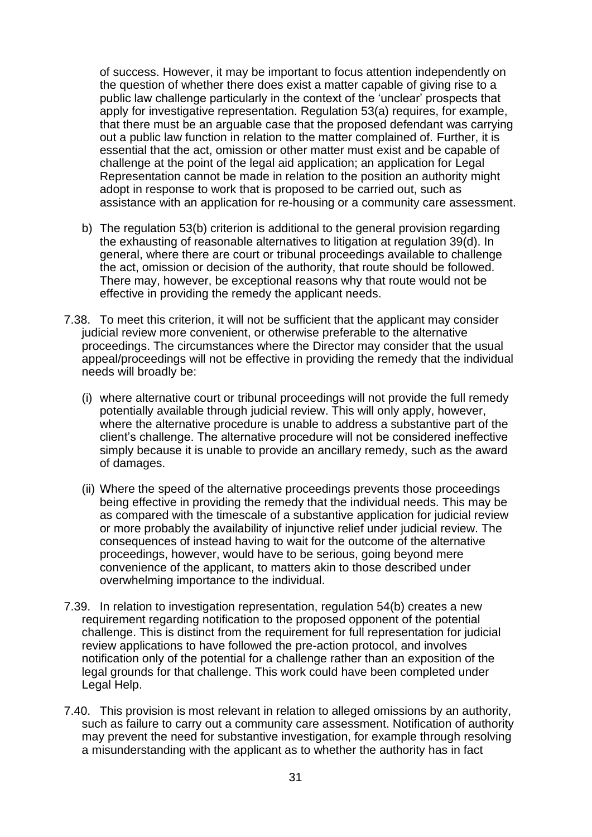of success. However, it may be important to focus attention independently on the question of whether there does exist a matter capable of giving rise to a public law challenge particularly in the context of the 'unclear' prospects that apply for investigative representation. Regulation 53(a) requires, for example, that there must be an arguable case that the proposed defendant was carrying out a public law function in relation to the matter complained of. Further, it is essential that the act, omission or other matter must exist and be capable of challenge at the point of the legal aid application; an application for Legal Representation cannot be made in relation to the position an authority might adopt in response to work that is proposed to be carried out, such as assistance with an application for re-housing or a community care assessment.

- b) The regulation 53(b) criterion is additional to the general provision regarding the exhausting of reasonable alternatives to litigation at regulation 39(d). In general, where there are court or tribunal proceedings available to challenge the act, omission or decision of the authority, that route should be followed. There may, however, be exceptional reasons why that route would not be effective in providing the remedy the applicant needs.
- 7.38. To meet this criterion, it will not be sufficient that the applicant may consider judicial review more convenient, or otherwise preferable to the alternative proceedings. The circumstances where the Director may consider that the usual appeal/proceedings will not be effective in providing the remedy that the individual needs will broadly be:
	- (i) where alternative court or tribunal proceedings will not provide the full remedy potentially available through judicial review. This will only apply, however, where the alternative procedure is unable to address a substantive part of the client's challenge. The alternative procedure will not be considered ineffective simply because it is unable to provide an ancillary remedy, such as the award of damages.
	- (ii) Where the speed of the alternative proceedings prevents those proceedings being effective in providing the remedy that the individual needs. This may be as compared with the timescale of a substantive application for judicial review or more probably the availability of injunctive relief under judicial review. The consequences of instead having to wait for the outcome of the alternative proceedings, however, would have to be serious, going beyond mere convenience of the applicant, to matters akin to those described under overwhelming importance to the individual.
- 7.39. In relation to investigation representation, regulation 54(b) creates a new requirement regarding notification to the proposed opponent of the potential challenge. This is distinct from the requirement for full representation for judicial review applications to have followed the pre-action protocol, and involves notification only of the potential for a challenge rather than an exposition of the legal grounds for that challenge. This work could have been completed under Legal Help.
- 7.40. This provision is most relevant in relation to alleged omissions by an authority, such as failure to carry out a community care assessment. Notification of authority may prevent the need for substantive investigation, for example through resolving a misunderstanding with the applicant as to whether the authority has in fact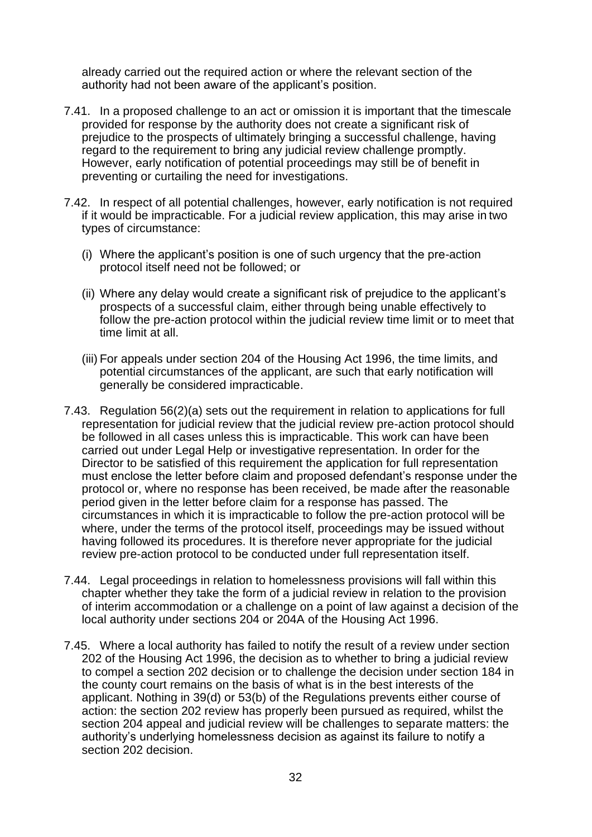already carried out the required action or where the relevant section of the authority had not been aware of the applicant's position.

- 7.41. In a proposed challenge to an act or omission it is important that the timescale provided for response by the authority does not create a significant risk of prejudice to the prospects of ultimately bringing a successful challenge, having regard to the requirement to bring any judicial review challenge promptly. However, early notification of potential proceedings may still be of benefit in preventing or curtailing the need for investigations.
- 7.42. In respect of all potential challenges, however, early notification is not required if it would be impracticable. For a judicial review application, this may arise in two types of circumstance:
	- (i) Where the applicant's position is one of such urgency that the pre-action protocol itself need not be followed; or
	- (ii) Where any delay would create a significant risk of prejudice to the applicant's prospects of a successful claim, either through being unable effectively to follow the pre-action protocol within the judicial review time limit or to meet that time limit at all.
	- (iii) For appeals under section 204 of the Housing Act 1996, the time limits, and potential circumstances of the applicant, are such that early notification will generally be considered impracticable.
- 7.43. Regulation 56(2)(a) sets out the requirement in relation to applications for full representation for judicial review that the judicial review pre-action protocol should be followed in all cases unless this is impracticable. This work can have been carried out under Legal Help or investigative representation. In order for the Director to be satisfied of this requirement the application for full representation must enclose the letter before claim and proposed defendant's response under the protocol or, where no response has been received, be made after the reasonable period given in the letter before claim for a response has passed. The circumstances in which it is impracticable to follow the pre-action protocol will be where, under the terms of the protocol itself, proceedings may be issued without having followed its procedures. It is therefore never appropriate for the judicial review pre-action protocol to be conducted under full representation itself.
- 7.44. Legal proceedings in relation to homelessness provisions will fall within this chapter whether they take the form of a judicial review in relation to the provision of interim accommodation or a challenge on a point of law against a decision of the local authority under sections 204 or 204A of the Housing Act 1996.
- 7.45. Where a local authority has failed to notify the result of a review under section 202 of the Housing Act 1996, the decision as to whether to bring a judicial review to compel a section 202 decision or to challenge the decision under section 184 in the county court remains on the basis of what is in the best interests of the applicant. Nothing in 39(d) or 53(b) of the Regulations prevents either course of action: the section 202 review has properly been pursued as required, whilst the section 204 appeal and judicial review will be challenges to separate matters: the authority's underlying homelessness decision as against its failure to notify a section 202 decision.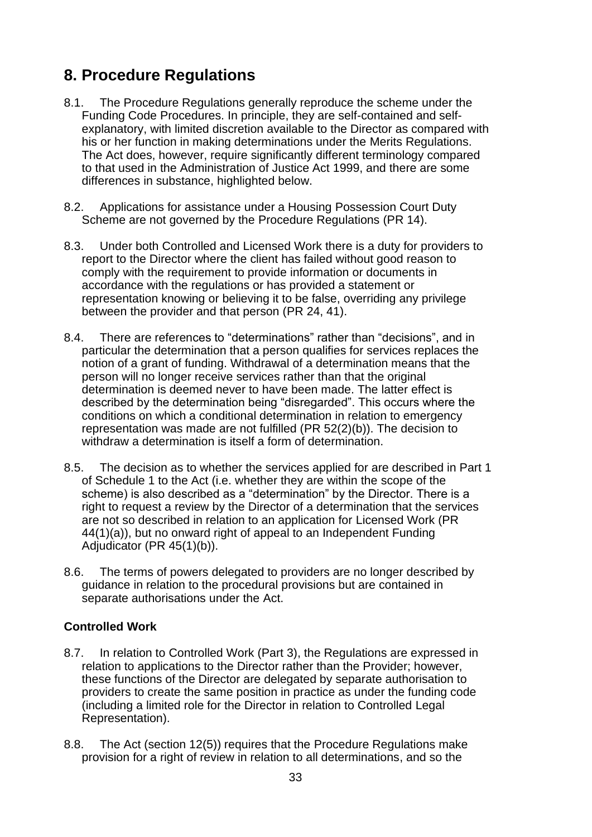# <span id="page-32-0"></span>**8. Procedure Regulations**

- 8.1. The Procedure Regulations generally reproduce the scheme under the Funding Code Procedures. In principle, they are self-contained and selfexplanatory, with limited discretion available to the Director as compared with his or her function in making determinations under the Merits Regulations. The Act does, however, require significantly different terminology compared to that used in the Administration of Justice Act 1999, and there are some differences in substance, highlighted below.
- 8.2. Applications for assistance under a Housing Possession Court Duty Scheme are not governed by the Procedure Regulations (PR 14).
- 8.3. Under both Controlled and Licensed Work there is a duty for providers to report to the Director where the client has failed without good reason to comply with the requirement to provide information or documents in accordance with the regulations or has provided a statement or representation knowing or believing it to be false, overriding any privilege between the provider and that person (PR 24, 41).
- 8.4. There are references to "determinations" rather than "decisions", and in particular the determination that a person qualifies for services replaces the notion of a grant of funding. Withdrawal of a determination means that the person will no longer receive services rather than that the original determination is deemed never to have been made. The latter effect is described by the determination being "disregarded". This occurs where the conditions on which a conditional determination in relation to emergency representation was made are not fulfilled (PR 52(2)(b)). The decision to withdraw a determination is itself a form of determination.
- 8.5. The decision as to whether the services applied for are described in Part 1 of Schedule 1 to the Act (i.e. whether they are within the scope of the scheme) is also described as a "determination" by the Director. There is a right to request a review by the Director of a determination that the services are not so described in relation to an application for Licensed Work (PR 44(1)(a)), but no onward right of appeal to an Independent Funding Adjudicator (PR 45(1)(b)).
- <span id="page-32-1"></span>8.6. The terms of powers delegated to providers are no longer described by guidance in relation to the procedural provisions but are contained in separate authorisations under the Act.

# **Controlled Work**

- 8.7. In relation to Controlled Work (Part 3), the Regulations are expressed in relation to applications to the Director rather than the Provider; however, these functions of the Director are delegated by separate authorisation to providers to create the same position in practice as under the funding code (including a limited role for the Director in relation to Controlled Legal Representation).
- 8.8. The Act (section 12(5)) requires that the Procedure Regulations make provision for a right of review in relation to all determinations, and so the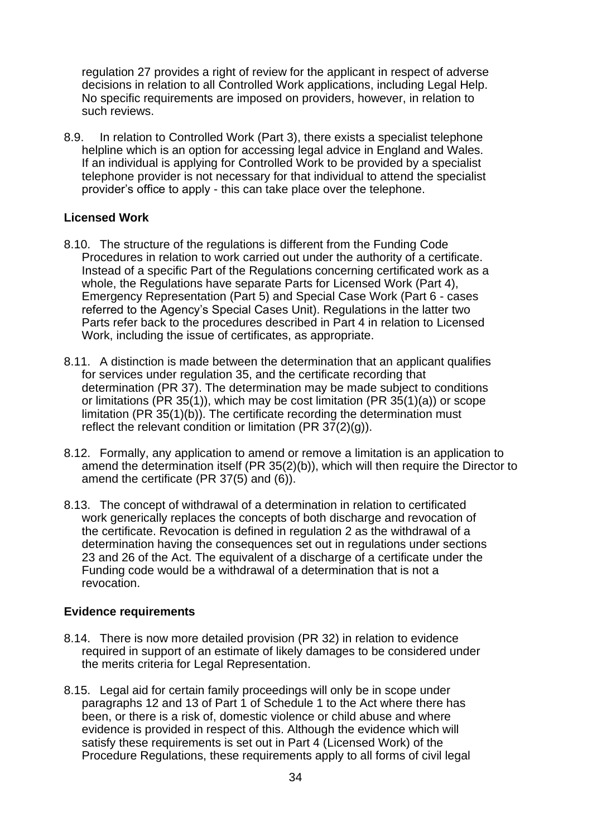regulation 27 provides a right of review for the applicant in respect of adverse decisions in relation to all Controlled Work applications, including Legal Help. No specific requirements are imposed on providers, however, in relation to such reviews.

<span id="page-33-0"></span>8.9. In relation to Controlled Work (Part 3), there exists a specialist telephone helpline which is an option for accessing legal advice in England and Wales. If an individual is applying for Controlled Work to be provided by a specialist telephone provider is not necessary for that individual to attend the specialist provider's office to apply - this can take place over the telephone.

## **Licensed Work**

- 8.10. The structure of the regulations is different from the Funding Code Procedures in relation to work carried out under the authority of a certificate. Instead of a specific Part of the Regulations concerning certificated work as a whole, the Regulations have separate Parts for Licensed Work (Part 4), Emergency Representation (Part 5) and Special Case Work (Part 6 - cases referred to the Agency's Special Cases Unit). Regulations in the latter two Parts refer back to the procedures described in Part 4 in relation to Licensed Work, including the issue of certificates, as appropriate.
- 8.11. A distinction is made between the determination that an applicant qualifies for services under regulation 35, and the certificate recording that determination (PR 37). The determination may be made subject to conditions or limitations (PR 35(1)), which may be cost limitation (PR 35(1)(a)) or scope limitation (PR 35(1)(b)). The certificate recording the determination must reflect the relevant condition or limitation (PR  $37(2)(g)$ ).
- 8.12. Formally, any application to amend or remove a limitation is an application to amend the determination itself (PR 35(2)(b)), which will then require the Director to amend the certificate (PR 37(5) and (6)).
- <span id="page-33-1"></span>8.13. The concept of withdrawal of a determination in relation to certificated work generically replaces the concepts of both discharge and revocation of the certificate. Revocation is defined in regulation 2 as the withdrawal of a determination having the consequences set out in regulations under sections 23 and 26 of the Act. The equivalent of a discharge of a certificate under the Funding code would be a withdrawal of a determination that is not a revocation.

## **Evidence requirements**

- 8.14. There is now more detailed provision (PR 32) in relation to evidence required in support of an estimate of likely damages to be considered under the merits criteria for Legal Representation.
- 8.15. Legal aid for certain family proceedings will only be in scope under paragraphs 12 and 13 of Part 1 of Schedule 1 to the Act where there has been, or there is a risk of, domestic violence or child abuse and where evidence is provided in respect of this. Although the evidence which will satisfy these requirements is set out in Part 4 (Licensed Work) of the Procedure Regulations, these requirements apply to all forms of civil legal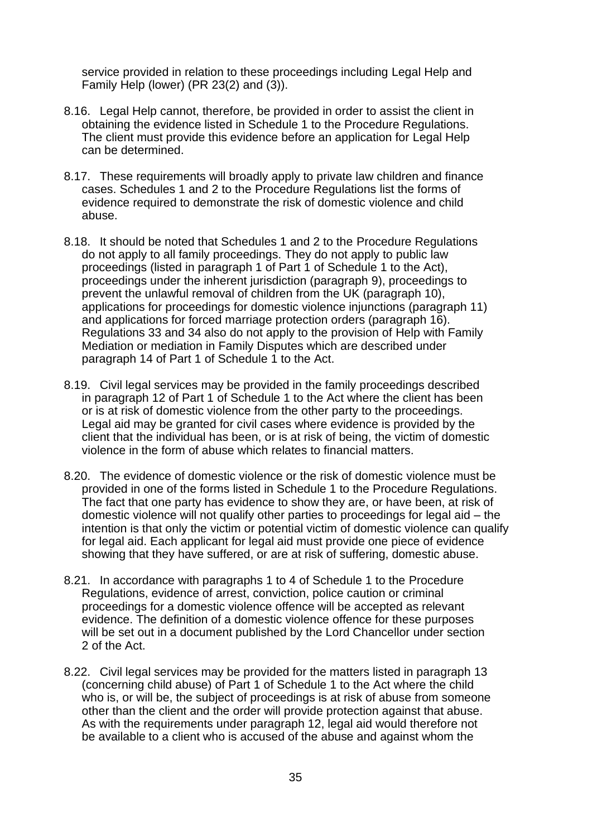service provided in relation to these proceedings including Legal Help and Family Help (lower) (PR 23(2) and (3)).

- 8.16. Legal Help cannot, therefore, be provided in order to assist the client in obtaining the evidence listed in Schedule 1 to the Procedure Regulations. The client must provide this evidence before an application for Legal Help can be determined.
- 8.17. These requirements will broadly apply to private law children and finance cases. Schedules 1 and 2 to the Procedure Regulations list the forms of evidence required to demonstrate the risk of domestic violence and child abuse.
- 8.18. It should be noted that Schedules 1 and 2 to the Procedure Regulations do not apply to all family proceedings. They do not apply to public law proceedings (listed in paragraph 1 of Part 1 of Schedule 1 to the Act), proceedings under the inherent jurisdiction (paragraph 9), proceedings to prevent the unlawful removal of children from the UK (paragraph 10), applications for proceedings for domestic violence injunctions (paragraph 11) and applications for forced marriage protection orders (paragraph 16). Regulations 33 and 34 also do not apply to the provision of Help with Family Mediation or mediation in Family Disputes which are described under paragraph 14 of Part 1 of Schedule 1 to the Act.
- 8.19. Civil legal services may be provided in the family proceedings described in paragraph 12 of Part 1 of Schedule 1 to the Act where the client has been or is at risk of domestic violence from the other party to the proceedings. Legal aid may be granted for civil cases where evidence is provided by the client that the individual has been, or is at risk of being, the victim of domestic violence in the form of abuse which relates to financial matters.
- 8.20. The evidence of domestic violence or the risk of domestic violence must be provided in one of the forms listed in Schedule 1 to the Procedure Regulations. The fact that one party has evidence to show they are, or have been, at risk of domestic violence will not qualify other parties to proceedings for legal aid – the intention is that only the victim or potential victim of domestic violence can qualify for legal aid. Each applicant for legal aid must provide one piece of evidence showing that they have suffered, or are at risk of suffering, domestic abuse.
- 8.21. In accordance with paragraphs 1 to 4 of Schedule 1 to the Procedure Regulations, evidence of arrest, conviction, police caution or criminal proceedings for a domestic violence offence will be accepted as relevant evidence. The definition of a domestic violence offence for these purposes will be set out in a document published by the Lord Chancellor under section 2 of the Act.
- 8.22. Civil legal services may be provided for the matters listed in paragraph 13 (concerning child abuse) of Part 1 of Schedule 1 to the Act where the child who is, or will be, the subject of proceedings is at risk of abuse from someone other than the client and the order will provide protection against that abuse. As with the requirements under paragraph 12, legal aid would therefore not be available to a client who is accused of the abuse and against whom the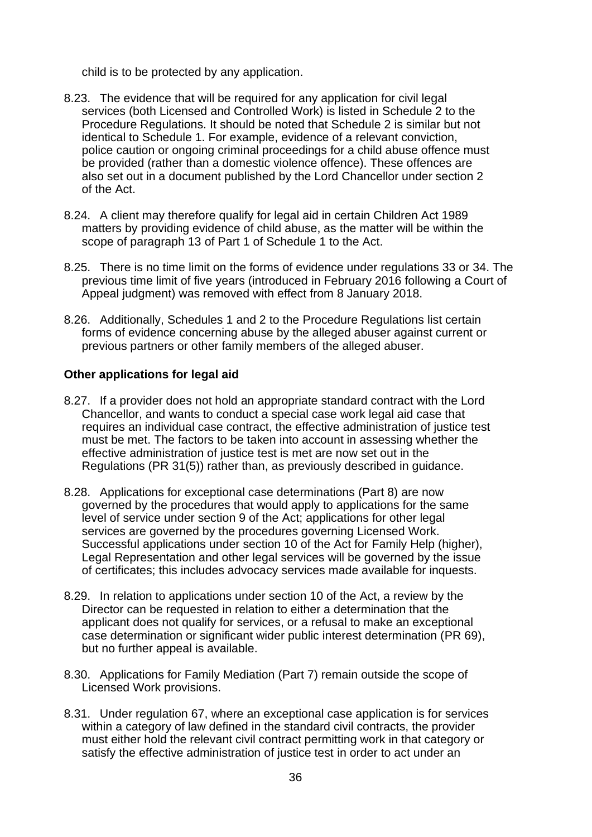child is to be protected by any application.

- 8.23. The evidence that will be required for any application for civil legal services (both Licensed and Controlled Work) is listed in Schedule 2 to the Procedure Regulations. It should be noted that Schedule 2 is similar but not identical to Schedule 1. For example, evidence of a relevant conviction, police caution or ongoing criminal proceedings for a child abuse offence must be provided (rather than a domestic violence offence). These offences are also set out in a document published by the Lord Chancellor under section 2 of the Act.
- 8.24. A client may therefore qualify for legal aid in certain Children Act 1989 matters by providing evidence of child abuse, as the matter will be within the scope of paragraph 13 of Part 1 of Schedule 1 to the Act.
- 8.25. There is no time limit on the forms of evidence under regulations 33 or 34. The previous time limit of five years (introduced in February 2016 following a Court of Appeal judgment) was removed with effect from 8 January 2018.
- <span id="page-35-0"></span>8.26. Additionally, Schedules 1 and 2 to the Procedure Regulations list certain forms of evidence concerning abuse by the alleged abuser against current or previous partners or other family members of the alleged abuser.

## **Other applications for legal aid**

- 8.27. If a provider does not hold an appropriate standard contract with the Lord Chancellor, and wants to conduct a special case work legal aid case that requires an individual case contract, the effective administration of justice test must be met. The factors to be taken into account in assessing whether the effective administration of justice test is met are now set out in the Regulations (PR 31(5)) rather than, as previously described in guidance.
- 8.28. Applications for exceptional case determinations (Part 8) are now governed by the procedures that would apply to applications for the same level of service under section 9 of the Act; applications for other legal services are governed by the procedures governing Licensed Work. Successful applications under section 10 of the Act for Family Help (higher), Legal Representation and other legal services will be governed by the issue of certificates; this includes advocacy services made available for inquests.
- 8.29. In relation to applications under section 10 of the Act, a review by the Director can be requested in relation to either a determination that the applicant does not qualify for services, or a refusal to make an exceptional case determination or significant wider public interest determination (PR 69), but no further appeal is available.
- 8.30. Applications for Family Mediation (Part 7) remain outside the scope of Licensed Work provisions.
- 8.31. Under regulation 67, where an exceptional case application is for services within a category of law defined in the standard civil contracts, the provider must either hold the relevant civil contract permitting work in that category or satisfy the effective administration of justice test in order to act under an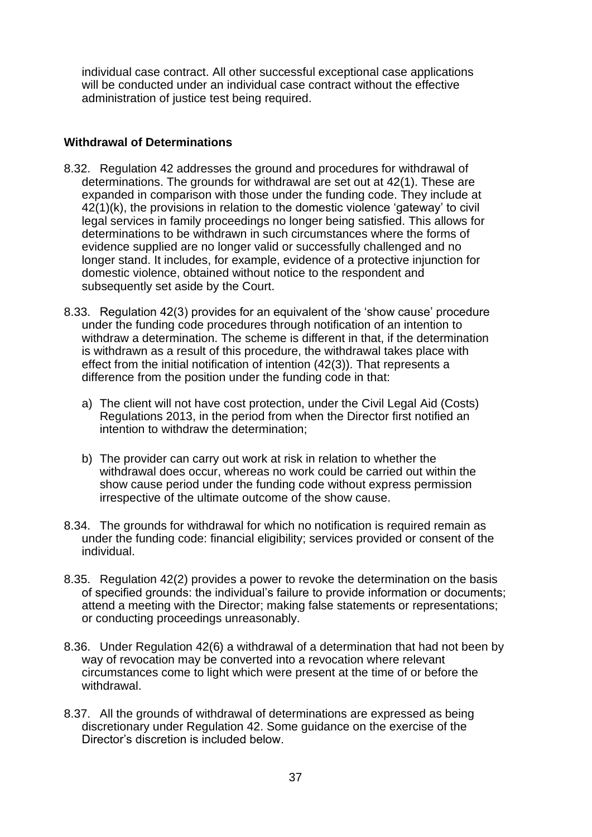<span id="page-36-0"></span>individual case contract. All other successful exceptional case applications will be conducted under an individual case contract without the effective administration of justice test being required.

## **Withdrawal of Determinations**

- 8.32. Regulation 42 addresses the ground and procedures for withdrawal of determinations. The grounds for withdrawal are set out at 42(1). These are expanded in comparison with those under the funding code. They include at 42(1)(k), the provisions in relation to the domestic violence 'gateway' to civil legal services in family proceedings no longer being satisfied. This allows for determinations to be withdrawn in such circumstances where the forms of evidence supplied are no longer valid or successfully challenged and no longer stand. It includes, for example, evidence of a protective injunction for domestic violence, obtained without notice to the respondent and subsequently set aside by the Court.
- 8.33. Regulation 42(3) provides for an equivalent of the 'show cause' procedure under the funding code procedures through notification of an intention to withdraw a determination. The scheme is different in that, if the determination is withdrawn as a result of this procedure, the withdrawal takes place with effect from the initial notification of intention (42(3)). That represents a difference from the position under the funding code in that:
	- a) The client will not have cost protection, under the Civil Legal Aid (Costs) Regulations 2013, in the period from when the Director first notified an intention to withdraw the determination;
	- b) The provider can carry out work at risk in relation to whether the withdrawal does occur, whereas no work could be carried out within the show cause period under the funding code without express permission irrespective of the ultimate outcome of the show cause.
- 8.34. The grounds for withdrawal for which no notification is required remain as under the funding code: financial eligibility; services provided or consent of the individual.
- 8.35. Regulation 42(2) provides a power to revoke the determination on the basis of specified grounds: the individual's failure to provide information or documents; attend a meeting with the Director; making false statements or representations; or conducting proceedings unreasonably.
- 8.36. Under Regulation 42(6) a withdrawal of a determination that had not been by way of revocation may be converted into a revocation where relevant circumstances come to light which were present at the time of or before the withdrawal.
- 8.37. All the grounds of withdrawal of determinations are expressed as being discretionary under Regulation 42. Some guidance on the exercise of the Director's discretion is included below.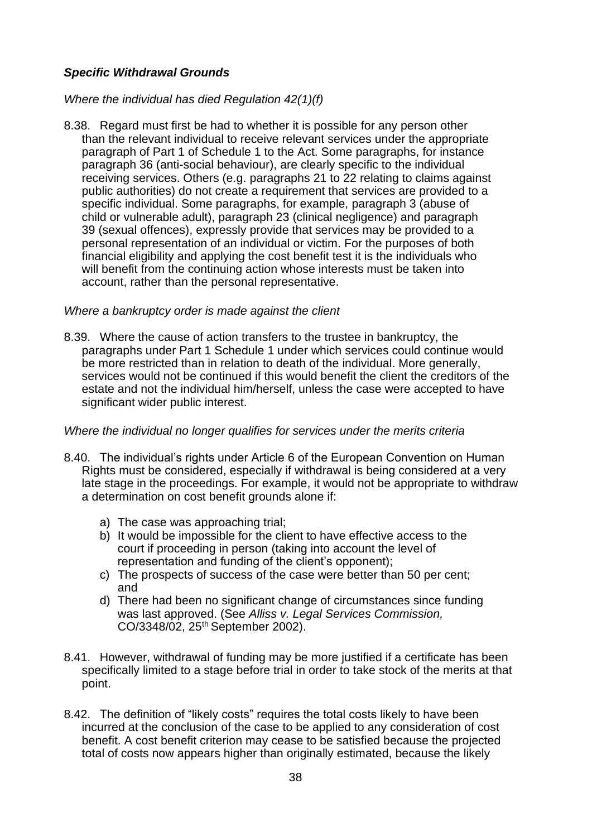# *Specific Withdrawal Grounds*

# *Where the individual has died Regulation 42(1)(f)*

8.38. Regard must first be had to whether it is possible for any person other than the relevant individual to receive relevant services under the appropriate paragraph of Part 1 of Schedule 1 to the Act. Some paragraphs, for instance paragraph 36 (anti-social behaviour), are clearly specific to the individual receiving services. Others (e.g. paragraphs 21 to 22 relating to claims against public authorities) do not create a requirement that services are provided to a specific individual. Some paragraphs, for example, paragraph 3 (abuse of child or vulnerable adult), paragraph 23 (clinical negligence) and paragraph 39 (sexual offences), expressly provide that services may be provided to a personal representation of an individual or victim. For the purposes of both financial eligibility and applying the cost benefit test it is the individuals who will benefit from the continuing action whose interests must be taken into account, rather than the personal representative.

## *Where a bankruptcy order is made against the client*

8.39. Where the cause of action transfers to the trustee in bankruptcy, the paragraphs under Part 1 Schedule 1 under which services could continue would be more restricted than in relation to death of the individual. More generally, services would not be continued if this would benefit the client the creditors of the estate and not the individual him/herself, unless the case were accepted to have significant wider public interest.

## *Where the individual no longer qualifies for services under the merits criteria*

- 8.40. The individual's rights under Article 6 of the European Convention on Human Rights must be considered, especially if withdrawal is being considered at a very late stage in the proceedings. For example, it would not be appropriate to withdraw a determination on cost benefit grounds alone if:
	- a) The case was approaching trial;
	- b) It would be impossible for the client to have effective access to the court if proceeding in person (taking into account the level of representation and funding of the client's opponent);
	- c) The prospects of success of the case were better than 50 per cent; and
	- d) There had been no significant change of circumstances since funding was last approved. (See *Alliss v. Legal Services Commission,* CO/3348/02, 25th September 2002).
- 8.41. However, withdrawal of funding may be more justified if a certificate has been specifically limited to a stage before trial in order to take stock of the merits at that point.
- 8.42. The definition of "likely costs" requires the total costs likely to have been incurred at the conclusion of the case to be applied to any consideration of cost benefit. A cost benefit criterion may cease to be satisfied because the projected total of costs now appears higher than originally estimated, because the likely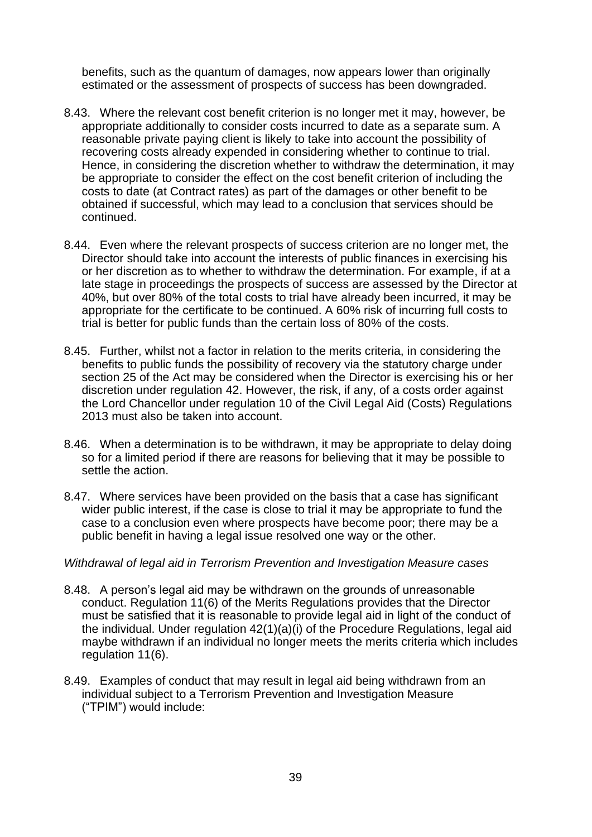benefits, such as the quantum of damages, now appears lower than originally estimated or the assessment of prospects of success has been downgraded.

- 8.43. Where the relevant cost benefit criterion is no longer met it may, however, be appropriate additionally to consider costs incurred to date as a separate sum. A reasonable private paying client is likely to take into account the possibility of recovering costs already expended in considering whether to continue to trial. Hence, in considering the discretion whether to withdraw the determination, it may be appropriate to consider the effect on the cost benefit criterion of including the costs to date (at Contract rates) as part of the damages or other benefit to be obtained if successful, which may lead to a conclusion that services should be continued.
- 8.44. Even where the relevant prospects of success criterion are no longer met, the Director should take into account the interests of public finances in exercising his or her discretion as to whether to withdraw the determination. For example, if at a late stage in proceedings the prospects of success are assessed by the Director at 40%, but over 80% of the total costs to trial have already been incurred, it may be appropriate for the certificate to be continued. A 60% risk of incurring full costs to trial is better for public funds than the certain loss of 80% of the costs.
- 8.45. Further, whilst not a factor in relation to the merits criteria, in considering the benefits to public funds the possibility of recovery via the statutory charge under section 25 of the Act may be considered when the Director is exercising his or her discretion under regulation 42. However, the risk, if any, of a costs order against the Lord Chancellor under regulation 10 of the Civil Legal Aid (Costs) Regulations 2013 must also be taken into account.
- 8.46. When a determination is to be withdrawn, it may be appropriate to delay doing so for a limited period if there are reasons for believing that it may be possible to settle the action.
- 8.47. Where services have been provided on the basis that a case has significant wider public interest, if the case is close to trial it may be appropriate to fund the case to a conclusion even where prospects have become poor; there may be a public benefit in having a legal issue resolved one way or the other.

#### *Withdrawal of legal aid in Terrorism Prevention and Investigation Measure cases*

- 8.48. A person's legal aid may be withdrawn on the grounds of unreasonable conduct. Regulation 11(6) of the Merits Regulations provides that the Director must be satisfied that it is reasonable to provide legal aid in light of the conduct of the individual. Under regulation 42(1)(a)(i) of the Procedure Regulations, legal aid maybe withdrawn if an individual no longer meets the merits criteria which includes regulation 11(6).
- 8.49. Examples of conduct that may result in legal aid being withdrawn from an individual subject to a Terrorism Prevention and Investigation Measure ("TPIM") would include: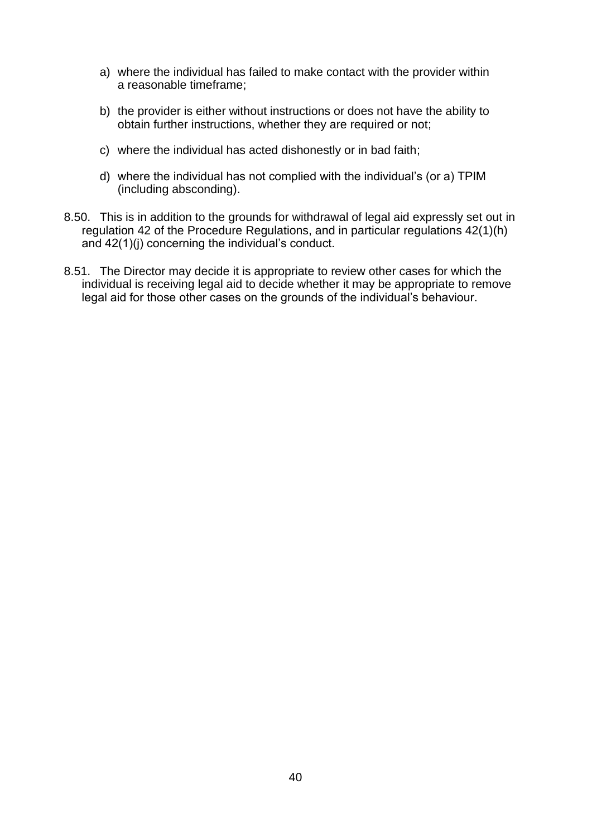- a) where the individual has failed to make contact with the provider within a reasonable timeframe;
- b) the provider is either without instructions or does not have the ability to obtain further instructions, whether they are required or not;
- c) where the individual has acted dishonestly or in bad faith;
- d) where the individual has not complied with the individual's (or a) TPIM (including absconding).
- 8.50. This is in addition to the grounds for withdrawal of legal aid expressly set out in regulation 42 of the Procedure Regulations, and in particular regulations 42(1)(h) and 42(1)(j) concerning the individual's conduct.
- 8.51. The Director may decide it is appropriate to review other cases for which the individual is receiving legal aid to decide whether it may be appropriate to remove legal aid for those other cases on the grounds of the individual's behaviour.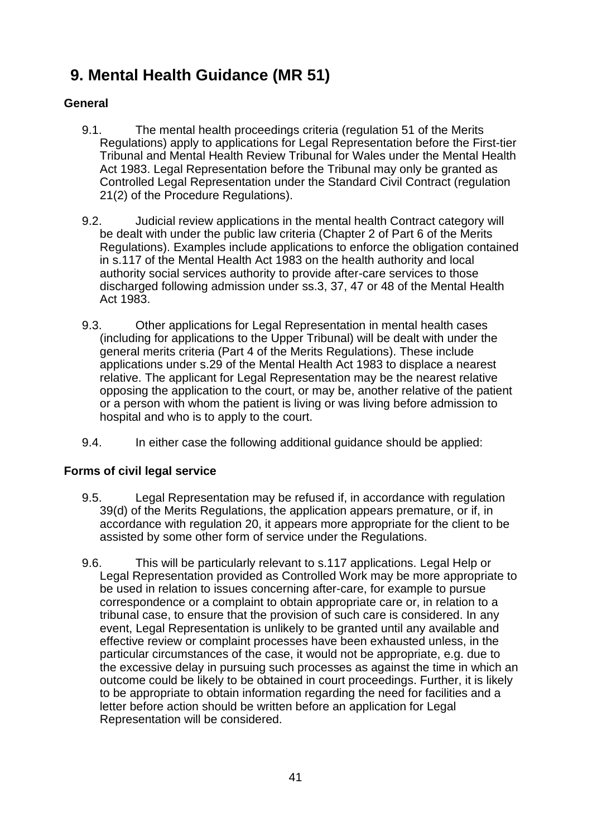# <span id="page-40-1"></span><span id="page-40-0"></span>**9. Mental Health Guidance (MR 51)**

# **General**

- 9.1. The mental health proceedings criteria (regulation 51 of the Merits Regulations) apply to applications for Legal Representation before the First-tier Tribunal and Mental Health Review Tribunal for Wales under the Mental Health Act 1983. Legal Representation before the Tribunal may only be granted as Controlled Legal Representation under the Standard Civil Contract (regulation 21(2) of the Procedure Regulations).
- 9.2. Judicial review applications in the mental health Contract category will be dealt with under the public law criteria (Chapter 2 of Part 6 of the Merits Regulations). Examples include applications to enforce the obligation contained in s.117 of the Mental Health Act 1983 on the health authority and local authority social services authority to provide after-care services to those discharged following admission under ss.3, 37, 47 or 48 of the Mental Health Act 1983.
- 9.3. Other applications for Legal Representation in mental health cases (including for applications to the Upper Tribunal) will be dealt with under the general merits criteria (Part 4 of the Merits Regulations). These include applications under s.29 of the Mental Health Act 1983 to displace a nearest relative. The applicant for Legal Representation may be the nearest relative opposing the application to the court, or may be, another relative of the patient or a person with whom the patient is living or was living before admission to hospital and who is to apply to the court.
- <span id="page-40-2"></span>9.4. In either case the following additional guidance should be applied:

# **Forms of civil legal service**

- 9.5. Legal Representation may be refused if, in accordance with regulation 39(d) of the Merits Regulations, the application appears premature, or if, in accordance with regulation 20, it appears more appropriate for the client to be assisted by some other form of service under the Regulations.
- 9.6. This will be particularly relevant to s.117 applications. Legal Help or Legal Representation provided as Controlled Work may be more appropriate to be used in relation to issues concerning after-care, for example to pursue correspondence or a complaint to obtain appropriate care or, in relation to a tribunal case, to ensure that the provision of such care is considered. In any event, Legal Representation is unlikely to be granted until any available and effective review or complaint processes have been exhausted unless, in the particular circumstances of the case, it would not be appropriate, e.g. due to the excessive delay in pursuing such processes as against the time in which an outcome could be likely to be obtained in court proceedings. Further, it is likely to be appropriate to obtain information regarding the need for facilities and a letter before action should be written before an application for Legal Representation will be considered.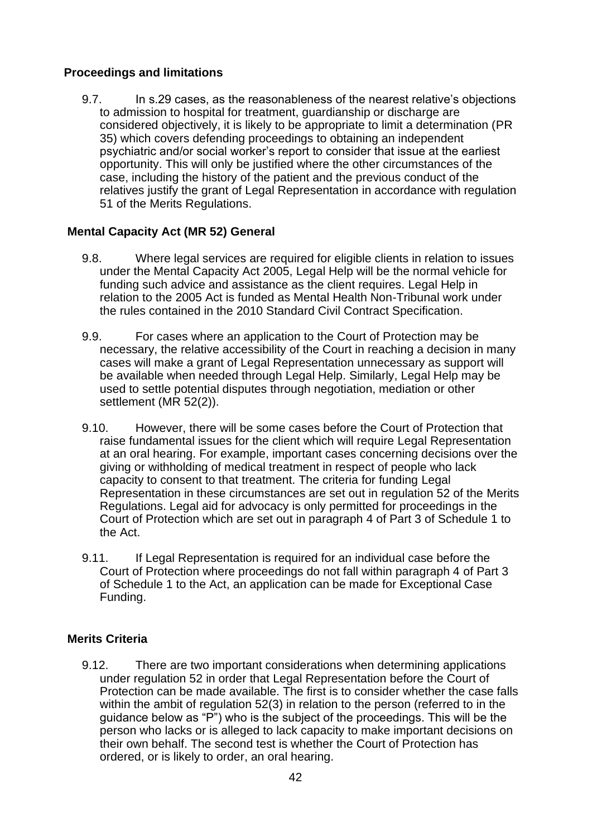## <span id="page-41-0"></span>**Proceedings and limitations**

9.7. In s.29 cases, as the reasonableness of the nearest relative's objections to admission to hospital for treatment, guardianship or discharge are considered objectively, it is likely to be appropriate to limit a determination (PR 35) which covers defending proceedings to obtaining an independent psychiatric and/or social worker's report to consider that issue at the earliest opportunity. This will only be justified where the other circumstances of the case, including the history of the patient and the previous conduct of the relatives justify the grant of Legal Representation in accordance with regulation 51 of the Merits Regulations.

# <span id="page-41-1"></span>**Mental Capacity Act (MR 52) General**

- 9.8. Where legal services are required for eligible clients in relation to issues under the Mental Capacity Act 2005, Legal Help will be the normal vehicle for funding such advice and assistance as the client requires. Legal Help in relation to the 2005 Act is funded as Mental Health Non-Tribunal work under the rules contained in the 2010 Standard Civil Contract Specification.
- 9.9. For cases where an application to the Court of Protection may be necessary, the relative accessibility of the Court in reaching a decision in many cases will make a grant of Legal Representation unnecessary as support will be available when needed through Legal Help. Similarly, Legal Help may be used to settle potential disputes through negotiation, mediation or other settlement (MR 52(2)).
- 9.10. However, there will be some cases before the Court of Protection that raise fundamental issues for the client which will require Legal Representation at an oral hearing. For example, important cases concerning decisions over the giving or withholding of medical treatment in respect of people who lack capacity to consent to that treatment. The criteria for funding Legal Representation in these circumstances are set out in regulation 52 of the Merits Regulations. Legal aid for advocacy is only permitted for proceedings in the Court of Protection which are set out in paragraph 4 of Part 3 of Schedule 1 to the Act.
- <span id="page-41-2"></span>9.11. If Legal Representation is required for an individual case before the Court of Protection where proceedings do not fall within paragraph 4 of Part 3 of Schedule 1 to the Act, an application can be made for Exceptional Case Funding.

# **Merits Criteria**

9.12. There are two important considerations when determining applications under regulation 52 in order that Legal Representation before the Court of Protection can be made available. The first is to consider whether the case falls within the ambit of regulation 52(3) in relation to the person (referred to in the guidance below as "P") who is the subject of the proceedings. This will be the person who lacks or is alleged to lack capacity to make important decisions on their own behalf. The second test is whether the Court of Protection has ordered, or is likely to order, an oral hearing.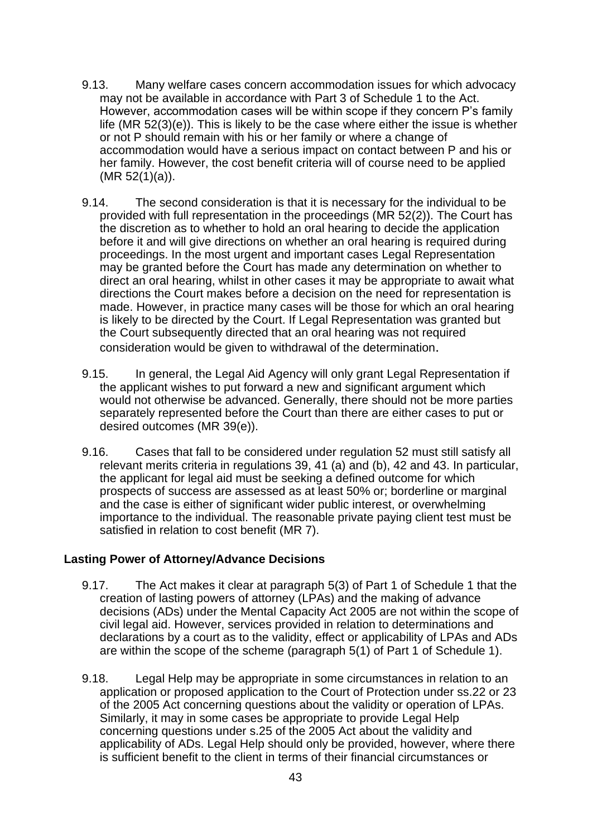- 9.13. Many welfare cases concern accommodation issues for which advocacy may not be available in accordance with Part 3 of Schedule 1 to the Act. However, accommodation cases will be within scope if they concern P's family life (MR 52(3)(e)). This is likely to be the case where either the issue is whether or not P should remain with his or her family or where a change of accommodation would have a serious impact on contact between P and his or her family. However, the cost benefit criteria will of course need to be applied (MR 52(1)(a)).
- 9.14. The second consideration is that it is necessary for the individual to be provided with full representation in the proceedings (MR 52(2)). The Court has the discretion as to whether to hold an oral hearing to decide the application before it and will give directions on whether an oral hearing is required during proceedings. In the most urgent and important cases Legal Representation may be granted before the Court has made any determination on whether to direct an oral hearing, whilst in other cases it may be appropriate to await what directions the Court makes before a decision on the need for representation is made. However, in practice many cases will be those for which an oral hearing is likely to be directed by the Court. If Legal Representation was granted but the Court subsequently directed that an oral hearing was not required consideration would be given to withdrawal of the determination.
- 9.15. In general, the Legal Aid Agency will only grant Legal Representation if the applicant wishes to put forward a new and significant argument which would not otherwise be advanced. Generally, there should not be more parties separately represented before the Court than there are either cases to put or desired outcomes (MR 39(e)).
- <span id="page-42-0"></span>9.16. Cases that fall to be considered under regulation 52 must still satisfy all relevant merits criteria in regulations 39, 41 (a) and (b), 42 and 43. In particular, the applicant for legal aid must be seeking a defined outcome for which prospects of success are assessed as at least 50% or; borderline or marginal and the case is either of significant wider public interest, or overwhelming importance to the individual. The reasonable private paying client test must be satisfied in relation to cost benefit (MR 7).

## **Lasting Power of Attorney/Advance Decisions**

- 9.17. The Act makes it clear at paragraph 5(3) of Part 1 of Schedule 1 that the creation of lasting powers of attorney (LPAs) and the making of advance decisions (ADs) under the Mental Capacity Act 2005 are not within the scope of civil legal aid. However, services provided in relation to determinations and declarations by a court as to the validity, effect or applicability of LPAs and ADs are within the scope of the scheme (paragraph 5(1) of Part 1 of Schedule 1).
- 9.18. Legal Help may be appropriate in some circumstances in relation to an application or proposed application to the Court of Protection under ss.22 or 23 of the 2005 Act concerning questions about the validity or operation of LPAs. Similarly, it may in some cases be appropriate to provide Legal Help concerning questions under s.25 of the 2005 Act about the validity and applicability of ADs. Legal Help should only be provided, however, where there is sufficient benefit to the client in terms of their financial circumstances or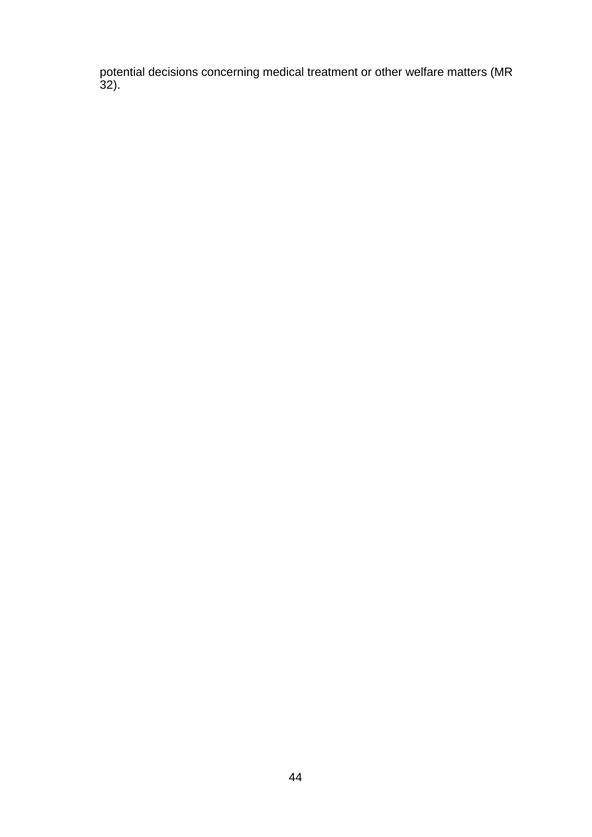potential decisions concerning medical treatment or other welfare matters (MR 32).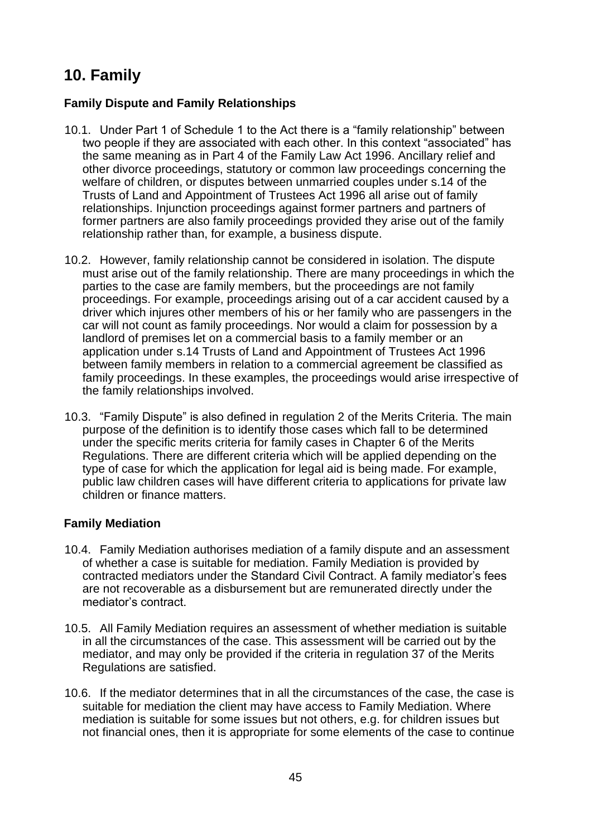# <span id="page-44-1"></span><span id="page-44-0"></span>**10. Family**

# **Family Dispute and Family Relationships**

- 10.1. Under Part 1 of Schedule 1 to the Act there is a "family relationship" between two people if they are associated with each other. In this context "associated" has the same meaning as in Part 4 of the Family Law Act 1996. Ancillary relief and other divorce proceedings, statutory or common law proceedings concerning the welfare of children, or disputes between unmarried couples under s.14 of the Trusts of Land and Appointment of Trustees Act 1996 all arise out of family relationships. Injunction proceedings against former partners and partners of former partners are also family proceedings provided they arise out of the family relationship rather than, for example, a business dispute.
- 10.2. However, family relationship cannot be considered in isolation. The dispute must arise out of the family relationship. There are many proceedings in which the parties to the case are family members, but the proceedings are not family proceedings. For example, proceedings arising out of a car accident caused by a driver which injures other members of his or her family who are passengers in the car will not count as family proceedings. Nor would a claim for possession by a landlord of premises let on a commercial basis to a family member or an application under s.14 Trusts of Land and Appointment of Trustees Act 1996 between family members in relation to a commercial agreement be classified as family proceedings. In these examples, the proceedings would arise irrespective of the family relationships involved.
- <span id="page-44-2"></span>10.3. "Family Dispute" is also defined in regulation 2 of the Merits Criteria. The main purpose of the definition is to identify those cases which fall to be determined under the specific merits criteria for family cases in Chapter 6 of the Merits Regulations. There are different criteria which will be applied depending on the type of case for which the application for legal aid is being made. For example, public law children cases will have different criteria to applications for private law children or finance matters.

## **Family Mediation**

- 10.4. Family Mediation authorises mediation of a family dispute and an assessment of whether a case is suitable for mediation. Family Mediation is provided by contracted mediators under the Standard Civil Contract. A family mediator's fees are not recoverable as a disbursement but are remunerated directly under the mediator's contract.
- 10.5. All Family Mediation requires an assessment of whether mediation is suitable in all the circumstances of the case. This assessment will be carried out by the mediator, and may only be provided if the criteria in regulation 37 of the Merits Regulations are satisfied.
- 10.6. If the mediator determines that in all the circumstances of the case, the case is suitable for mediation the client may have access to Family Mediation. Where mediation is suitable for some issues but not others, e.g. for children issues but not financial ones, then it is appropriate for some elements of the case to continue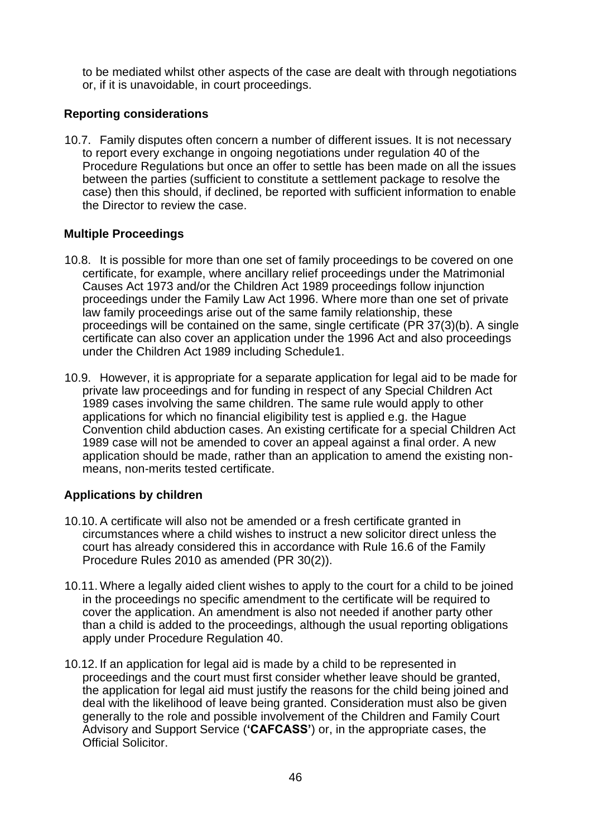<span id="page-45-0"></span>to be mediated whilst other aspects of the case are dealt with through negotiations or, if it is unavoidable, in court proceedings.

### **Reporting considerations**

<span id="page-45-1"></span>10.7. Family disputes often concern a number of different issues. It is not necessary to report every exchange in ongoing negotiations under regulation 40 of the Procedure Regulations but once an offer to settle has been made on all the issues between the parties (sufficient to constitute a settlement package to resolve the case) then this should, if declined, be reported with sufficient information to enable the Director to review the case.

### **Multiple Proceedings**

- 10.8. It is possible for more than one set of family proceedings to be covered on one certificate, for example, where ancillary relief proceedings under the Matrimonial Causes Act 1973 and/or the Children Act 1989 proceedings follow injunction proceedings under the Family Law Act 1996. Where more than one set of private law family proceedings arise out of the same family relationship, these proceedings will be contained on the same, single certificate (PR 37(3)(b). A single certificate can also cover an application under the 1996 Act and also proceedings under the Children Act 1989 including Schedule1.
- 10.9. However, it is appropriate for a separate application for legal aid to be made for private law proceedings and for funding in respect of any Special Children Act 1989 cases involving the same children. The same rule would apply to other applications for which no financial eligibility test is applied e.g. the Hague Convention child abduction cases. An existing certificate for a special Children Act 1989 case will not be amended to cover an appeal against a final order. A new application should be made, rather than an application to amend the existing nonmeans, non-merits tested certificate.

## <span id="page-45-2"></span>**Applications by children**

- 10.10.A certificate will also not be amended or a fresh certificate granted in circumstances where a child wishes to instruct a new solicitor direct unless the court has already considered this in accordance with Rule 16.6 of the Family Procedure Rules 2010 as amended (PR 30(2)).
- 10.11. Where a legally aided client wishes to apply to the court for a child to be joined in the proceedings no specific amendment to the certificate will be required to cover the application. An amendment is also not needed if another party other than a child is added to the proceedings, although the usual reporting obligations apply under Procedure Regulation 40.
- 10.12. If an application for legal aid is made by a child to be represented in proceedings and the court must first consider whether leave should be granted, the application for legal aid must justify the reasons for the child being joined and deal with the likelihood of leave being granted. Consideration must also be given generally to the role and possible involvement of the Children and Family Court Advisory and Support Service (**'CAFCASS'**) or, in the appropriate cases, the Official Solicitor.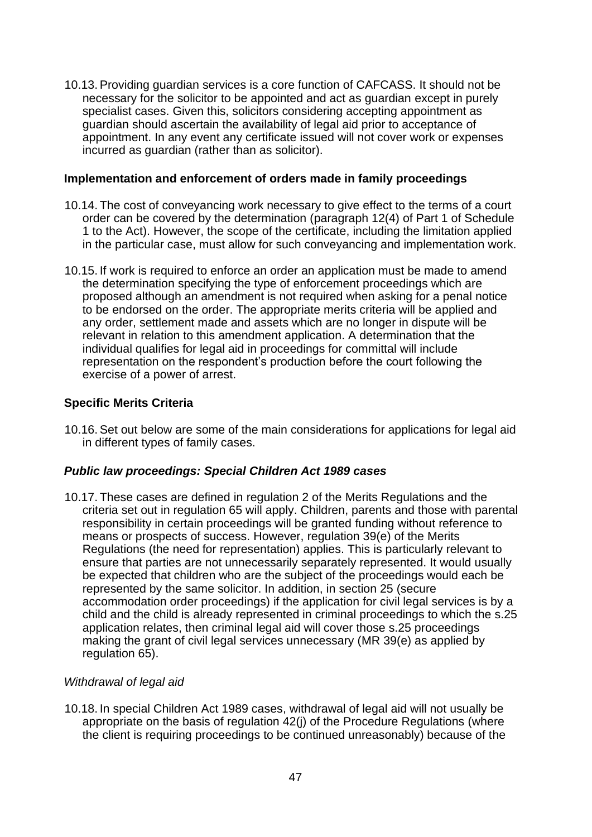<span id="page-46-0"></span>10.13.Providing guardian services is a core function of CAFCASS. It should not be necessary for the solicitor to be appointed and act as guardian except in purely specialist cases. Given this, solicitors considering accepting appointment as guardian should ascertain the availability of legal aid prior to acceptance of appointment. In any event any certificate issued will not cover work or expenses incurred as guardian (rather than as solicitor).

### **Implementation and enforcement of orders made in family proceedings**

- 10.14. The cost of conveyancing work necessary to give effect to the terms of a court order can be covered by the determination (paragraph 12(4) of Part 1 of Schedule 1 to the Act). However, the scope of the certificate, including the limitation applied in the particular case, must allow for such conveyancing and implementation work.
- 10.15. If work is required to enforce an order an application must be made to amend the determination specifying the type of enforcement proceedings which are proposed although an amendment is not required when asking for a penal notice to be endorsed on the order. The appropriate merits criteria will be applied and any order, settlement made and assets which are no longer in dispute will be relevant in relation to this amendment application. A determination that the individual qualifies for legal aid in proceedings for committal will include representation on the respondent's production before the court following the exercise of a power of arrest.

## <span id="page-46-1"></span>**Specific Merits Criteria**

10.16.Set out below are some of the main considerations for applications for legal aid in different types of family cases.

#### *Public law proceedings: Special Children Act 1989 cases*

10.17. These cases are defined in regulation 2 of the Merits Regulations and the criteria set out in regulation 65 will apply. Children, parents and those with parental responsibility in certain proceedings will be granted funding without reference to means or prospects of success. However, regulation 39(e) of the Merits Regulations (the need for representation) applies. This is particularly relevant to ensure that parties are not unnecessarily separately represented. It would usually be expected that children who are the subject of the proceedings would each be represented by the same solicitor. In addition, in section 25 (secure accommodation order proceedings) if the application for civil legal services is by a child and the child is already represented in criminal proceedings to which the s.25 application relates, then criminal legal aid will cover those s.25 proceedings making the grant of civil legal services unnecessary (MR 39(e) as applied by regulation 65).

## *Withdrawal of legal aid*

10.18. In special Children Act 1989 cases, withdrawal of legal aid will not usually be appropriate on the basis of regulation 42(j) of the Procedure Regulations (where the client is requiring proceedings to be continued unreasonably) because of the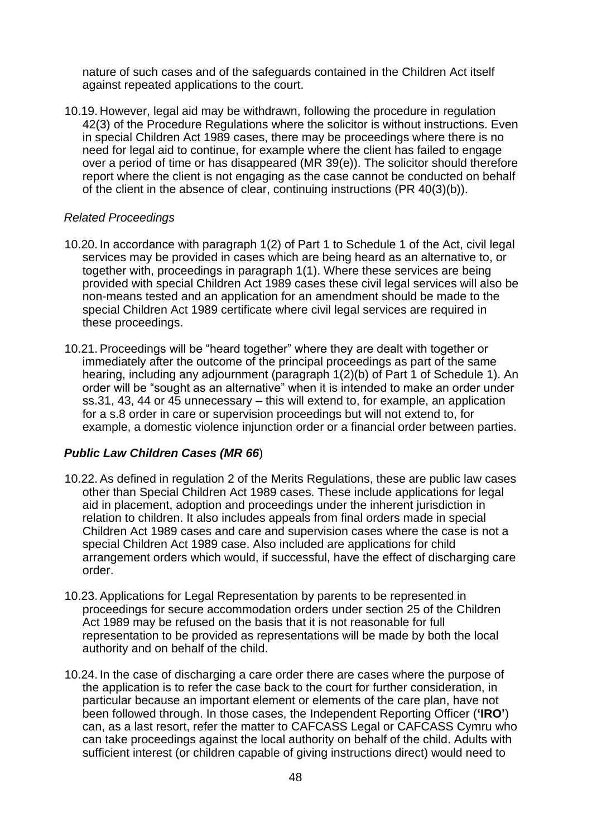nature of such cases and of the safeguards contained in the Children Act itself against repeated applications to the court.

10.19. However, legal aid may be withdrawn, following the procedure in regulation 42(3) of the Procedure Regulations where the solicitor is without instructions. Even in special Children Act 1989 cases, there may be proceedings where there is no need for legal aid to continue, for example where the client has failed to engage over a period of time or has disappeared (MR 39(e)). The solicitor should therefore report where the client is not engaging as the case cannot be conducted on behalf of the client in the absence of clear, continuing instructions (PR 40(3)(b)).

### *Related Proceedings*

- 10.20. In accordance with paragraph 1(2) of Part 1 to Schedule 1 of the Act, civil legal services may be provided in cases which are being heard as an alternative to, or together with, proceedings in paragraph 1(1). Where these services are being provided with special Children Act 1989 cases these civil legal services will also be non-means tested and an application for an amendment should be made to the special Children Act 1989 certificate where civil legal services are required in these proceedings.
- 10.21.Proceedings will be "heard together" where they are dealt with together or immediately after the outcome of the principal proceedings as part of the same hearing, including any adjournment (paragraph 1(2)(b) of Part 1 of Schedule 1). An order will be "sought as an alternative" when it is intended to make an order under ss.31, 43, 44 or 45 unnecessary – this will extend to, for example, an application for a s.8 order in care or supervision proceedings but will not extend to, for example, a domestic violence injunction order or a financial order between parties.

## *Public Law Children Cases (MR 66*)

- 10.22.As defined in regulation 2 of the Merits Regulations, these are public law cases other than Special Children Act 1989 cases. These include applications for legal aid in placement, adoption and proceedings under the inherent jurisdiction in relation to children. It also includes appeals from final orders made in special Children Act 1989 cases and care and supervision cases where the case is not a special Children Act 1989 case. Also included are applications for child arrangement orders which would, if successful, have the effect of discharging care order.
- 10.23.Applications for Legal Representation by parents to be represented in proceedings for secure accommodation orders under section 25 of the Children Act 1989 may be refused on the basis that it is not reasonable for full representation to be provided as representations will be made by both the local authority and on behalf of the child.
- 10.24. In the case of discharging a care order there are cases where the purpose of the application is to refer the case back to the court for further consideration, in particular because an important element or elements of the care plan, have not been followed through. In those cases, the Independent Reporting Officer (**'IRO'**) can, as a last resort, refer the matter to CAFCASS Legal or CAFCASS Cymru who can take proceedings against the local authority on behalf of the child. Adults with sufficient interest (or children capable of giving instructions direct) would need to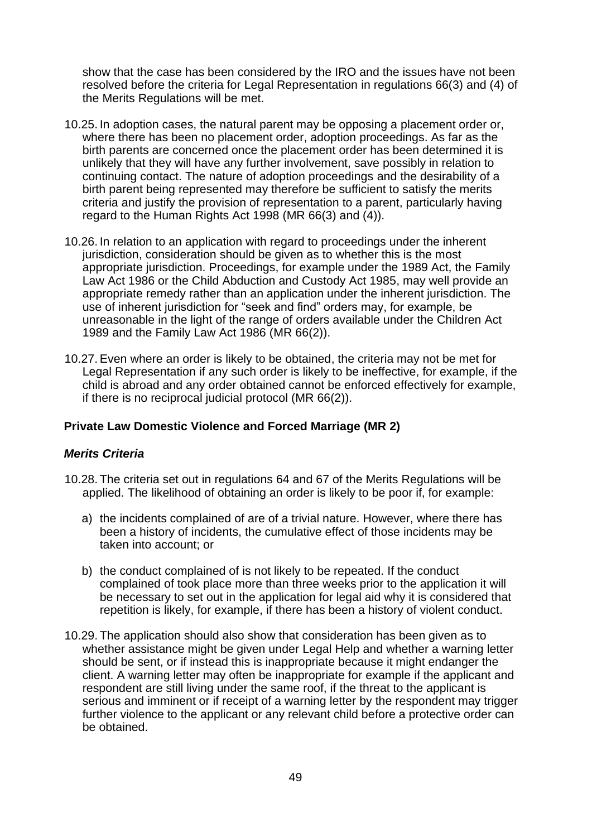show that the case has been considered by the IRO and the issues have not been resolved before the criteria for Legal Representation in regulations 66(3) and (4) of the Merits Regulations will be met.

- 10.25. In adoption cases, the natural parent may be opposing a placement order or, where there has been no placement order, adoption proceedings. As far as the birth parents are concerned once the placement order has been determined it is unlikely that they will have any further involvement, save possibly in relation to continuing contact. The nature of adoption proceedings and the desirability of a birth parent being represented may therefore be sufficient to satisfy the merits criteria and justify the provision of representation to a parent, particularly having regard to the Human Rights Act 1998 (MR 66(3) and (4)).
- 10.26. In relation to an application with regard to proceedings under the inherent jurisdiction, consideration should be given as to whether this is the most appropriate jurisdiction. Proceedings, for example under the 1989 Act, the Family Law Act 1986 or the Child Abduction and Custody Act 1985, may well provide an appropriate remedy rather than an application under the inherent jurisdiction. The use of inherent jurisdiction for "seek and find" orders may, for example, be unreasonable in the light of the range of orders available under the Children Act 1989 and the Family Law Act 1986 (MR 66(2)).
- <span id="page-48-0"></span>10.27.Even where an order is likely to be obtained, the criteria may not be met for Legal Representation if any such order is likely to be ineffective, for example, if the child is abroad and any order obtained cannot be enforced effectively for example, if there is no reciprocal judicial protocol (MR 66(2)).

## **Private Law Domestic Violence and Forced Marriage (MR 2)**

## *Merits Criteria*

- 10.28. The criteria set out in regulations 64 and 67 of the Merits Regulations will be applied. The likelihood of obtaining an order is likely to be poor if, for example:
	- a) the incidents complained of are of a trivial nature. However, where there has been a history of incidents, the cumulative effect of those incidents may be taken into account; or
	- b) the conduct complained of is not likely to be repeated. If the conduct complained of took place more than three weeks prior to the application it will be necessary to set out in the application for legal aid why it is considered that repetition is likely, for example, if there has been a history of violent conduct.
- 10.29. The application should also show that consideration has been given as to whether assistance might be given under Legal Help and whether a warning letter should be sent, or if instead this is inappropriate because it might endanger the client. A warning letter may often be inappropriate for example if the applicant and respondent are still living under the same roof, if the threat to the applicant is serious and imminent or if receipt of a warning letter by the respondent may trigger further violence to the applicant or any relevant child before a protective order can be obtained.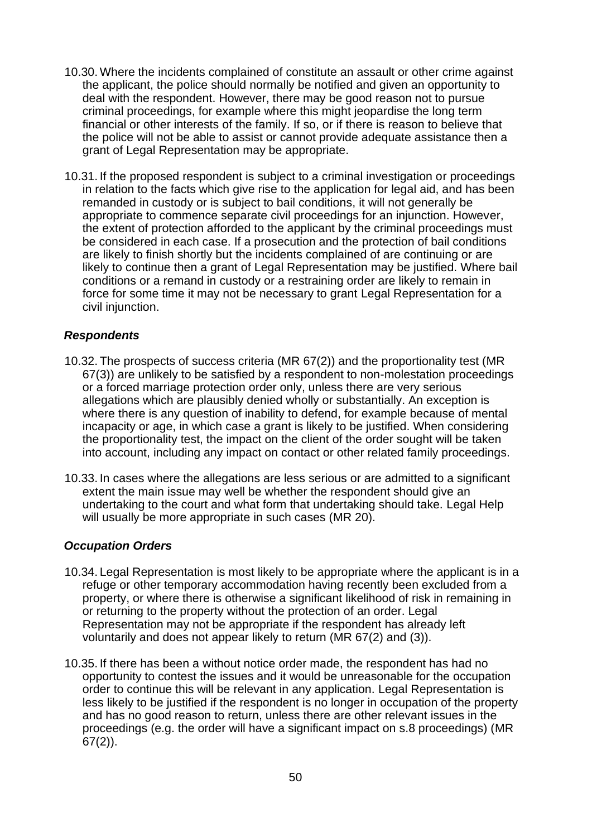- 10.30. Where the incidents complained of constitute an assault or other crime against the applicant, the police should normally be notified and given an opportunity to deal with the respondent. However, there may be good reason not to pursue criminal proceedings, for example where this might jeopardise the long term financial or other interests of the family. If so, or if there is reason to believe that the police will not be able to assist or cannot provide adequate assistance then a grant of Legal Representation may be appropriate.
- 10.31. If the proposed respondent is subject to a criminal investigation or proceedings in relation to the facts which give rise to the application for legal aid, and has been remanded in custody or is subject to bail conditions, it will not generally be appropriate to commence separate civil proceedings for an injunction. However, the extent of protection afforded to the applicant by the criminal proceedings must be considered in each case. If a prosecution and the protection of bail conditions are likely to finish shortly but the incidents complained of are continuing or are likely to continue then a grant of Legal Representation may be justified. Where bail conditions or a remand in custody or a restraining order are likely to remain in force for some time it may not be necessary to grant Legal Representation for a civil injunction.

## *Respondents*

- 10.32. The prospects of success criteria (MR 67(2)) and the proportionality test (MR 67(3)) are unlikely to be satisfied by a respondent to non-molestation proceedings or a forced marriage protection order only, unless there are very serious allegations which are plausibly denied wholly or substantially. An exception is where there is any question of inability to defend, for example because of mental incapacity or age, in which case a grant is likely to be justified. When considering the proportionality test, the impact on the client of the order sought will be taken into account, including any impact on contact or other related family proceedings.
- 10.33. In cases where the allegations are less serious or are admitted to a significant extent the main issue may well be whether the respondent should give an undertaking to the court and what form that undertaking should take. Legal Help will usually be more appropriate in such cases (MR 20).

#### *Occupation Orders*

- 10.34. Legal Representation is most likely to be appropriate where the applicant is in a refuge or other temporary accommodation having recently been excluded from a property, or where there is otherwise a significant likelihood of risk in remaining in or returning to the property without the protection of an order. Legal Representation may not be appropriate if the respondent has already left voluntarily and does not appear likely to return (MR 67(2) and (3)).
- 10.35. If there has been a without notice order made, the respondent has had no opportunity to contest the issues and it would be unreasonable for the occupation order to continue this will be relevant in any application. Legal Representation is less likely to be justified if the respondent is no longer in occupation of the property and has no good reason to return, unless there are other relevant issues in the proceedings (e.g. the order will have a significant impact on s.8 proceedings) (MR 67(2)).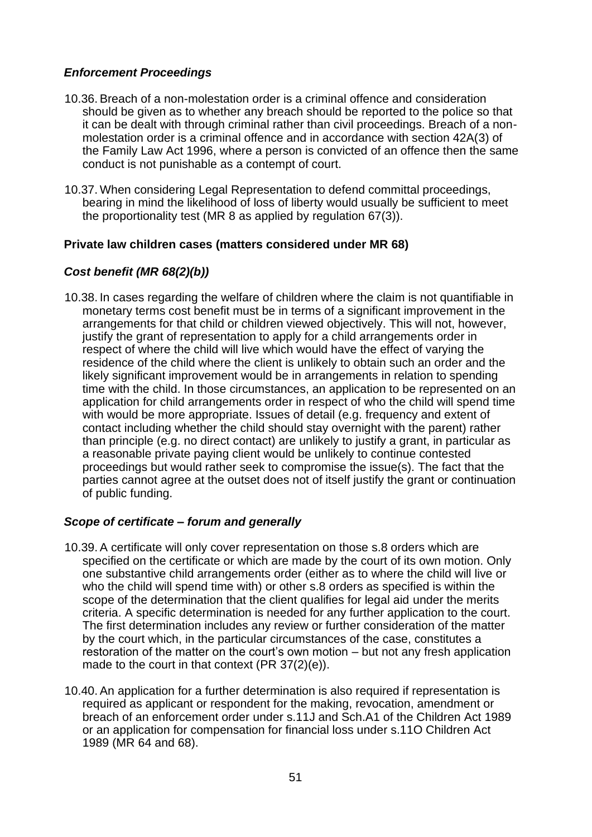# *Enforcement Proceedings*

- 10.36.Breach of a non-molestation order is a criminal offence and consideration should be given as to whether any breach should be reported to the police so that it can be dealt with through criminal rather than civil proceedings. Breach of a nonmolestation order is a criminal offence and in accordance with section 42A(3) of the Family Law Act 1996, where a person is convicted of an offence then the same conduct is not punishable as a contempt of court.
- <span id="page-50-0"></span>10.37. When considering Legal Representation to defend committal proceedings, bearing in mind the likelihood of loss of liberty would usually be sufficient to meet the proportionality test (MR 8 as applied by regulation 67(3)).

## **Private law children cases (matters considered under MR 68)**

## *Cost benefit (MR 68(2)(b))*

10.38. In cases regarding the welfare of children where the claim is not quantifiable in monetary terms cost benefit must be in terms of a significant improvement in the arrangements for that child or children viewed objectively. This will not, however, justify the grant of representation to apply for a child arrangements order in respect of where the child will live which would have the effect of varying the residence of the child where the client is unlikely to obtain such an order and the likely significant improvement would be in arrangements in relation to spending time with the child. In those circumstances, an application to be represented on an application for child arrangements order in respect of who the child will spend time with would be more appropriate. Issues of detail (e.g. frequency and extent of contact including whether the child should stay overnight with the parent) rather than principle (e.g. no direct contact) are unlikely to justify a grant, in particular as a reasonable private paying client would be unlikely to continue contested proceedings but would rather seek to compromise the issue(s). The fact that the parties cannot agree at the outset does not of itself justify the grant or continuation of public funding.

## *Scope of certificate – forum and generally*

- 10.39.A certificate will only cover representation on those s.8 orders which are specified on the certificate or which are made by the court of its own motion. Only one substantive child arrangements order (either as to where the child will live or who the child will spend time with) or other s.8 orders as specified is within the scope of the determination that the client qualifies for legal aid under the merits criteria. A specific determination is needed for any further application to the court. The first determination includes any review or further consideration of the matter by the court which, in the particular circumstances of the case, constitutes a restoration of the matter on the court's own motion – but not any fresh application made to the court in that context (PR 37(2)(e)).
- 10.40.An application for a further determination is also required if representation is required as applicant or respondent for the making, revocation, amendment or breach of an enforcement order under s.11J and Sch.A1 of the Children Act 1989 or an application for compensation for financial loss under s.11O Children Act 1989 (MR 64 and 68).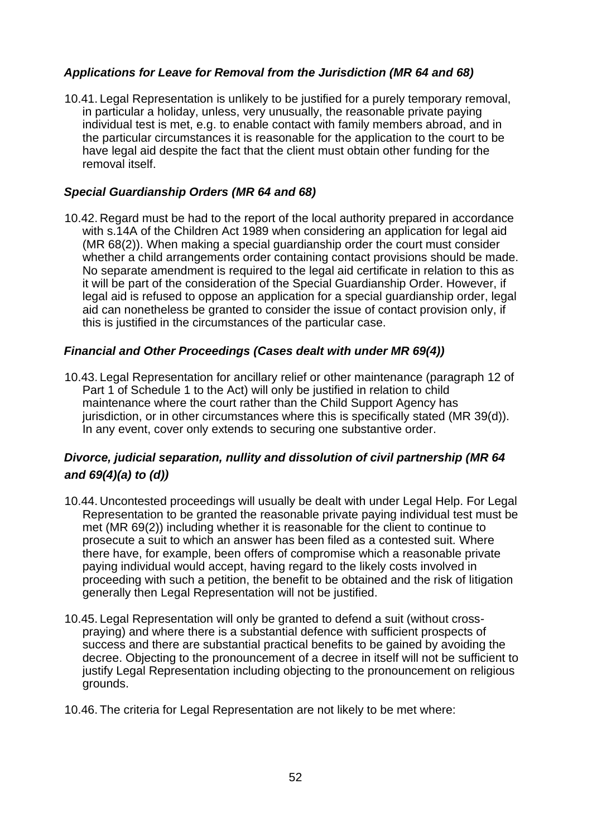# *Applications for Leave for Removal from the Jurisdiction (MR 64 and 68)*

10.41. Legal Representation is unlikely to be justified for a purely temporary removal, in particular a holiday, unless, very unusually, the reasonable private paying individual test is met, e.g. to enable contact with family members abroad, and in the particular circumstances it is reasonable for the application to the court to be have legal aid despite the fact that the client must obtain other funding for the removal itself.

## *Special Guardianship Orders (MR 64 and 68)*

10.42. Regard must be had to the report of the local authority prepared in accordance with s.14A of the Children Act 1989 when considering an application for legal aid (MR 68(2)). When making a special guardianship order the court must consider whether a child arrangements order containing contact provisions should be made. No separate amendment is required to the legal aid certificate in relation to this as it will be part of the consideration of the Special Guardianship Order. However, if legal aid is refused to oppose an application for a special guardianship order, legal aid can nonetheless be granted to consider the issue of contact provision only, if this is justified in the circumstances of the particular case.

## *Financial and Other Proceedings (Cases dealt with under MR 69(4))*

10.43. Legal Representation for ancillary relief or other maintenance (paragraph 12 of Part 1 of Schedule 1 to the Act) will only be justified in relation to child maintenance where the court rather than the Child Support Agency has jurisdiction, or in other circumstances where this is specifically stated (MR 39(d)). In any event, cover only extends to securing one substantive order.

# *Divorce, judicial separation, nullity and dissolution of civil partnership (MR 64 and 69(4)(a) to (d))*

- 10.44. Uncontested proceedings will usually be dealt with under Legal Help. For Legal Representation to be granted the reasonable private paying individual test must be met (MR 69(2)) including whether it is reasonable for the client to continue to prosecute a suit to which an answer has been filed as a contested suit. Where there have, for example, been offers of compromise which a reasonable private paying individual would accept, having regard to the likely costs involved in proceeding with such a petition, the benefit to be obtained and the risk of litigation generally then Legal Representation will not be justified.
- 10.45. Legal Representation will only be granted to defend a suit (without crosspraying) and where there is a substantial defence with sufficient prospects of success and there are substantial practical benefits to be gained by avoiding the decree. Objecting to the pronouncement of a decree in itself will not be sufficient to justify Legal Representation including objecting to the pronouncement on religious grounds.
- 10.46. The criteria for Legal Representation are not likely to be met where: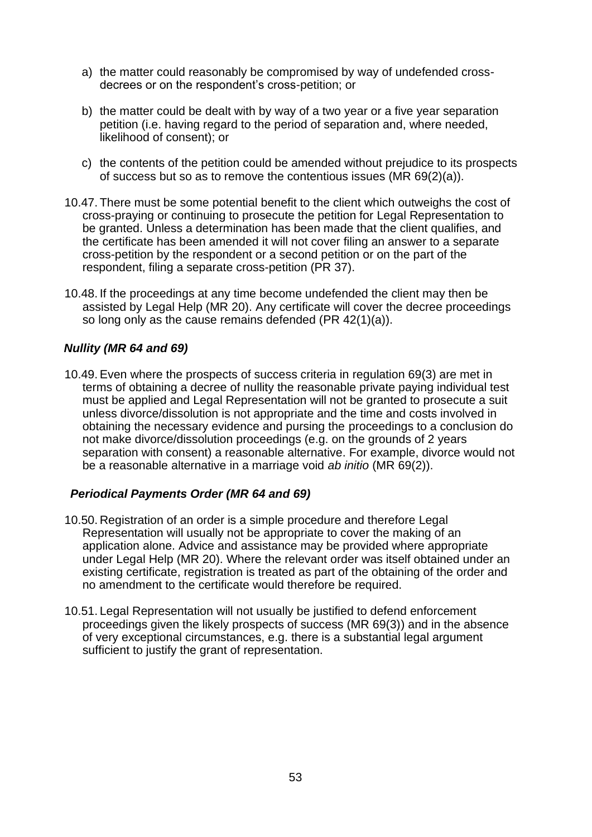- a) the matter could reasonably be compromised by way of undefended crossdecrees or on the respondent's cross-petition; or
- b) the matter could be dealt with by way of a two year or a five year separation petition (i.e. having regard to the period of separation and, where needed, likelihood of consent); or
- c) the contents of the petition could be amended without prejudice to its prospects of success but so as to remove the contentious issues (MR 69(2)(a)).
- 10.47. There must be some potential benefit to the client which outweighs the cost of cross-praying or continuing to prosecute the petition for Legal Representation to be granted. Unless a determination has been made that the client qualifies, and the certificate has been amended it will not cover filing an answer to a separate cross-petition by the respondent or a second petition or on the part of the respondent, filing a separate cross-petition (PR 37).
- 10.48. If the proceedings at any time become undefended the client may then be assisted by Legal Help (MR 20). Any certificate will cover the decree proceedings so long only as the cause remains defended (PR 42(1)(a)).

## *Nullity (MR 64 and 69)*

10.49.Even where the prospects of success criteria in regulation 69(3) are met in terms of obtaining a decree of nullity the reasonable private paying individual test must be applied and Legal Representation will not be granted to prosecute a suit unless divorce/dissolution is not appropriate and the time and costs involved in obtaining the necessary evidence and pursing the proceedings to a conclusion do not make divorce/dissolution proceedings (e.g. on the grounds of 2 years separation with consent) a reasonable alternative. For example, divorce would not be a reasonable alternative in a marriage void *ab initio* (MR 69(2)).

## *Periodical Payments Order (MR 64 and 69)*

- 10.50. Registration of an order is a simple procedure and therefore Legal Representation will usually not be appropriate to cover the making of an application alone. Advice and assistance may be provided where appropriate under Legal Help (MR 20). Where the relevant order was itself obtained under an existing certificate, registration is treated as part of the obtaining of the order and no amendment to the certificate would therefore be required.
- 10.51. Legal Representation will not usually be justified to defend enforcement proceedings given the likely prospects of success (MR 69(3)) and in the absence of very exceptional circumstances, e.g. there is a substantial legal argument sufficient to justify the grant of representation.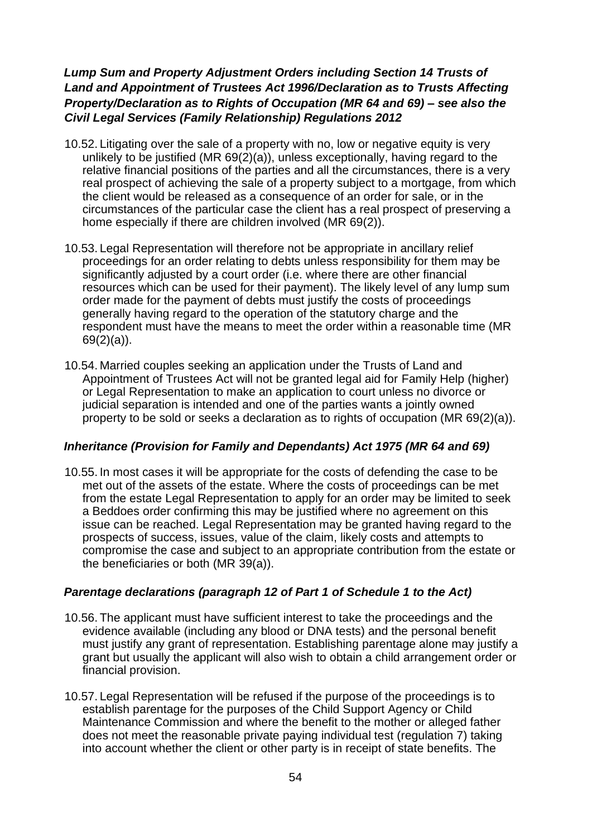# *Lump Sum and Property Adjustment Orders including Section 14 Trusts of Land and Appointment of Trustees Act 1996/Declaration as to Trusts Affecting Property/Declaration as to Rights of Occupation (MR 64 and 69) – see also the Civil Legal Services (Family Relationship) Regulations 2012*

- 10.52. Litigating over the sale of a property with no, low or negative equity is very unlikely to be justified (MR 69(2)(a)), unless exceptionally, having regard to the relative financial positions of the parties and all the circumstances, there is a very real prospect of achieving the sale of a property subject to a mortgage, from which the client would be released as a consequence of an order for sale, or in the circumstances of the particular case the client has a real prospect of preserving a home especially if there are children involved (MR 69(2)).
- 10.53. Legal Representation will therefore not be appropriate in ancillary relief proceedings for an order relating to debts unless responsibility for them may be significantly adjusted by a court order (i.e. where there are other financial resources which can be used for their payment). The likely level of any lump sum order made for the payment of debts must justify the costs of proceedings generally having regard to the operation of the statutory charge and the respondent must have the means to meet the order within a reasonable time (MR 69(2)(a)).
- 10.54. Married couples seeking an application under the Trusts of Land and Appointment of Trustees Act will not be granted legal aid for Family Help (higher) or Legal Representation to make an application to court unless no divorce or judicial separation is intended and one of the parties wants a jointly owned property to be sold or seeks a declaration as to rights of occupation (MR 69(2)(a)).

## *Inheritance (Provision for Family and Dependants) Act 1975 (MR 64 and 69)*

10.55. In most cases it will be appropriate for the costs of defending the case to be met out of the assets of the estate. Where the costs of proceedings can be met from the estate Legal Representation to apply for an order may be limited to seek a Beddoes order confirming this may be justified where no agreement on this issue can be reached. Legal Representation may be granted having regard to the prospects of success, issues, value of the claim, likely costs and attempts to compromise the case and subject to an appropriate contribution from the estate or the beneficiaries or both (MR 39(a)).

## *Parentage declarations (paragraph 12 of Part 1 of Schedule 1 to the Act)*

- 10.56. The applicant must have sufficient interest to take the proceedings and the evidence available (including any blood or DNA tests) and the personal benefit must justify any grant of representation. Establishing parentage alone may justify a grant but usually the applicant will also wish to obtain a child arrangement order or financial provision.
- 10.57. Legal Representation will be refused if the purpose of the proceedings is to establish parentage for the purposes of the Child Support Agency or Child Maintenance Commission and where the benefit to the mother or alleged father does not meet the reasonable private paying individual test (regulation 7) taking into account whether the client or other party is in receipt of state benefits. The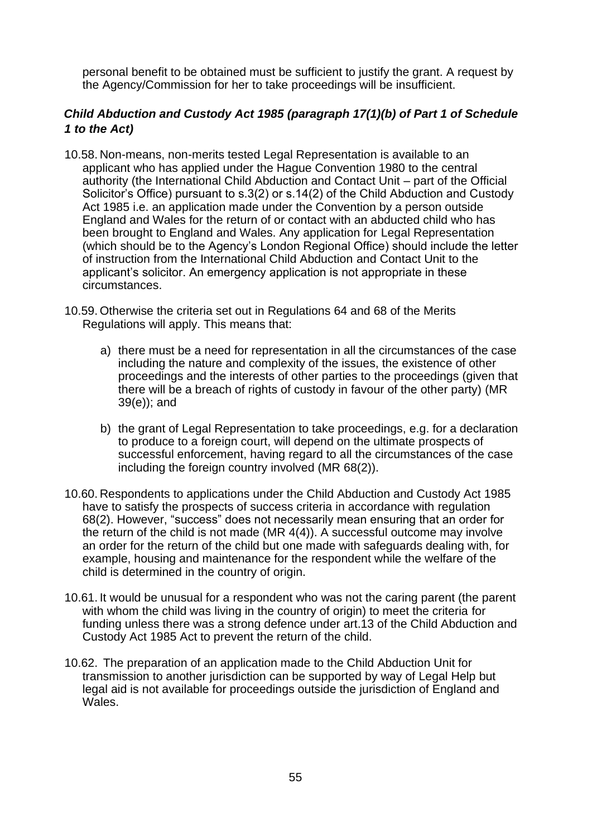personal benefit to be obtained must be sufficient to justify the grant. A request by the Agency/Commission for her to take proceedings will be insufficient.

# *Child Abduction and Custody Act 1985 (paragraph 17(1)(b) of Part 1 of Schedule 1 to the Act)*

- 10.58. Non-means, non-merits tested Legal Representation is available to an applicant who has applied under the Hague Convention 1980 to the central authority (the International Child Abduction and Contact Unit – part of the Official Solicitor's Office) pursuant to s.3(2) or s.14(2) of the Child Abduction and Custody Act 1985 i.e. an application made under the Convention by a person outside England and Wales for the return of or contact with an abducted child who has been brought to England and Wales. Any application for Legal Representation (which should be to the Agency's London Regional Office) should include the letter of instruction from the International Child Abduction and Contact Unit to the applicant's solicitor. An emergency application is not appropriate in these circumstances.
- 10.59. Otherwise the criteria set out in Regulations 64 and 68 of the Merits Regulations will apply. This means that:
	- a) there must be a need for representation in all the circumstances of the case including the nature and complexity of the issues, the existence of other proceedings and the interests of other parties to the proceedings (given that there will be a breach of rights of custody in favour of the other party) (MR 39(e)); and
	- b) the grant of Legal Representation to take proceedings, e.g. for a declaration to produce to a foreign court, will depend on the ultimate prospects of successful enforcement, having regard to all the circumstances of the case including the foreign country involved (MR 68(2)).
- 10.60. Respondents to applications under the Child Abduction and Custody Act 1985 have to satisfy the prospects of success criteria in accordance with regulation 68(2). However, "success" does not necessarily mean ensuring that an order for the return of the child is not made (MR 4(4)). A successful outcome may involve an order for the return of the child but one made with safeguards dealing with, for example, housing and maintenance for the respondent while the welfare of the child is determined in the country of origin.
- 10.61. It would be unusual for a respondent who was not the caring parent (the parent with whom the child was living in the country of origin) to meet the criteria for funding unless there was a strong defence under art.13 of the Child Abduction and Custody Act 1985 Act to prevent the return of the child.
- 10.62. The preparation of an application made to the Child Abduction Unit for transmission to another jurisdiction can be supported by way of Legal Help but legal aid is not available for proceedings outside the jurisdiction of England and Wales.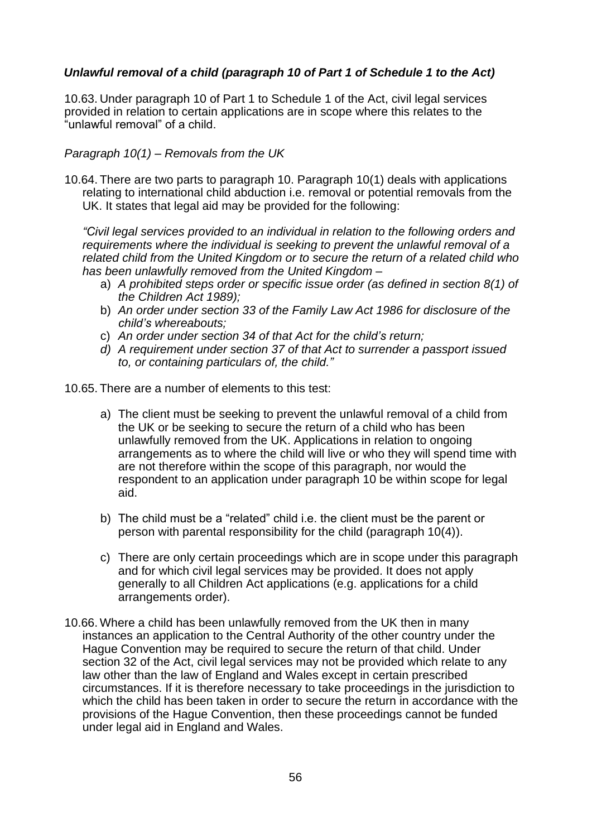# *Unlawful removal of a child (paragraph 10 of Part 1 of Schedule 1 to the Act)*

10.63. Under paragraph 10 of Part 1 to Schedule 1 of the Act, civil legal services provided in relation to certain applications are in scope where this relates to the "unlawful removal" of a child.

### *Paragraph 10(1) – Removals from the UK*

10.64. There are two parts to paragraph 10. Paragraph 10(1) deals with applications relating to international child abduction i.e. removal or potential removals from the UK. It states that legal aid may be provided for the following:

*"Civil legal services provided to an individual in relation to the following orders and requirements where the individual is seeking to prevent the unlawful removal of a related child from the United Kingdom or to secure the return of a related child who has been unlawfully removed from the United Kingdom –*

- a) *A prohibited steps order or specific issue order (as defined in section 8(1) of the Children Act 1989);*
- b) *An order under section 33 of the Family Law Act 1986 for disclosure of the child's whereabouts;*
- c) *An order under section 34 of that Act for the child's return;*
- *d) A requirement under section 37 of that Act to surrender a passport issued to, or containing particulars of, the child."*

10.65. There are a number of elements to this test:

- a) The client must be seeking to prevent the unlawful removal of a child from the UK or be seeking to secure the return of a child who has been unlawfully removed from the UK. Applications in relation to ongoing arrangements as to where the child will live or who they will spend time with are not therefore within the scope of this paragraph, nor would the respondent to an application under paragraph 10 be within scope for legal aid.
- b) The child must be a "related" child i.e. the client must be the parent or person with parental responsibility for the child (paragraph 10(4)).
- c) There are only certain proceedings which are in scope under this paragraph and for which civil legal services may be provided. It does not apply generally to all Children Act applications (e.g. applications for a child arrangements order).
- 10.66. Where a child has been unlawfully removed from the UK then in many instances an application to the Central Authority of the other country under the Hague Convention may be required to secure the return of that child. Under section 32 of the Act, civil legal services may not be provided which relate to any law other than the law of England and Wales except in certain prescribed circumstances. If it is therefore necessary to take proceedings in the jurisdiction to which the child has been taken in order to secure the return in accordance with the provisions of the Hague Convention, then these proceedings cannot be funded under legal aid in England and Wales.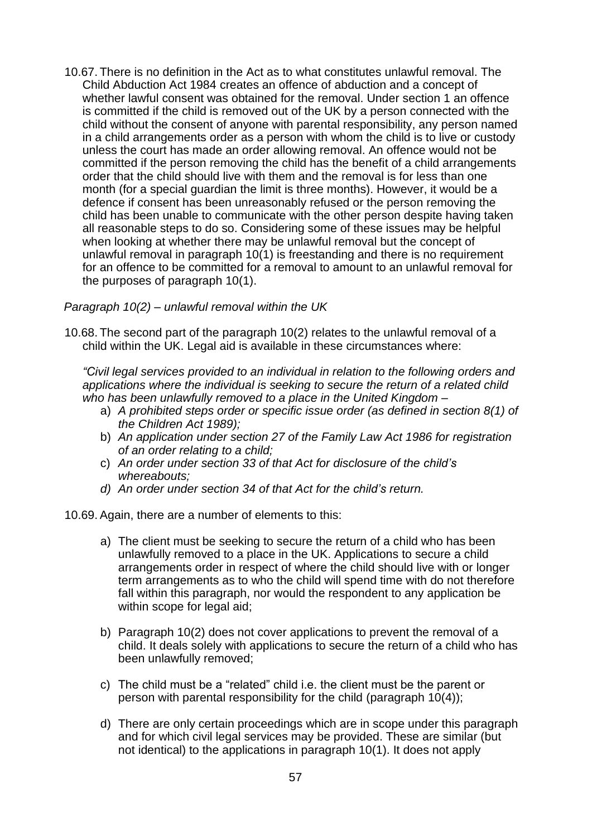10.67. There is no definition in the Act as to what constitutes unlawful removal. The Child Abduction Act 1984 creates an offence of abduction and a concept of whether lawful consent was obtained for the removal. Under section 1 an offence is committed if the child is removed out of the UK by a person connected with the child without the consent of anyone with parental responsibility, any person named in a child arrangements order as a person with whom the child is to live or custody unless the court has made an order allowing removal. An offence would not be committed if the person removing the child has the benefit of a child arrangements order that the child should live with them and the removal is for less than one month (for a special guardian the limit is three months). However, it would be a defence if consent has been unreasonably refused or the person removing the child has been unable to communicate with the other person despite having taken all reasonable steps to do so. Considering some of these issues may be helpful when looking at whether there may be unlawful removal but the concept of unlawful removal in paragraph 10(1) is freestanding and there is no requirement for an offence to be committed for a removal to amount to an unlawful removal for the purposes of paragraph 10(1).

## *Paragraph 10(2) – unlawful removal within the UK*

10.68. The second part of the paragraph 10(2) relates to the unlawful removal of a child within the UK. Legal aid is available in these circumstances where:

*"Civil legal services provided to an individual in relation to the following orders and applications where the individual is seeking to secure the return of a related child who has been unlawfully removed to a place in the United Kingdom –*

- a) *A prohibited steps order or specific issue order (as defined in section 8(1) of the Children Act 1989);*
- b) *An application under section 27 of the Family Law Act 1986 for registration of an order relating to a child;*
- c) *An order under section 33 of that Act for disclosure of the child's whereabouts;*
- *d) An order under section 34 of that Act for the child's return.*

10.69.Again, there are a number of elements to this:

- a) The client must be seeking to secure the return of a child who has been unlawfully removed to a place in the UK. Applications to secure a child arrangements order in respect of where the child should live with or longer term arrangements as to who the child will spend time with do not therefore fall within this paragraph, nor would the respondent to any application be within scope for legal aid;
- b) Paragraph 10(2) does not cover applications to prevent the removal of a child. It deals solely with applications to secure the return of a child who has been unlawfully removed;
- c) The child must be a "related" child i.e. the client must be the parent or person with parental responsibility for the child (paragraph 10(4));
- d) There are only certain proceedings which are in scope under this paragraph and for which civil legal services may be provided. These are similar (but not identical) to the applications in paragraph 10(1). It does not apply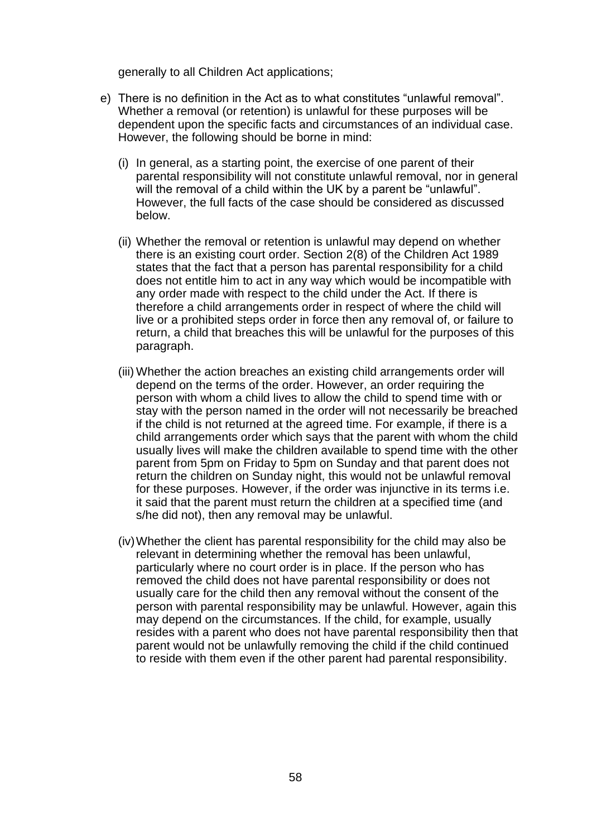generally to all Children Act applications;

- e) There is no definition in the Act as to what constitutes "unlawful removal". Whether a removal (or retention) is unlawful for these purposes will be dependent upon the specific facts and circumstances of an individual case. However, the following should be borne in mind:
	- (i) In general, as a starting point, the exercise of one parent of their parental responsibility will not constitute unlawful removal, nor in general will the removal of a child within the UK by a parent be "unlawful". However, the full facts of the case should be considered as discussed below.
	- (ii) Whether the removal or retention is unlawful may depend on whether there is an existing court order. Section 2(8) of the Children Act 1989 states that the fact that a person has parental responsibility for a child does not entitle him to act in any way which would be incompatible with any order made with respect to the child under the Act. If there is therefore a child arrangements order in respect of where the child will live or a prohibited steps order in force then any removal of, or failure to return, a child that breaches this will be unlawful for the purposes of this paragraph.
	- (iii) Whether the action breaches an existing child arrangements order will depend on the terms of the order. However, an order requiring the person with whom a child lives to allow the child to spend time with or stay with the person named in the order will not necessarily be breached if the child is not returned at the agreed time. For example, if there is a child arrangements order which says that the parent with whom the child usually lives will make the children available to spend time with the other parent from 5pm on Friday to 5pm on Sunday and that parent does not return the children on Sunday night, this would not be unlawful removal for these purposes. However, if the order was injunctive in its terms i.e. it said that the parent must return the children at a specified time (and s/he did not), then any removal may be unlawful.
	- (iv)Whether the client has parental responsibility for the child may also be relevant in determining whether the removal has been unlawful, particularly where no court order is in place. If the person who has removed the child does not have parental responsibility or does not usually care for the child then any removal without the consent of the person with parental responsibility may be unlawful. However, again this may depend on the circumstances. If the child, for example, usually resides with a parent who does not have parental responsibility then that parent would not be unlawfully removing the child if the child continued to reside with them even if the other parent had parental responsibility.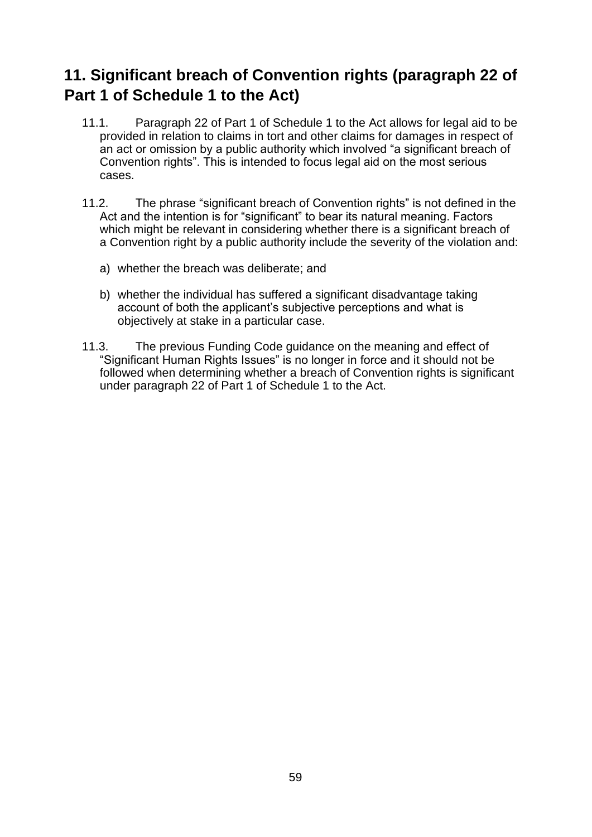# <span id="page-58-0"></span>**11. Significant breach of Convention rights (paragraph 22 of Part 1 of Schedule 1 to the Act)**

- 11.1. Paragraph 22 of Part 1 of Schedule 1 to the Act allows for legal aid to be provided in relation to claims in tort and other claims for damages in respect of an act or omission by a public authority which involved "a significant breach of Convention rights". This is intended to focus legal aid on the most serious cases.
- 11.2. The phrase "significant breach of Convention rights" is not defined in the Act and the intention is for "significant" to bear its natural meaning. Factors which might be relevant in considering whether there is a significant breach of a Convention right by a public authority include the severity of the violation and:
	- a) whether the breach was deliberate; and
	- b) whether the individual has suffered a significant disadvantage taking account of both the applicant's subjective perceptions and what is objectively at stake in a particular case.
- 11.3. The previous Funding Code guidance on the meaning and effect of "Significant Human Rights Issues" is no longer in force and it should not be followed when determining whether a breach of Convention rights is significant under paragraph 22 of Part 1 of Schedule 1 to the Act.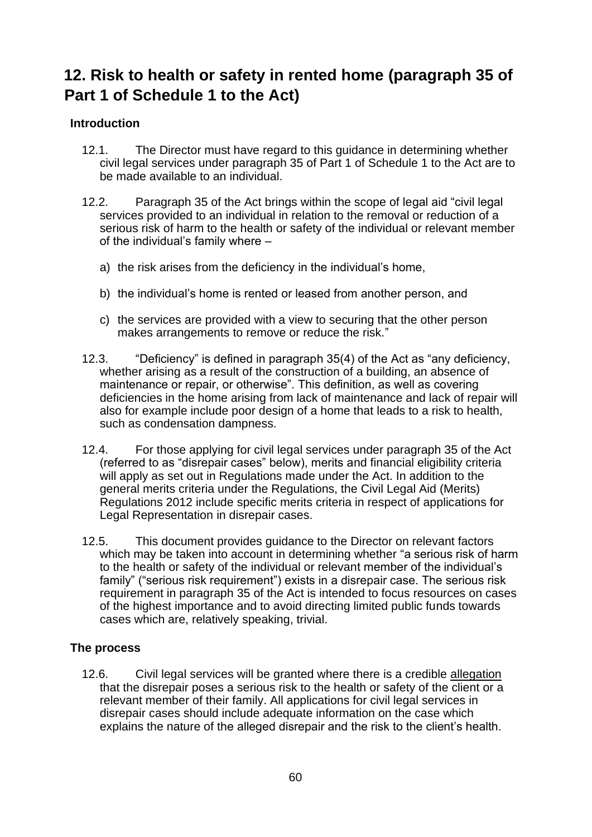# <span id="page-59-1"></span><span id="page-59-0"></span>**12. Risk to health or safety in rented home (paragraph 35 of Part 1 of Schedule 1 to the Act)**

# **Introduction**

- 12.1. The Director must have regard to this guidance in determining whether civil legal services under paragraph 35 of Part 1 of Schedule 1 to the Act are to be made available to an individual.
- 12.2. Paragraph 35 of the Act brings within the scope of legal aid "civil legal services provided to an individual in relation to the removal or reduction of a serious risk of harm to the health or safety of the individual or relevant member of the individual's family where –
	- a) the risk arises from the deficiency in the individual's home,
	- b) the individual's home is rented or leased from another person, and
	- c) the services are provided with a view to securing that the other person makes arrangements to remove or reduce the risk."
- 12.3. "Deficiency" is defined in paragraph 35(4) of the Act as "any deficiency, whether arising as a result of the construction of a building, an absence of maintenance or repair, or otherwise". This definition, as well as covering deficiencies in the home arising from lack of maintenance and lack of repair will also for example include poor design of a home that leads to a risk to health, such as condensation dampness.
- 12.4. For those applying for civil legal services under paragraph 35 of the Act (referred to as "disrepair cases" below), merits and financial eligibility criteria will apply as set out in Regulations made under the Act. In addition to the general merits criteria under the Regulations, the Civil Legal Aid (Merits) Regulations 2012 include specific merits criteria in respect of applications for Legal Representation in disrepair cases.
- <span id="page-59-2"></span>12.5. This document provides guidance to the Director on relevant factors which may be taken into account in determining whether "a serious risk of harm to the health or safety of the individual or relevant member of the individual's family" ("serious risk requirement") exists in a disrepair case. The serious risk requirement in paragraph 35 of the Act is intended to focus resources on cases of the highest importance and to avoid directing limited public funds towards cases which are, relatively speaking, trivial.

## **The process**

12.6. Civil legal services will be granted where there is a credible allegation that the disrepair poses a serious risk to the health or safety of the client or a relevant member of their family. All applications for civil legal services in disrepair cases should include adequate information on the case which explains the nature of the alleged disrepair and the risk to the client's health.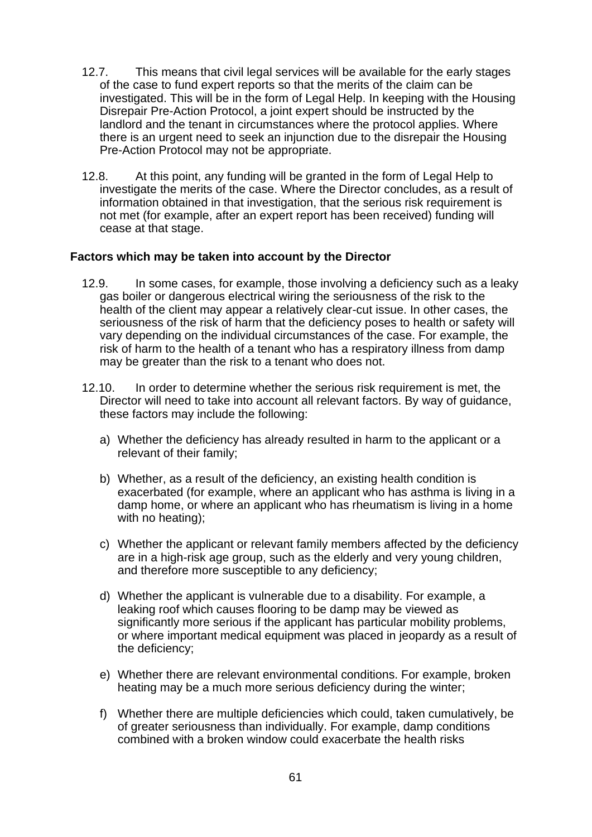- 12.7. This means that civil legal services will be available for the early stages of the case to fund expert reports so that the merits of the claim can be investigated. This will be in the form of Legal Help. In keeping with the Housing Disrepair Pre-Action Protocol, a joint expert should be instructed by the landlord and the tenant in circumstances where the protocol applies. Where there is an urgent need to seek an injunction due to the disrepair the Housing Pre-Action Protocol may not be appropriate.
- <span id="page-60-0"></span>12.8. At this point, any funding will be granted in the form of Legal Help to investigate the merits of the case. Where the Director concludes, as a result of information obtained in that investigation, that the serious risk requirement is not met (for example, after an expert report has been received) funding will cease at that stage.

## **Factors which may be taken into account by the Director**

- 12.9. In some cases, for example, those involving a deficiency such as a leaky gas boiler or dangerous electrical wiring the seriousness of the risk to the health of the client may appear a relatively clear-cut issue. In other cases, the seriousness of the risk of harm that the deficiency poses to health or safety will vary depending on the individual circumstances of the case. For example, the risk of harm to the health of a tenant who has a respiratory illness from damp may be greater than the risk to a tenant who does not.
- 12.10. In order to determine whether the serious risk requirement is met, the Director will need to take into account all relevant factors. By way of guidance, these factors may include the following:
	- a) Whether the deficiency has already resulted in harm to the applicant or a relevant of their family;
	- b) Whether, as a result of the deficiency, an existing health condition is exacerbated (for example, where an applicant who has asthma is living in a damp home, or where an applicant who has rheumatism is living in a home with no heating);
	- c) Whether the applicant or relevant family members affected by the deficiency are in a high-risk age group, such as the elderly and very young children, and therefore more susceptible to any deficiency;
	- d) Whether the applicant is vulnerable due to a disability. For example, a leaking roof which causes flooring to be damp may be viewed as significantly more serious if the applicant has particular mobility problems, or where important medical equipment was placed in jeopardy as a result of the deficiency;
	- e) Whether there are relevant environmental conditions. For example, broken heating may be a much more serious deficiency during the winter;
	- f) Whether there are multiple deficiencies which could, taken cumulatively, be of greater seriousness than individually. For example, damp conditions combined with a broken window could exacerbate the health risks